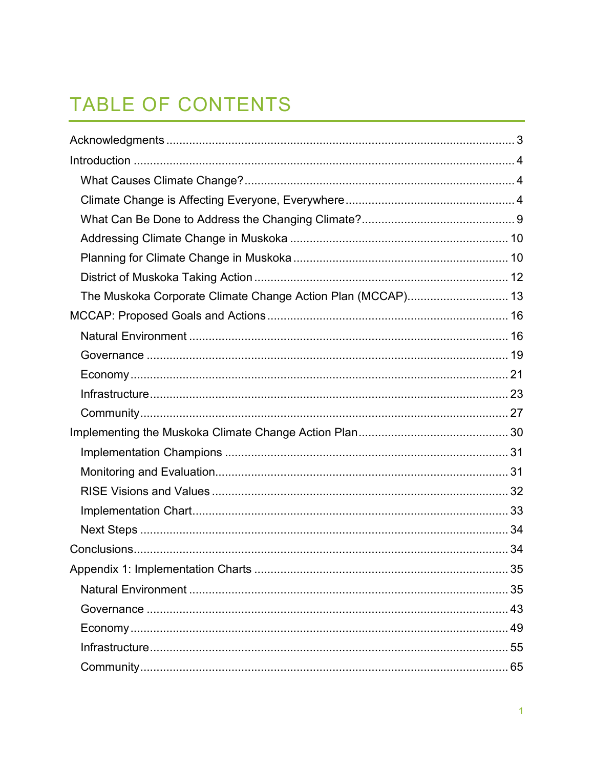# TABLE OF CONTENTS

| The Muskoka Corporate Climate Change Action Plan (MCCAP) 13 |  |
|-------------------------------------------------------------|--|
|                                                             |  |
|                                                             |  |
|                                                             |  |
|                                                             |  |
|                                                             |  |
|                                                             |  |
|                                                             |  |
|                                                             |  |
|                                                             |  |
|                                                             |  |
|                                                             |  |
|                                                             |  |
|                                                             |  |
|                                                             |  |
|                                                             |  |
|                                                             |  |
|                                                             |  |
|                                                             |  |
|                                                             |  |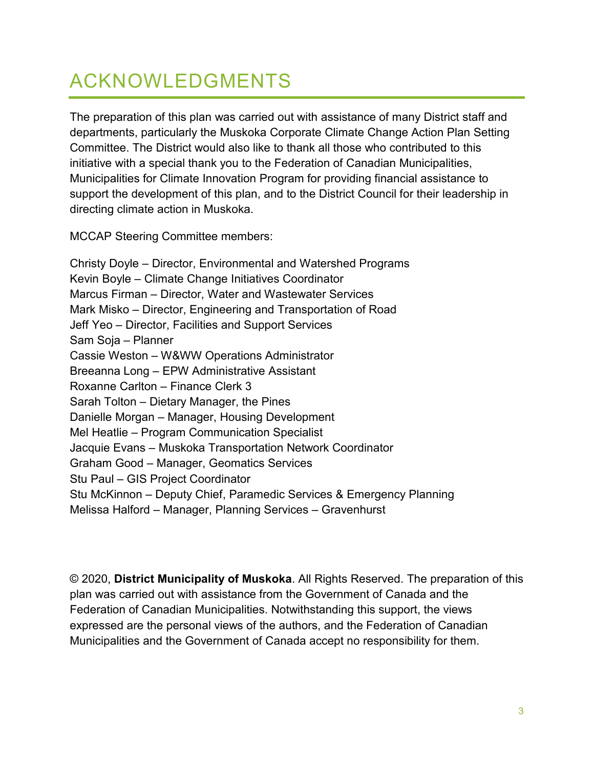# <span id="page-2-0"></span>ACKNOWLEDGMENTS

The preparation of this plan was carried out with assistance of many District staff and departments, particularly the Muskoka Corporate Climate Change Action Plan Setting Committee. The District would also like to thank all those who contributed to this initiative with a special thank you to the Federation of Canadian Municipalities, Municipalities for Climate Innovation Program for providing financial assistance to support the development of this plan, and to the District Council for their leadership in directing climate action in Muskoka.

MCCAP Steering Committee members:

Christy Doyle – Director, Environmental and Watershed Programs Kevin Boyle – Climate Change Initiatives Coordinator Marcus Firman – Director, Water and Wastewater Services Mark Misko – Director, Engineering and Transportation of Road Jeff Yeo – Director, Facilities and Support Services Sam Soja – Planner Cassie Weston – W&WW Operations Administrator Breeanna Long – EPW Administrative Assistant Roxanne Carlton – Finance Clerk 3 Sarah Tolton – Dietary Manager, the Pines Danielle Morgan – Manager, Housing Development Mel Heatlie – Program Communication Specialist Jacquie Evans – Muskoka Transportation Network Coordinator Graham Good – Manager, Geomatics Services Stu Paul – GIS Project Coordinator Stu McKinnon – Deputy Chief, Paramedic Services & Emergency Planning Melissa Halford – Manager, Planning Services – Gravenhurst

© 2020, **District Municipality of Muskoka**. All Rights Reserved. The preparation of this plan was carried out with assistance from the Government of Canada and the Federation of Canadian Municipalities. Notwithstanding this support, the views expressed are the personal views of the authors, and the Federation of Canadian Municipalities and the Government of Canada accept no responsibility for them.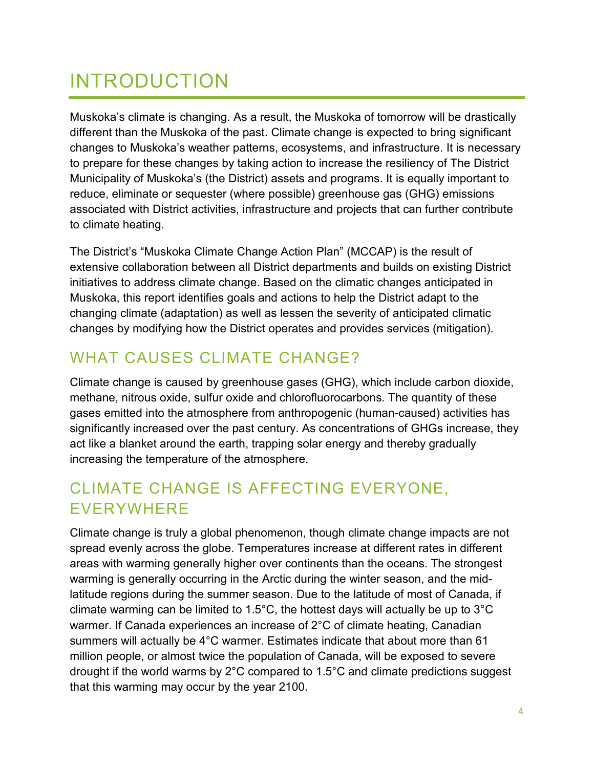# <span id="page-3-0"></span>INTRODUCTION

Muskoka's climate is changing. As a result, the Muskoka of tomorrow will be drastically different than the Muskoka of the past. Climate change is expected to bring significant changes to Muskoka's weather patterns, ecosystems, and infrastructure. It is necessary to prepare for these changes by taking action to increase the resiliency of The District Municipality of Muskoka's (the District) assets and programs. It is equally important to reduce, eliminate or sequester (where possible) greenhouse gas (GHG) emissions associated with District activities, infrastructure and projects that can further contribute to climate heating.

The District's "Muskoka Climate Change Action Plan" (MCCAP) is the result of extensive collaboration between all District departments and builds on existing District initiatives to address climate change. Based on the climatic changes anticipated in Muskoka, this report identifies goals and actions to help the District adapt to the changing climate (adaptation) as well as lessen the severity of anticipated climatic changes by modifying how the District operates and provides services (mitigation).

## <span id="page-3-1"></span>WHAT CAUSES CLIMATE CHANGE?

Climate change is caused by greenhouse gases (GHG), which include carbon dioxide, methane, nitrous oxide, sulfur oxide and chlorofluorocarbons. The quantity of these gases emitted into the atmosphere from anthropogenic (human-caused) activities has significantly increased over the past century. As concentrations of GHGs increase, they act like a blanket around the earth, trapping solar energy and thereby gradually increasing the temperature of the atmosphere.

## <span id="page-3-2"></span>CLIMATE CHANGE IS AFFECTING EVERYONE, EVERYWHERE

Climate change is truly a global phenomenon, though climate change impacts are not spread evenly across the globe. Temperatures increase at different rates in different areas with warming generally higher over continents than the oceans. The strongest warming is generally occurring in the Arctic during the winter season, and the midlatitude regions during the summer season. Due to the latitude of most of Canada, if climate warming can be limited to 1.5°C, the hottest days will actually be up to 3°C warmer. If Canada experiences an increase of 2°C of climate heating, Canadian summers will actually be 4°C warmer. Estimates indicate that about more than 61 million people, or almost twice the population of Canada, will be exposed to severe drought if the world warms by 2°C compared to 1.5°C and climate predictions suggest that this warming may occur by the year 2100.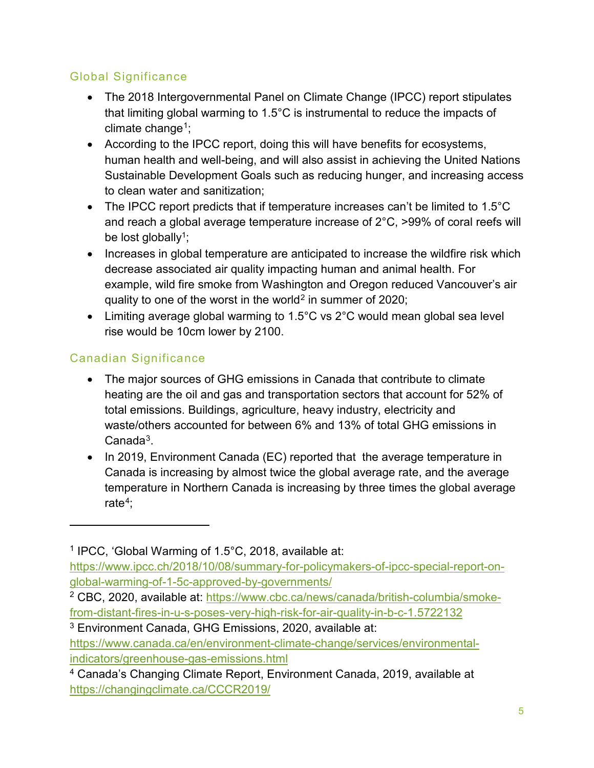### Global Significance

- The 2018 Intergovernmental Panel on Climate Change (IPCC) report stipulates that limiting global warming to 1.5°C is instrumental to reduce the impacts of climate change<sup>1</sup>;
- <span id="page-4-0"></span>• According to the IPCC report, doing this will have benefits for ecosystems, human health and well-being, and will also assist in achieving the United Nations Sustainable Development Goals such as reducing hunger, and increasing access to clean water and sanitization;
- The IPCC report predicts that if temperature increases can't be limited to 1.5°C and reach a global average temperature increase of 2°C, >99% of coral reefs will be lost globally<sup>1</sup>;
- Increases in global temperature are anticipated to increase the wildfire risk which decrease associated air quality impacting human and animal health. For example, wild fire smoke from Washington and Oregon reduced Vancouver's air quality to one of the worst in the world<sup>[2](#page-4-2)</sup> in summer of 2020;
- Limiting average global warming to 1.5°C vs 2°C would mean global sea level rise would be 10cm lower by 2100.

### Canadian Significance

 $\overline{a}$ 

- The major sources of GHG emissions in Canada that contribute to climate heating are the oil and gas and transportation sectors that account for 52% of total emissions. Buildings, agriculture, heavy industry, electricity and waste/others accounted for between 6% and 13% of total GHG emissions in Canada[3](#page-4-3).
- In 2019, Environment Canada (EC) reported that the average temperature in Canada is increasing by almost twice the global average rate, and the average temperature in Northern Canada is increasing by three times the global average rate<sup>4</sup>:

<span id="page-4-1"></span><sup>1</sup> IPCC, 'Global Warming of 1.5°C, 2018, available at:

[https://www.ipcc.ch/2018/10/08/summary-for-policymakers-of-ipcc-special-report-on](https://www.ipcc.ch/2018/10/08/summary-for-policymakers-of-ipcc-special-report-on-global-warming-of-1-5c-approved-by-governments/)[global-warming-of-1-5c-approved-by-governments/](https://www.ipcc.ch/2018/10/08/summary-for-policymakers-of-ipcc-special-report-on-global-warming-of-1-5c-approved-by-governments/)

<span id="page-4-2"></span><sup>2</sup> CBC, 2020, available at: [https://www.cbc.ca/news/canada/british-columbia/smoke](https://www.cbc.ca/news/canada/british-columbia/smoke-from-distant-fires-in-u-s-poses-very-high-risk-for-air-quality-in-b-c-1.5722132)[from-distant-fires-in-u-s-poses-very-high-risk-for-air-quality-in-b-c-1.5722132](https://www.cbc.ca/news/canada/british-columbia/smoke-from-distant-fires-in-u-s-poses-very-high-risk-for-air-quality-in-b-c-1.5722132)

<span id="page-4-3"></span><sup>3</sup> Environment Canada, GHG Emissions, 2020, available at: [https://www.canada.ca/en/environment-climate-change/services/environmental](https://www.canada.ca/en/environment-climate-change/services/environmental-indicators/greenhouse-gas-emissions.html)[indicators/greenhouse-gas-emissions.html](https://www.canada.ca/en/environment-climate-change/services/environmental-indicators/greenhouse-gas-emissions.html)

<span id="page-4-4"></span><sup>4</sup> Canada's Changing Climate Report, Environment Canada, 2019, available at <https://changingclimate.ca/CCCR2019/>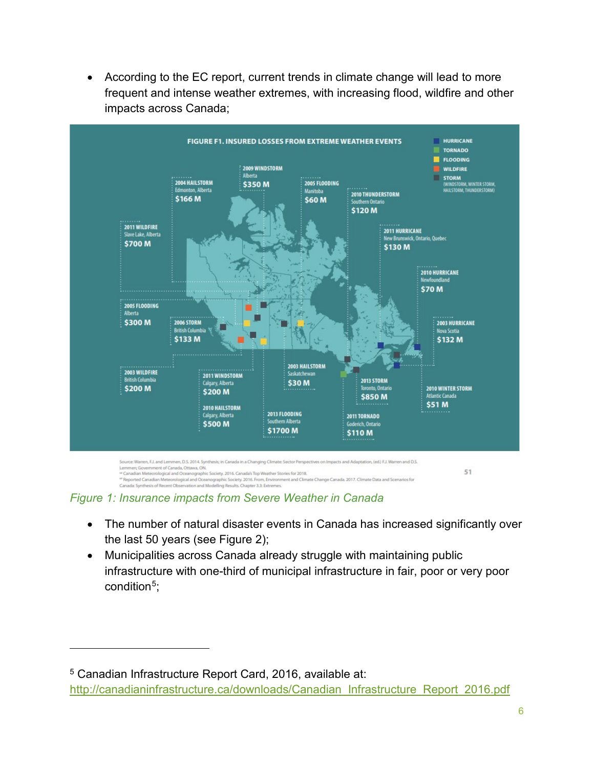

• According to the EC report, current trends in climate change will lead to more frequent and intense weather extremes, with increasing flood, wildfire and other impacts across Canada;

*Figure 1: Insurance impacts from Severe Weather in Canada*

Canada: Synthesis of Recent Observation and Modelling Results. Chapter 3.3: Extremes.

 $\overline{a}$ 

- The number of natural disaster events in Canada has increased significantly over the last 50 years (see [Figure 2\)](#page-6-0);
- Municipalities across Canada already struggle with maintaining public infrastructure with one-third of municipal infrastructure in fair, poor or very poor condition $5$ ;

<span id="page-5-0"></span><sup>5</sup> Canadian Infrastructure Report Card, 2016, available at: http://canadianinfrastructure.ca/downloads/Canadian\_Infrastructure\_Report\_2016.pdf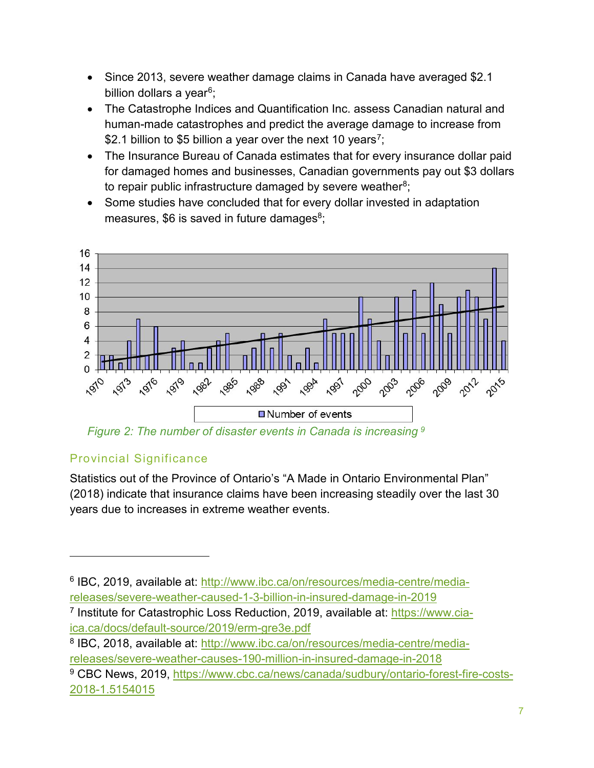- Since 2013, severe weather damage claims in Canada have averaged \$2.1 billion dollars a year<sup>[6](#page-6-2)</sup>;
- The Catastrophe Indices and Quantification Inc. assess Canadian natural and human-made catastrophes and predict the average damage to increase from \$2.1 billion to \$5 billion a year over the next 10 years<sup>[7](#page-6-3)</sup>;
- The Insurance Bureau of Canada estimates that for every insurance dollar paid for damaged homes and businesses, Canadian governments pay out \$3 dollars to repair public infrastructure damaged by severe weather $8$ ;
- <span id="page-6-1"></span>• Some studies have concluded that for every dollar invested in adaptation measures,  $$6$  is saved in future damages $$^8$ ;



<span id="page-6-0"></span>*Figure 2: The number of disaster events in Canada is increasing [9](#page-6-5)*

### Provincial Significance

 $\overline{a}$ 

Statistics out of the Province of Ontario's "A Made in Ontario Environmental Plan" (2018) indicate that insurance claims have been increasing steadily over the last 30 years due to increases in extreme weather events.

<span id="page-6-2"></span><sup>6</sup> IBC, 2019, available at: [http://www.ibc.ca/on/resources/media-centre/media](http://www.ibc.ca/on/resources/media-centre/media-releases/severe-weather-caused-1-3-billion-in-insured-damage-in-2019)[releases/severe-weather-caused-1-3-billion-in-insured-damage-in-2019](http://www.ibc.ca/on/resources/media-centre/media-releases/severe-weather-caused-1-3-billion-in-insured-damage-in-2019) 

<span id="page-6-4"></span><sup>8</sup> IBC, 2018, available at: [http://www.ibc.ca/on/resources/media-centre/media](http://www.ibc.ca/on/resources/media-centre/media-releases/severe-weather-causes-190-million-in-insured-damage-in-2018)[releases/severe-weather-causes-190-million-in-insured-damage-in-2018](http://www.ibc.ca/on/resources/media-centre/media-releases/severe-weather-causes-190-million-in-insured-damage-in-2018)

<span id="page-6-3"></span><sup>&</sup>lt;sup>7</sup> Institute for Catastrophic Loss Reduction, 2019, available at: [https://www.cia](https://www.cia-ica.ca/docs/default-source/2019/erm-gre3e.pdf)[ica.ca/docs/default-source/2019/erm-gre3e.pdf](https://www.cia-ica.ca/docs/default-source/2019/erm-gre3e.pdf)

<span id="page-6-5"></span><sup>9</sup> CBC News, 2019, [https://www.cbc.ca/news/canada/sudbury/ontario-forest-fire-costs-](https://www.cbc.ca/news/canada/sudbury/ontario-forest-fire-costs-2018-1.5154015)[2018-1.5154015](https://www.cbc.ca/news/canada/sudbury/ontario-forest-fire-costs-2018-1.5154015)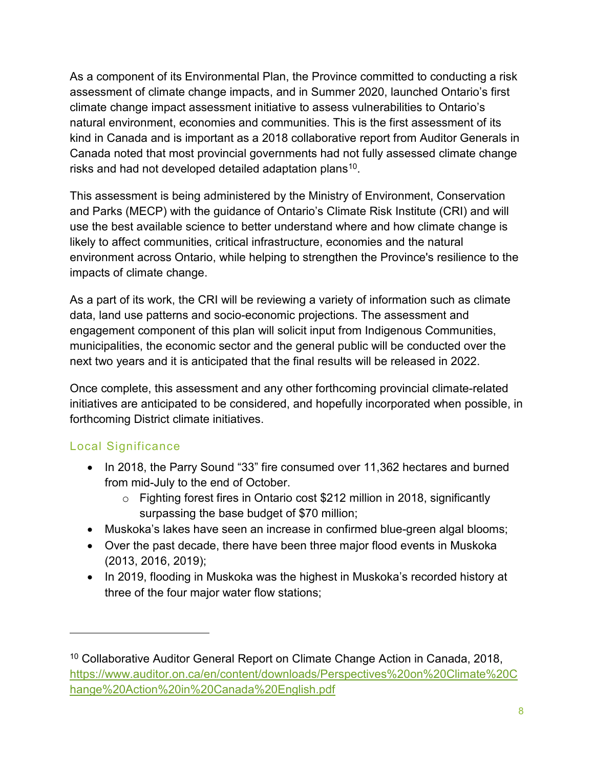As a component of its Environmental Plan, the Province committed to conducting a risk assessment of climate change impacts, and in Summer 2020, launched Ontario's first climate change impact assessment initiative to assess vulnerabilities to Ontario's natural environment, economies and communities. This is the first assessment of its kind in Canada and is important as a 2018 collaborative report from Auditor Generals in Canada noted that most provincial governments had not fully assessed climate change risks and had not developed detailed adaptation plans<sup>[10](#page-7-0)</sup>.

This assessment is being administered by the Ministry of Environment, Conservation and Parks (MECP) with the guidance of Ontario's Climate Risk Institute (CRI) and will use the best available science to better understand where and how climate change is likely to affect communities, critical infrastructure, economies and the natural environment across Ontario, while helping to strengthen the Province's resilience to the impacts of climate change.

As a part of its work, the CRI will be reviewing a variety of information such as climate data, land use patterns and socio-economic projections. The assessment and engagement component of this plan will solicit input from Indigenous Communities, municipalities, the economic sector and the general public will be conducted over the next two years and it is anticipated that the final results will be released in 2022.

Once complete, this assessment and any other forthcoming provincial climate-related initiatives are anticipated to be considered, and hopefully incorporated when possible, in forthcoming District climate initiatives.

### Local Significance

 $\overline{a}$ 

- In 2018, the Parry Sound "33" fire consumed over 11,362 hectares and burned from mid-July to the end of October.
	- o Fighting forest fires in Ontario cost \$212 million in 2018, significantly surpassing the base budget of \$70 million;
- Muskoka's lakes have seen an increase in confirmed blue-green algal blooms;
- Over the past decade, there have been three major flood events in Muskoka (2013, 2016, 2019);
- In 2019, flooding in Muskoka was the highest in Muskoka's recorded history at three of the four major water flow stations;

<span id="page-7-0"></span><sup>&</sup>lt;sup>10</sup> Collaborative Auditor General Report on Climate Change Action in Canada, 2018, [https://www.auditor.on.ca/en/content/downloads/Perspectives%20on%20Climate%20C](https://www.auditor.on.ca/en/content/downloads/Perspectives%20on%20Climate%20Change%20Action%20in%20Canada%20English.pdf) [hange%20Action%20in%20Canada%20English.pdf](https://www.auditor.on.ca/en/content/downloads/Perspectives%20on%20Climate%20Change%20Action%20in%20Canada%20English.pdf)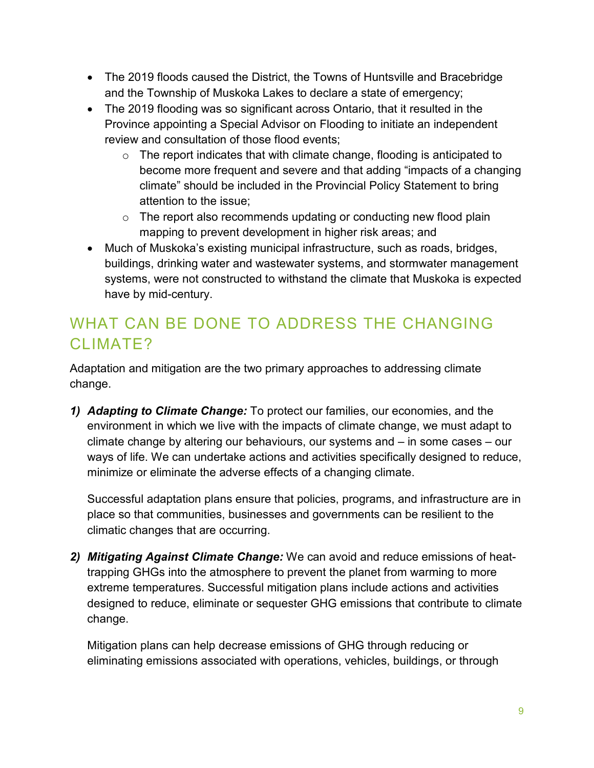- The 2019 floods caused the District, the Towns of Huntsville and Bracebridge and the Township of Muskoka Lakes to declare a state of emergency;
- The 2019 flooding was so significant across Ontario, that it resulted in the Province appointing a Special Advisor on Flooding to initiate an independent review and consultation of those flood events;
	- $\circ$  The report indicates that with climate change, flooding is anticipated to become more frequent and severe and that adding "impacts of a changing climate" should be included in the Provincial Policy Statement to bring attention to the issue;
	- $\circ$  The report also recommends updating or conducting new flood plain mapping to prevent development in higher risk areas; and
- Much of Muskoka's existing municipal infrastructure, such as roads, bridges, buildings, drinking water and wastewater systems, and stormwater management systems, were not constructed to withstand the climate that Muskoka is expected have by mid-century.

## <span id="page-8-0"></span>WHAT CAN BE DONE TO ADDRESS THE CHANGING CLIMATE?

Adaptation and mitigation are the two primary approaches to addressing climate change.

*1) Adapting to Climate Change:* To protect our families, our economies, and the environment in which we live with the impacts of climate change, we must adapt to climate change by altering our behaviours, our systems and – in some cases – our ways of life. We can undertake actions and activities specifically designed to reduce, minimize or eliminate the adverse effects of a changing climate.

Successful adaptation plans ensure that policies, programs, and infrastructure are in place so that communities, businesses and governments can be resilient to the climatic changes that are occurring.

*2) Mitigating Against Climate Change:* We can avoid and reduce emissions of heattrapping GHGs into the atmosphere to prevent the planet from warming to more extreme temperatures. Successful mitigation plans include actions and activities designed to reduce, eliminate or sequester GHG emissions that contribute to climate change.

Mitigation plans can help decrease emissions of GHG through reducing or eliminating emissions associated with operations, vehicles, buildings, or through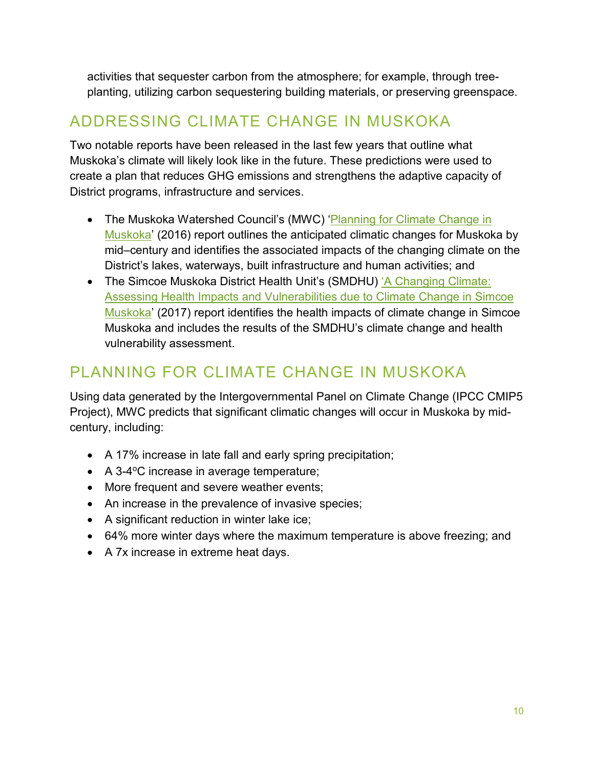activities that sequester carbon from the atmosphere; for example, through treeplanting, utilizing carbon sequestering building materials, or preserving greenspace.

## <span id="page-9-0"></span>ADDRESSING CLIMATE CHANGE IN MUSKOKA

Two notable reports have been released in the last few years that outline what Muskoka's climate will likely look like in the future. These predictions were used to create a plan that reduces GHG emissions and strengthens the adaptive capacity of District programs, infrastructure and services.

- The Muskoka Watershed Council's (MWC) 'Planning for Climate Change in [Muskoka'](https://www.muskokawatershed.org/wp-content/uploads/ClimateChange_Muskoka-2016.pdf) (2016) report outlines the anticipated climatic changes for Muskoka by mid–century and identifies the associated impacts of the changing climate on the District's lakes, waterways, built infrastructure and human activities; and
- The Simcoe Muskoka District Health Unit's (SMDHU) 'A Changing Climate: [Assessing Health Impacts and Vulnerabilities due to Climate Change in Simcoe](https://www.simcoemuskokahealth.org/docs/default-source/topic-environment/smdhu-vulnerability-assessment-2017-finale1e3e25f97be6bc38c2dff0000a8dfd8.pdf?sfvrsn=0)  [Muskoka'](https://www.simcoemuskokahealth.org/docs/default-source/topic-environment/smdhu-vulnerability-assessment-2017-finale1e3e25f97be6bc38c2dff0000a8dfd8.pdf?sfvrsn=0) (2017) report identifies the health impacts of climate change in Simcoe Muskoka and includes the results of the SMDHU's climate change and health vulnerability assessment.

### <span id="page-9-1"></span>PLANNING FOR CLIMATE CHANGE IN MUSKOKA

Using data generated by the Intergovernmental Panel on Climate Change (IPCC CMIP5 Project), MWC predicts that significant climatic changes will occur in Muskoka by midcentury, including:

- A 17% increase in late fall and early spring precipitation;
- $\bullet$  A 3-4°C increase in average temperature;
- More frequent and severe weather events;
- An increase in the prevalence of invasive species;
- A significant reduction in winter lake ice;
- 64% more winter days where the maximum temperature is above freezing; and
- A 7x increase in extreme heat days.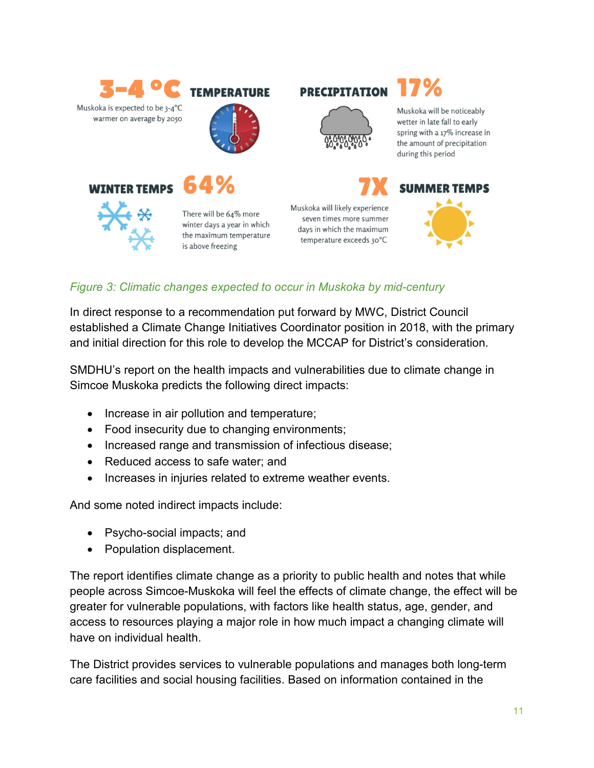

#### *Figure 3: Climatic changes expected to occur in Muskoka by mid-century*

In direct response to a recommendation put forward by MWC, District Council established a Climate Change Initiatives Coordinator position in 2018, with the primary and initial direction for this role to develop the MCCAP for District's consideration.

SMDHU's report on the health impacts and vulnerabilities due to climate change in Simcoe Muskoka predicts the following direct impacts:

- Increase in air pollution and temperature;
- Food insecurity due to changing environments;
- Increased range and transmission of infectious disease;
- Reduced access to safe water; and
- Increases in injuries related to extreme weather events.

And some noted indirect impacts include:

- Psycho-social impacts; and
- Population displacement.

The report identifies climate change as a priority to public health and notes that while people across Simcoe-Muskoka will feel the effects of climate change, the effect will be greater for vulnerable populations, with factors like health status, age, gender, and access to resources playing a major role in how much impact a changing climate will have on individual health.

The District provides services to vulnerable populations and manages both long-term care facilities and social housing facilities. Based on information contained in the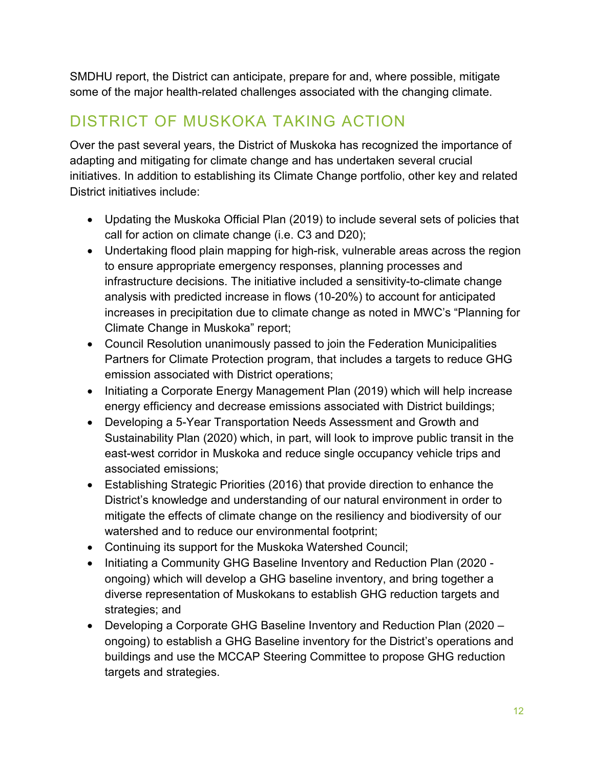SMDHU report, the District can anticipate, prepare for and, where possible, mitigate some of the major health-related challenges associated with the changing climate.

## <span id="page-11-0"></span>DISTRICT OF MUSKOKA TAKING ACTION

Over the past several years, the District of Muskoka has recognized the importance of adapting and mitigating for climate change and has undertaken several crucial initiatives. In addition to establishing its Climate Change portfolio, other key and related District initiatives include:

- Updating the Muskoka Official Plan (2019) to include several sets of policies that call for action on climate change (i.e. C3 and D20);
- Undertaking flood plain mapping for high-risk, vulnerable areas across the region to ensure appropriate emergency responses, planning processes and infrastructure decisions. The initiative included a sensitivity-to-climate change analysis with predicted increase in flows (10-20%) to account for anticipated increases in precipitation due to climate change as noted in MWC's "Planning for Climate Change in Muskoka" report;
- Council Resolution unanimously passed to join the Federation Municipalities Partners for Climate Protection program, that includes a targets to reduce GHG emission associated with District operations;
- Initiating a Corporate Energy Management Plan (2019) which will help increase energy efficiency and decrease emissions associated with District buildings;
- Developing a 5-Year Transportation Needs Assessment and Growth and Sustainability Plan (2020) which, in part, will look to improve public transit in the east-west corridor in Muskoka and reduce single occupancy vehicle trips and associated emissions;
- Establishing Strategic Priorities (2016) that provide direction to enhance the District's knowledge and understanding of our natural environment in order to mitigate the effects of climate change on the resiliency and biodiversity of our watershed and to reduce our environmental footprint;
- Continuing its support for the Muskoka Watershed Council;
- Initiating a Community GHG Baseline Inventory and Reduction Plan (2020 ongoing) which will develop a GHG baseline inventory, and bring together a diverse representation of Muskokans to establish GHG reduction targets and strategies; and
- Developing a Corporate GHG Baseline Inventory and Reduction Plan (2020 ongoing) to establish a GHG Baseline inventory for the District's operations and buildings and use the MCCAP Steering Committee to propose GHG reduction targets and strategies.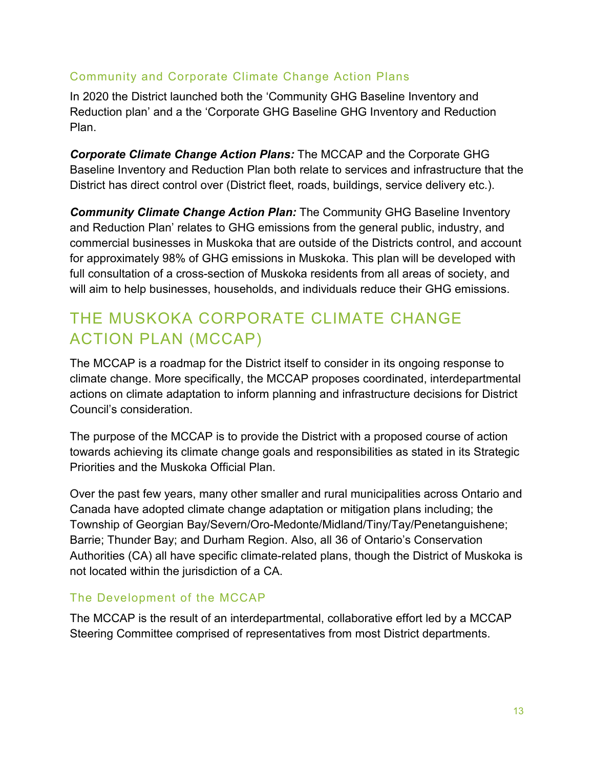### Community and Corporate Climate Change Action Plans

In 2020 the District launched both the 'Community GHG Baseline Inventory and Reduction plan' and a the 'Corporate GHG Baseline GHG Inventory and Reduction Plan.

*Corporate Climate Change Action Plans:* The MCCAP and the Corporate GHG Baseline Inventory and Reduction Plan both relate to services and infrastructure that the District has direct control over (District fleet, roads, buildings, service delivery etc.).

*Community Climate Change Action Plan:* The Community GHG Baseline Inventory and Reduction Plan' relates to GHG emissions from the general public, industry, and commercial businesses in Muskoka that are outside of the Districts control, and account for approximately 98% of GHG emissions in Muskoka. This plan will be developed with full consultation of a cross-section of Muskoka residents from all areas of society, and will aim to help businesses, households, and individuals reduce their GHG emissions.

## <span id="page-12-0"></span>THE MUSKOKA CORPORATE CLIMATE CHANGE ACTION PLAN (MCCAP)

The MCCAP is a roadmap for the District itself to consider in its ongoing response to climate change. More specifically, the MCCAP proposes coordinated, interdepartmental actions on climate adaptation to inform planning and infrastructure decisions for District Council's consideration.

The purpose of the MCCAP is to provide the District with a proposed course of action towards achieving its climate change goals and responsibilities as stated in its Strategic Priorities and the Muskoka Official Plan.

Over the past few years, many other smaller and rural municipalities across Ontario and Canada have adopted climate change adaptation or mitigation plans including; the Township of Georgian Bay/Severn/Oro-Medonte/Midland/Tiny/Tay/Penetanguishene; Barrie; Thunder Bay; and Durham Region. Also, all 36 of Ontario's Conservation Authorities (CA) all have specific climate-related plans, though the District of Muskoka is not located within the jurisdiction of a CA.

### The Development of the MCCAP

The MCCAP is the result of an interdepartmental, collaborative effort led by a MCCAP Steering Committee comprised of representatives from most District departments.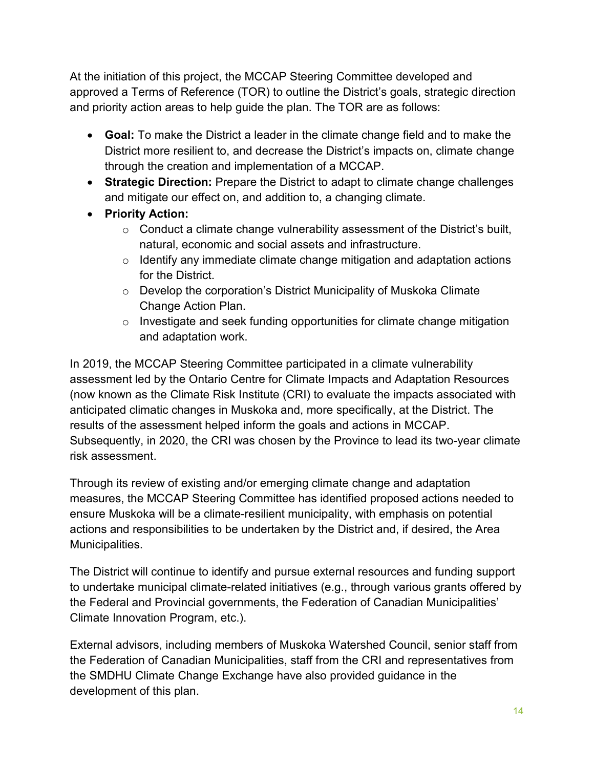At the initiation of this project, the MCCAP Steering Committee developed and approved a Terms of Reference (TOR) to outline the District's goals, strategic direction and priority action areas to help guide the plan. The TOR are as follows:

- **Goal:** To make the District a leader in the climate change field and to make the District more resilient to, and decrease the District's impacts on, climate change through the creation and implementation of a MCCAP.
- **Strategic Direction:** Prepare the District to adapt to climate change challenges and mitigate our effect on, and addition to, a changing climate.
- **Priority Action:**
	- $\circ$  Conduct a climate change vulnerability assessment of the District's built, natural, economic and social assets and infrastructure.
	- $\circ$  Identify any immediate climate change mitigation and adaptation actions for the District.
	- o Develop the corporation's District Municipality of Muskoka Climate Change Action Plan.
	- o Investigate and seek funding opportunities for climate change mitigation and adaptation work.

In 2019, the MCCAP Steering Committee participated in a climate vulnerability assessment led by the Ontario Centre for Climate Impacts and Adaptation Resources (now known as the Climate Risk Institute (CRI) to evaluate the impacts associated with anticipated climatic changes in Muskoka and, more specifically, at the District. The results of the assessment helped inform the goals and actions in MCCAP. Subsequently, in 2020, the CRI was chosen by the Province to lead its two-year climate risk assessment.

Through its review of existing and/or emerging climate change and adaptation measures, the MCCAP Steering Committee has identified proposed actions needed to ensure Muskoka will be a climate-resilient municipality, with emphasis on potential actions and responsibilities to be undertaken by the District and, if desired, the Area Municipalities.

The District will continue to identify and pursue external resources and funding support to undertake municipal climate-related initiatives (e.g., through various grants offered by the Federal and Provincial governments, the Federation of Canadian Municipalities' Climate Innovation Program, etc.).

External advisors, including members of Muskoka Watershed Council, senior staff from the Federation of Canadian Municipalities, staff from the CRI and representatives from the SMDHU Climate Change Exchange have also provided guidance in the development of this plan.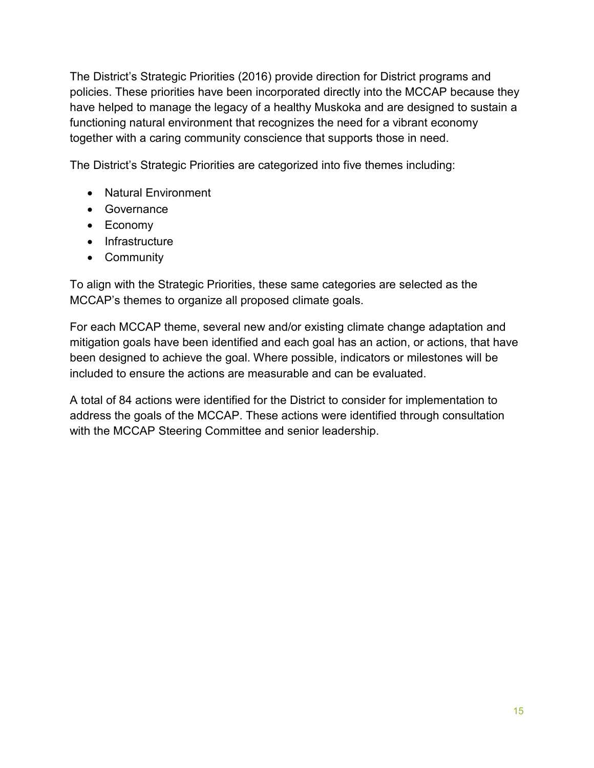The District's Strategic Priorities (2016) provide direction for District programs and policies. These priorities have been incorporated directly into the MCCAP because they have helped to manage the legacy of a healthy Muskoka and are designed to sustain a functioning natural environment that recognizes the need for a vibrant economy together with a caring community conscience that supports those in need.

The District's Strategic Priorities are categorized into five themes including:

- Natural Environment
- Governance
- Economy
- Infrastructure
- Community

To align with the Strategic Priorities, these same categories are selected as the MCCAP's themes to organize all proposed climate goals.

For each MCCAP theme, several new and/or existing climate change adaptation and mitigation goals have been identified and each goal has an action, or actions, that have been designed to achieve the goal. Where possible, indicators or milestones will be included to ensure the actions are measurable and can be evaluated.

A total of 84 actions were identified for the District to consider for implementation to address the goals of the MCCAP. These actions were identified through consultation with the MCCAP Steering Committee and senior leadership.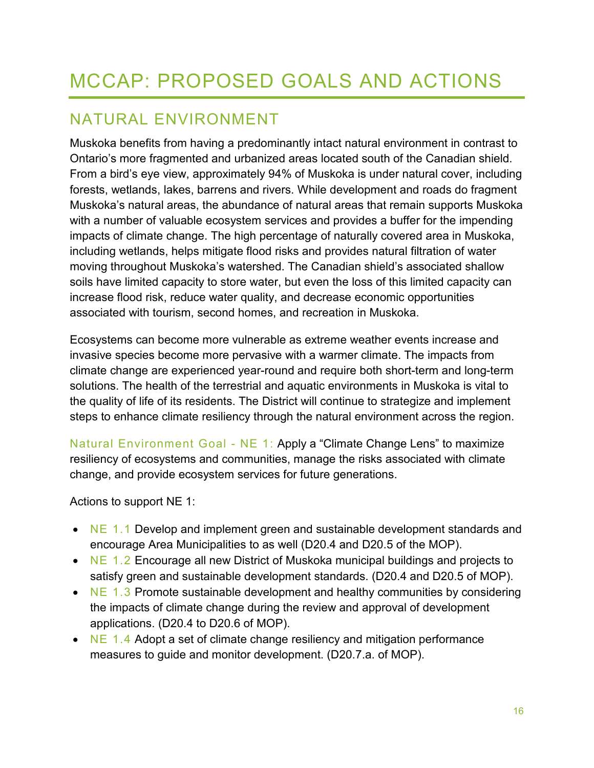# <span id="page-15-0"></span>MCCAP: PROPOSED GOALS AND ACTIONS

### <span id="page-15-1"></span>NATURAL ENVIRONMENT

Muskoka benefits from having a predominantly intact natural environment in contrast to Ontario's more fragmented and urbanized areas located south of the Canadian shield. From a bird's eye view, approximately 94% of Muskoka is under natural cover, including forests, wetlands, lakes, barrens and rivers. While development and roads do fragment Muskoka's natural areas, the abundance of natural areas that remain supports Muskoka with a number of valuable ecosystem services and provides a buffer for the impending impacts of climate change. The high percentage of naturally covered area in Muskoka, including wetlands, helps mitigate flood risks and provides natural filtration of water moving throughout Muskoka's watershed. The Canadian shield's associated shallow soils have limited capacity to store water, but even the loss of this limited capacity can increase flood risk, reduce water quality, and decrease economic opportunities associated with tourism, second homes, and recreation in Muskoka.

Ecosystems can become more vulnerable as extreme weather events increase and invasive species become more pervasive with a warmer climate. The impacts from climate change are experienced year-round and require both short-term and long-term solutions. The health of the terrestrial and aquatic environments in Muskoka is vital to the quality of life of its residents. The District will continue to strategize and implement steps to enhance climate resiliency through the natural environment across the region.

Natural Environment Goal - NE 1: Apply a "Climate Change Lens" to maximize resiliency of ecosystems and communities, manage the risks associated with climate change, and provide ecosystem services for future generations.

Actions to support NE 1:

- NE 1.1 Develop and implement green and sustainable development standards and encourage Area Municipalities to as well (D20.4 and D20.5 of the MOP).
- NE 1.2 Encourage all new District of Muskoka municipal buildings and projects to satisfy green and sustainable development standards. (D20.4 and D20.5 of MOP).
- NE 1.3 Promote sustainable development and healthy communities by considering the impacts of climate change during the review and approval of development applications. (D20.4 to D20.6 of MOP).
- NE 1.4 Adopt a set of climate change resiliency and mitigation performance measures to guide and monitor development. (D20.7.a. of MOP).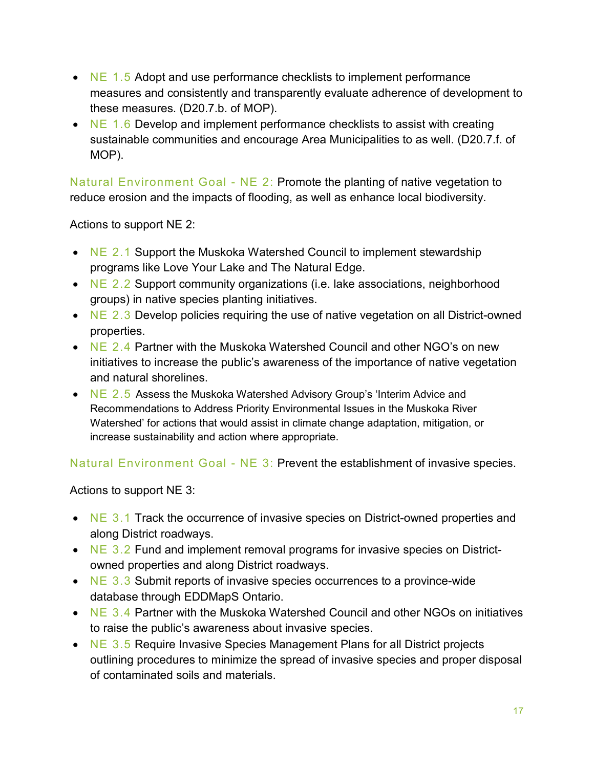- $NE$  1.5 Adopt and use performance checklists to implement performance measures and consistently and transparently evaluate adherence of development to these measures. (D20.7.b. of MOP).
- NE 1.6 Develop and implement performance checklists to assist with creating sustainable communities and encourage Area Municipalities to as well. (D20.7.f. of MOP).

Natural Environment Goal - NE 2: Promote the planting of native vegetation to reduce erosion and the impacts of flooding, as well as enhance local biodiversity.

Actions to support NE 2:

- NE 2.1 Support the Muskoka Watershed Council to implement stewardship programs like Love Your Lake and The Natural Edge.
- NE 2.2 Support community organizations (i.e. lake associations, neighborhood groups) in native species planting initiatives.
- NE 2.3 Develop policies requiring the use of native vegetation on all District-owned properties.
- NE 2.4 Partner with the Muskoka Watershed Council and other NGO's on new initiatives to increase the public's awareness of the importance of native vegetation and natural shorelines.
- NE 2.5 Assess the Muskoka Watershed Advisory Group's 'Interim Advice and Recommendations to Address Priority Environmental Issues in the Muskoka River Watershed' for actions that would assist in climate change adaptation, mitigation, or increase sustainability and action where appropriate.

Natural Environment Goal - NE 3: Prevent the establishment of invasive species.

Actions to support NE 3:

- NE 3.1 Track the occurrence of invasive species on District-owned properties and along District roadways.
- NE  $3.2$  Fund and implement removal programs for invasive species on Districtowned properties and along District roadways.
- $NE$  3.3 Submit reports of invasive species occurrences to a province-wide database through EDDMapS Ontario.
- NE 3.4 Partner with the Muskoka Watershed Council and other NGOs on initiatives to raise the public's awareness about invasive species.
- NE 3.5 Require Invasive Species Management Plans for all District projects outlining procedures to minimize the spread of invasive species and proper disposal of contaminated soils and materials.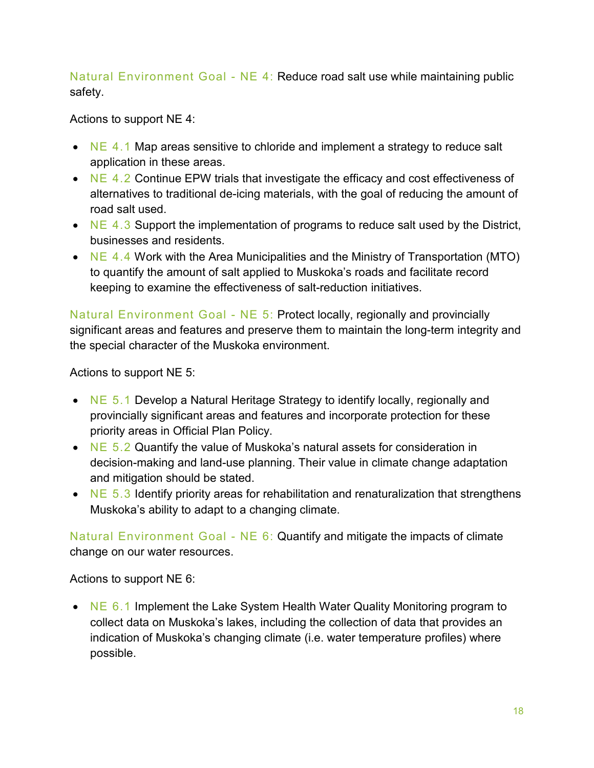Natural Environment Goal - NE 4: Reduce road salt use while maintaining public safety.

Actions to support NE 4:

- NE 4.1 Map areas sensitive to chloride and implement a strategy to reduce salt application in these areas.
- NE 4.2 Continue EPW trials that investigate the efficacy and cost effectiveness of alternatives to traditional de-icing materials, with the goal of reducing the amount of road salt used.
- NE  $4.3$  Support the implementation of programs to reduce salt used by the District, businesses and residents.
- NE  $4.4$  Work with the Area Municipalities and the Ministry of Transportation (MTO) to quantify the amount of salt applied to Muskoka's roads and facilitate record keeping to examine the effectiveness of salt-reduction initiatives.

Natural Environment Goal - NE 5: Protect locally, regionally and provincially significant areas and features and preserve them to maintain the long-term integrity and the special character of the Muskoka environment.

Actions to support NE 5:

- NE 5.1 Develop a Natural Heritage Strategy to identify locally, regionally and provincially significant areas and features and incorporate protection for these priority areas in Official Plan Policy.
- NE  $5.2$  Quantify the value of Muskoka's natural assets for consideration in decision-making and land-use planning. Their value in climate change adaptation and mitigation should be stated.
- NE  $5.3$  Identify priority areas for rehabilitation and renaturalization that strengthens Muskoka's ability to adapt to a changing climate.

Natural Environment Goal - NE 6: Quantify and mitigate the impacts of climate change on our water resources.

Actions to support NE 6:

• NE 6.1 Implement the Lake System Health Water Quality Monitoring program to collect data on Muskoka's lakes, including the collection of data that provides an indication of Muskoka's changing climate (i.e. water temperature profiles) where possible.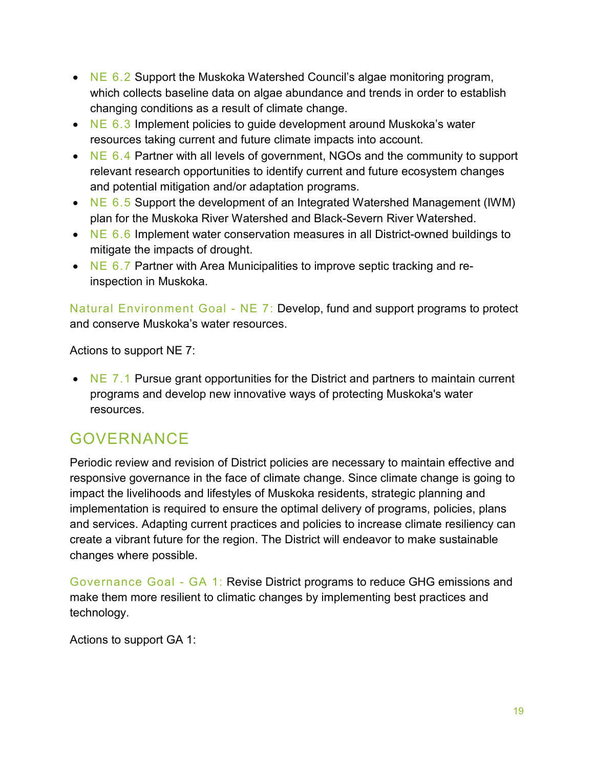- NE  $6.2$  Support the Muskoka Watershed Council's algae monitoring program, which collects baseline data on algae abundance and trends in order to establish changing conditions as a result of climate change.
- NE  $6.3$  Implement policies to quide development around Muskoka's water resources taking current and future climate impacts into account.
- NE  $6.4$  Partner with all levels of government, NGOs and the community to support relevant research opportunities to identify current and future ecosystem changes and potential mitigation and/or adaptation programs.
- NE 6.5 Support the development of an Integrated Watershed Management (IWM) plan for the Muskoka River Watershed and Black-Severn River Watershed.
- NE  $6.6$  Implement water conservation measures in all District-owned buildings to mitigate the impacts of drought.
- NE 6.7 Partner with Area Municipalities to improve septic tracking and reinspection in Muskoka.

Natural Environment Goal - NE 7: Develop, fund and support programs to protect and conserve Muskoka's water resources.

Actions to support NE 7:

• NE 7.1 Pursue grant opportunities for the District and partners to maintain current programs and develop new innovative ways of protecting Muskoka's water resources.

### <span id="page-18-0"></span>GOVERNANCE

Periodic review and revision of District policies are necessary to maintain effective and responsive governance in the face of climate change. Since climate change is going to impact the livelihoods and lifestyles of Muskoka residents, strategic planning and implementation is required to ensure the optimal delivery of programs, policies, plans and services. Adapting current practices and policies to increase climate resiliency can create a vibrant future for the region. The District will endeavor to make sustainable changes where possible.

Governance Goal - GA 1: Revise District programs to reduce GHG emissions and make them more resilient to climatic changes by implementing best practices and technology.

Actions to support GA 1: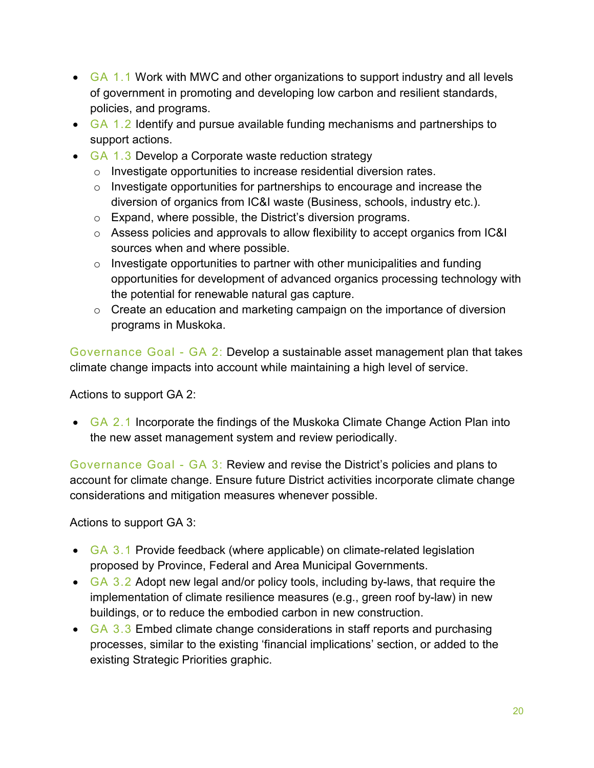- GA 1.1 Work with MWC and other organizations to support industry and all levels of government in promoting and developing low carbon and resilient standards, policies, and programs.
- GA 1.2 Identify and pursue available funding mechanisms and partnerships to support actions.
- GA 1.3 Develop a Corporate waste reduction strategy
	- o Investigate opportunities to increase residential diversion rates.
	- o Investigate opportunities for partnerships to encourage and increase the diversion of organics from IC&I waste (Business, schools, industry etc.).
	- o Expand, where possible, the District's diversion programs.
	- $\circ$  Assess policies and approvals to allow flexibility to accept organics from IC&I sources when and where possible.
	- $\circ$  Investigate opportunities to partner with other municipalities and funding opportunities for development of advanced organics processing technology with the potential for renewable natural gas capture.
	- $\circ$  Create an education and marketing campaign on the importance of diversion programs in Muskoka.

Governance Goal - GA 2: Develop a sustainable asset management plan that takes climate change impacts into account while maintaining a high level of service.

Actions to support GA 2:

• GA 2.1 Incorporate the findings of the Muskoka Climate Change Action Plan into the new asset management system and review periodically.

Governance Goal - GA 3: Review and revise the District's policies and plans to account for climate change. Ensure future District activities incorporate climate change considerations and mitigation measures whenever possible.

Actions to support GA 3:

- GA 3.1 Provide feedback (where applicable) on climate-related legislation proposed by Province, Federal and Area Municipal Governments.
- $GA$  3.2 Adopt new legal and/or policy tools, including by-laws, that require the implementation of climate resilience measures (e.g., green roof by-law) in new buildings, or to reduce the embodied carbon in new construction.
- $GA$  3.3 Embed climate change considerations in staff reports and purchasing processes, similar to the existing 'financial implications' section, or added to the existing Strategic Priorities graphic.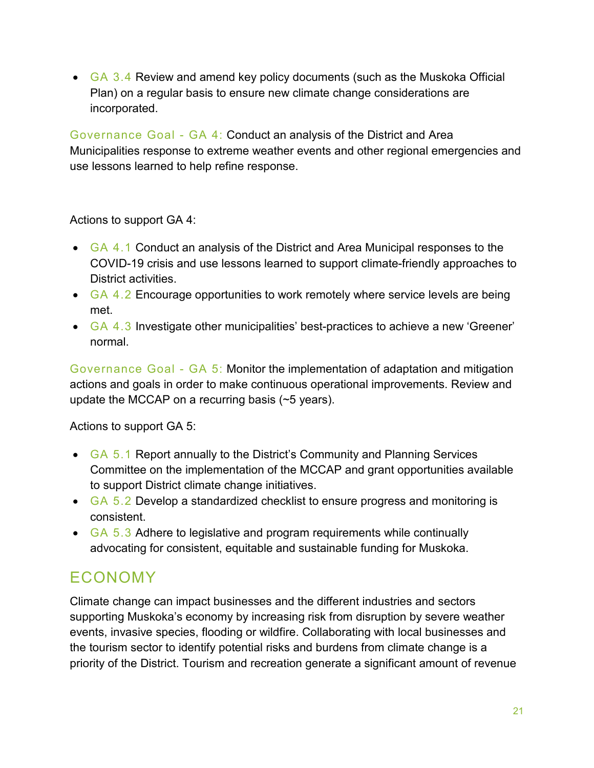• GA 3.4 Review and amend key policy documents (such as the Muskoka Official Plan) on a regular basis to ensure new climate change considerations are incorporated.

Governance Goal - GA 4: Conduct an analysis of the District and Area Municipalities response to extreme weather events and other regional emergencies and use lessons learned to help refine response.

Actions to support GA 4:

- GA 4.1 Conduct an analysis of the District and Area Municipal responses to the COVID-19 crisis and use lessons learned to support climate-friendly approaches to District activities.
- GA 4.2 Encourage opportunities to work remotely where service levels are being met.
- GA 4.3 Investigate other municipalities' best-practices to achieve a new 'Greener' normal.

Governance Goal - GA 5: Monitor the implementation of adaptation and mitigation actions and goals in order to make continuous operational improvements. Review and update the MCCAP on a recurring basis (~5 years).

Actions to support GA 5:

- GA 5.1 Report annually to the District's Community and Planning Services Committee on the implementation of the MCCAP and grant opportunities available to support District climate change initiatives.
- GA 5.2 Develop a standardized checklist to ensure progress and monitoring is consistent.
- GA 5.3 Adhere to legislative and program requirements while continually advocating for consistent, equitable and sustainable funding for Muskoka.

### <span id="page-20-0"></span>ECONOMY

Climate change can impact businesses and the different industries and sectors supporting Muskoka's economy by increasing risk from disruption by severe weather events, invasive species, flooding or wildfire. Collaborating with local businesses and the tourism sector to identify potential risks and burdens from climate change is a priority of the District. Tourism and recreation generate a significant amount of revenue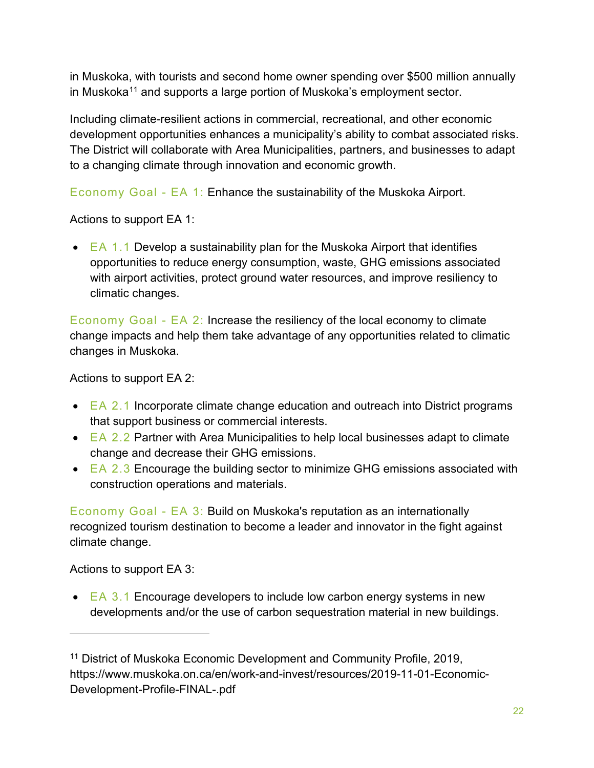in Muskoka, with tourists and second home owner spending over \$500 million annually in Muskoka<sup>[11](#page-21-0)</sup> and supports a large portion of Muskoka's employment sector.

Including climate-resilient actions in commercial, recreational, and other economic development opportunities enhances a municipality's ability to combat associated risks. The District will collaborate with Area Municipalities, partners, and businesses to adapt to a changing climate through innovation and economic growth.

Economy Goal - EA 1: Enhance the sustainability of the Muskoka Airport.

Actions to support EA 1:

 $\bullet$  EA 1.1 Develop a sustainability plan for the Muskoka Airport that identifies opportunities to reduce energy consumption, waste, GHG emissions associated with airport activities, protect ground water resources, and improve resiliency to climatic changes.

Economy Goal - EA 2: Increase the resiliency of the local economy to climate change impacts and help them take advantage of any opportunities related to climatic changes in Muskoka.

Actions to support EA 2:

- EA 2.1 Incorporate climate change education and outreach into District programs that support business or commercial interests.
- EA 2.2 Partner with Area Municipalities to help local businesses adapt to climate change and decrease their GHG emissions.
- EA  $2.3$  Encourage the building sector to minimize GHG emissions associated with construction operations and materials.

Economy Goal - EA 3: Build on Muskoka's reputation as an internationally recognized tourism destination to become a leader and innovator in the fight against climate change.

Actions to support EA 3:

 $\overline{a}$ 

• EA  $3.1$  Encourage developers to include low carbon energy systems in new developments and/or the use of carbon sequestration material in new buildings.

<span id="page-21-0"></span><sup>&</sup>lt;sup>11</sup> District of Muskoka Economic Development and Community Profile, 2019, https://www.muskoka.on.ca/en/work-and-invest/resources/2019-11-01-Economic-Development-Profile-FINAL-.pdf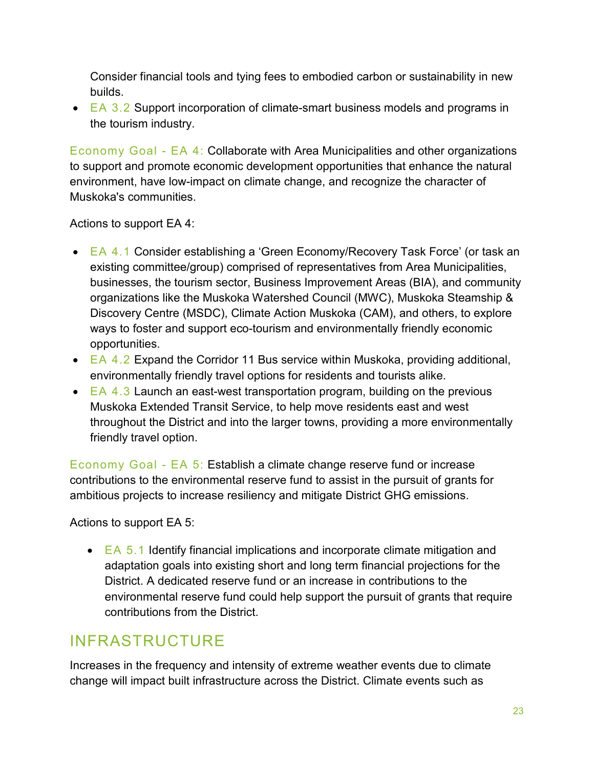Consider financial tools and tying fees to embodied carbon or sustainability in new builds.

 $\bullet$  EA 3.2 Support incorporation of climate-smart business models and programs in the tourism industry.

Economy Goal - EA 4: Collaborate with Area Municipalities and other organizations to support and promote economic development opportunities that enhance the natural environment, have low-impact on climate change, and recognize the character of Muskoka's communities.

Actions to support EA 4:

- EA 4.1 Consider establishing a 'Green Economy/Recovery Task Force' (or task an existing committee/group) comprised of representatives from Area Municipalities, businesses, the tourism sector, Business Improvement Areas (BIA), and community organizations like the Muskoka Watershed Council (MWC), Muskoka Steamship & Discovery Centre (MSDC), Climate Action Muskoka (CAM), and others, to explore ways to foster and support eco-tourism and environmentally friendly economic opportunities.
- EA  $4.2$  Expand the Corridor 11 Bus service within Muskoka, providing additional, environmentally friendly travel options for residents and tourists alike.
- $\bullet$  EA 4.3 Launch an east-west transportation program, building on the previous Muskoka Extended Transit Service, to help move residents east and west throughout the District and into the larger towns, providing a more environmentally friendly travel option.

Economy Goal - EA 5: Establish a climate change reserve fund or increase contributions to the environmental reserve fund to assist in the pursuit of grants for ambitious projects to increase resiliency and mitigate District GHG emissions.

Actions to support EA 5:

 $\bullet$  EA 5.1 Identify financial implications and incorporate climate mitigation and adaptation goals into existing short and long term financial projections for the District. A dedicated reserve fund or an increase in contributions to the environmental reserve fund could help support the pursuit of grants that require contributions from the District.

## <span id="page-22-0"></span>INFRASTRUCTURE

Increases in the frequency and intensity of extreme weather events due to climate change will impact built infrastructure across the District. Climate events such as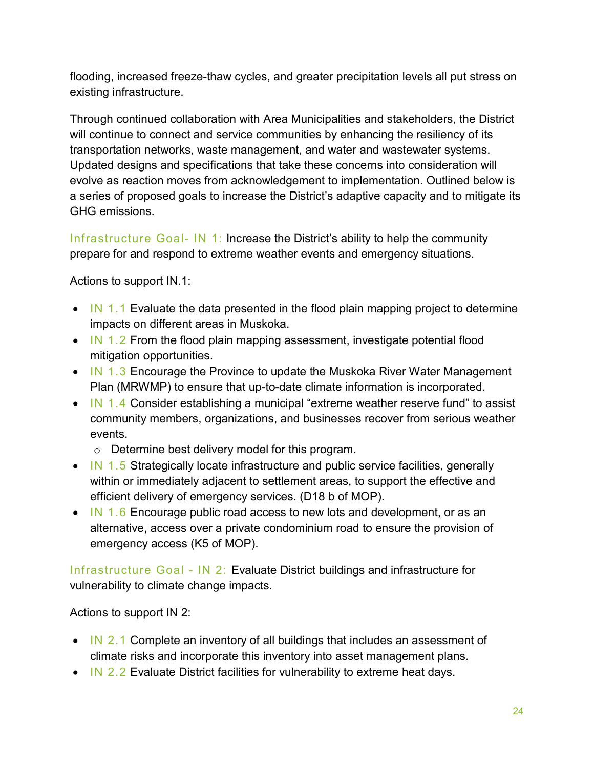flooding, increased freeze-thaw cycles, and greater precipitation levels all put stress on existing infrastructure.

Through continued collaboration with Area Municipalities and stakeholders, the District will continue to connect and service communities by enhancing the resiliency of its transportation networks, waste management, and water and wastewater systems. Updated designs and specifications that take these concerns into consideration will evolve as reaction moves from acknowledgement to implementation. Outlined below is a series of proposed goals to increase the District's adaptive capacity and to mitigate its GHG emissions.

Infrastructure Goal- IN 1: Increase the District's ability to help the community prepare for and respond to extreme weather events and emergency situations.

Actions to support IN.1:

- IN 1.1 Evaluate the data presented in the flood plain mapping project to determine impacts on different areas in Muskoka.
- IN 1.2 From the flood plain mapping assessment, investigate potential flood mitigation opportunities.
- IN 1.3 Encourage the Province to update the Muskoka River Water Management Plan (MRWMP) to ensure that up-to-date climate information is incorporated.
- IN 1.4 Consider establishing a municipal "extreme weather reserve fund" to assist community members, organizations, and businesses recover from serious weather events.
	- o Determine best delivery model for this program.
- IN 1.5 Strategically locate infrastructure and public service facilities, generally within or immediately adjacent to settlement areas, to support the effective and efficient delivery of emergency services. (D18 b of MOP).
- IN 1.6 Encourage public road access to new lots and development, or as an alternative, access over a private condominium road to ensure the provision of emergency access (K5 of MOP).

Infrastructure Goal - IN 2: Evaluate District buildings and infrastructure for vulnerability to climate change impacts.

Actions to support IN 2:

- IN 2.1 Complete an inventory of all buildings that includes an assessment of climate risks and incorporate this inventory into asset management plans.
- IN 2.2 Evaluate District facilities for vulnerability to extreme heat days.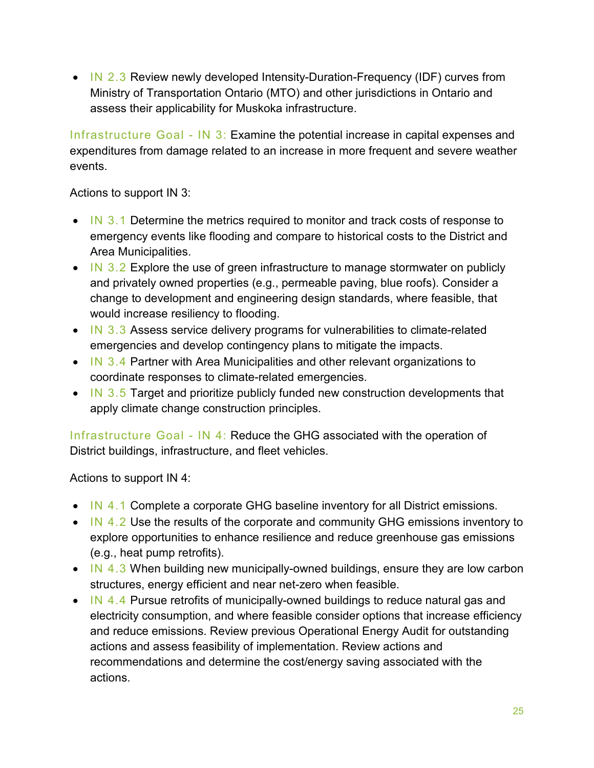• IN 2.3 Review newly developed Intensity-Duration-Frequency (IDF) curves from Ministry of Transportation Ontario (MTO) and other jurisdictions in Ontario and assess their applicability for Muskoka infrastructure.

Infrastructure Goal - IN 3: Examine the potential increase in capital expenses and expenditures from damage related to an increase in more frequent and severe weather events.

Actions to support IN 3:

- IN 3.1 Determine the metrics required to monitor and track costs of response to emergency events like flooding and compare to historical costs to the District and Area Municipalities.
- IN  $3.2$  Explore the use of green infrastructure to manage stormwater on publicly and privately owned properties (e.g., permeable paving, blue roofs). Consider a change to development and engineering design standards, where feasible, that would increase resiliency to flooding.
- IN 3.3 Assess service delivery programs for vulnerabilities to climate-related emergencies and develop contingency plans to mitigate the impacts.
- IN 3.4 Partner with Area Municipalities and other relevant organizations to coordinate responses to climate-related emergencies.
- IN 3.5 Target and prioritize publicly funded new construction developments that apply climate change construction principles.

Infrastructure Goal - IN 4: Reduce the GHG associated with the operation of District buildings, infrastructure, and fleet vehicles.

Actions to support IN 4:

- IN 4.1 Complete a corporate GHG baseline inventory for all District emissions.
- IN 4.2 Use the results of the corporate and community GHG emissions inventory to explore opportunities to enhance resilience and reduce greenhouse gas emissions (e.g., heat pump retrofits).
- IN 4.3 When building new municipally-owned buildings, ensure they are low carbon structures, energy efficient and near net-zero when feasible.
- IN 4.4 Pursue retrofits of municipally-owned buildings to reduce natural gas and electricity consumption, and where feasible consider options that increase efficiency and reduce emissions. Review previous Operational Energy Audit for outstanding actions and assess feasibility of implementation. Review actions and recommendations and determine the cost/energy saving associated with the actions.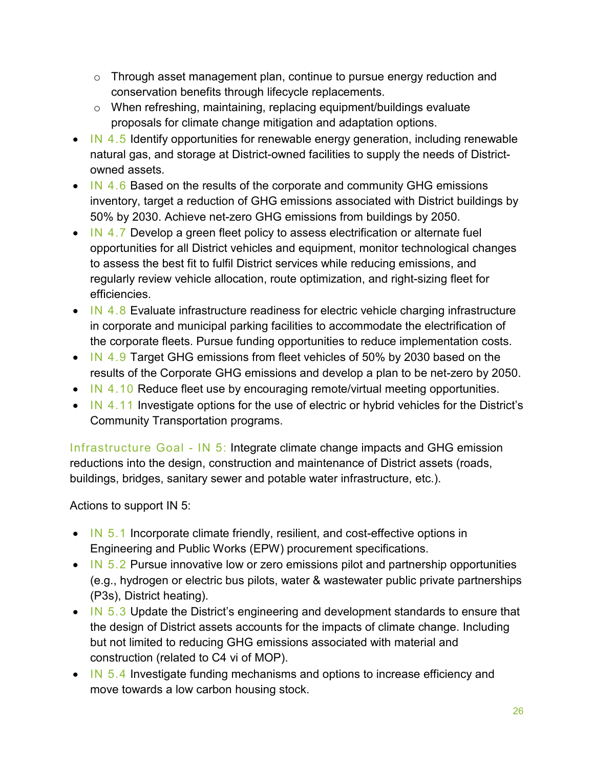- $\circ$  Through asset management plan, continue to pursue energy reduction and conservation benefits through lifecycle replacements.
- o When refreshing, maintaining, replacing equipment/buildings evaluate proposals for climate change mitigation and adaptation options.
- IN 4.5 Identify opportunities for renewable energy generation, including renewable natural gas, and storage at District-owned facilities to supply the needs of Districtowned assets.
- IN 4.6 Based on the results of the corporate and community GHG emissions inventory, target a reduction of GHG emissions associated with District buildings by 50% by 2030. Achieve net-zero GHG emissions from buildings by 2050.
- IN 4.7 Develop a green fleet policy to assess electrification or alternate fuel opportunities for all District vehicles and equipment, monitor technological changes to assess the best fit to fulfil District services while reducing emissions, and regularly review vehicle allocation, route optimization, and right-sizing fleet for efficiencies.
- IN 4.8 Evaluate infrastructure readiness for electric vehicle charging infrastructure in corporate and municipal parking facilities to accommodate the electrification of the corporate fleets. Pursue funding opportunities to reduce implementation costs.
- IN 4.9 Target GHG emissions from fleet vehicles of 50% by 2030 based on the results of the Corporate GHG emissions and develop a plan to be net-zero by 2050.
- IN 4.10 Reduce fleet use by encouraging remote/virtual meeting opportunities.
- IN 4.11 Investigate options for the use of electric or hybrid vehicles for the District's Community Transportation programs.

Infrastructure Goal - IN 5: Integrate climate change impacts and GHG emission reductions into the design, construction and maintenance of District assets (roads, buildings, bridges, sanitary sewer and potable water infrastructure, etc.).

Actions to support IN 5:

- IN 5.1 Incorporate climate friendly, resilient, and cost-effective options in Engineering and Public Works (EPW) procurement specifications.
- IN  $5.2$  Pursue innovative low or zero emissions pilot and partnership opportunities (e.g., hydrogen or electric bus pilots, water & wastewater public private partnerships (P3s), District heating).
- IN 5.3 Update the District's engineering and development standards to ensure that the design of District assets accounts for the impacts of climate change. Including but not limited to reducing GHG emissions associated with material and construction (related to C4 vi of MOP).
- IN 5.4 Investigate funding mechanisms and options to increase efficiency and move towards a low carbon housing stock.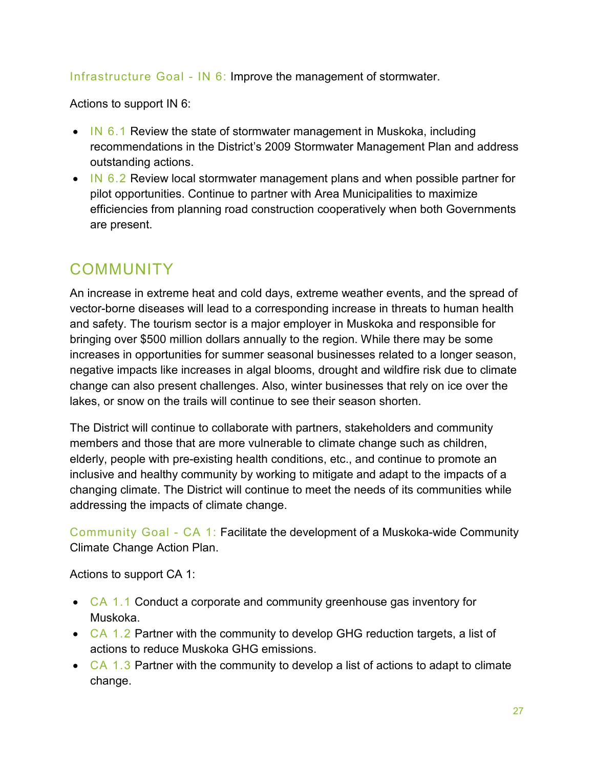Infrastructure Goal - IN 6: Improve the management of stormwater.

Actions to support IN 6:

- IN 6.1 Review the state of stormwater management in Muskoka, including recommendations in the District's 2009 Stormwater Management Plan and address outstanding actions.
- IN 6.2 Review local stormwater management plans and when possible partner for pilot opportunities. Continue to partner with Area Municipalities to maximize efficiencies from planning road construction cooperatively when both Governments are present.

### <span id="page-26-0"></span>COMMUNITY

An increase in extreme heat and cold days, extreme weather events, and the spread of vector-borne diseases will lead to a corresponding increase in threats to human health and safety. The tourism sector is a major employer in Muskoka and responsible for bringing over \$500 million dollars annually to the region. While there may be some increases in opportunities for summer seasonal businesses related to a longer season, negative impacts like increases in algal blooms, drought and wildfire risk due to climate change can also present challenges. Also, winter businesses that rely on ice over the lakes, or snow on the trails will continue to see their season shorten.

The District will continue to collaborate with partners, stakeholders and community members and those that are more vulnerable to climate change such as children, elderly, people with pre-existing health conditions, etc., and continue to promote an inclusive and healthy community by working to mitigate and adapt to the impacts of a changing climate. The District will continue to meet the needs of its communities while addressing the impacts of climate change.

Community Goal - CA 1: Facilitate the development of a Muskoka-wide Community Climate Change Action Plan.

Actions to support CA 1:

- CA 1.1 Conduct a corporate and community greenhouse gas inventory for Muskoka.
- $CA$  1.2 Partner with the community to develop GHG reduction targets, a list of actions to reduce Muskoka GHG emissions.
- $CA \, 1.3$  Partner with the community to develop a list of actions to adapt to climate change.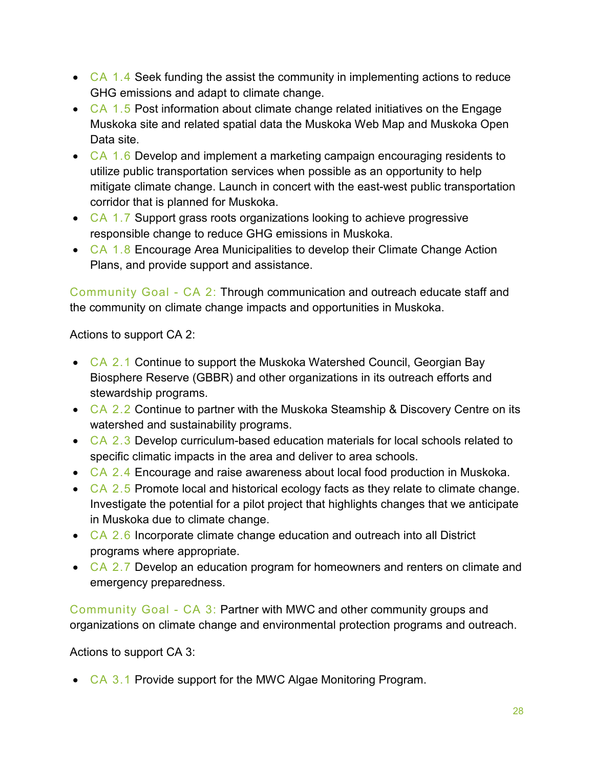- CA 1.4 Seek funding the assist the community in implementing actions to reduce GHG emissions and adapt to climate change.
- CA 1.5 Post information about climate change related initiatives on the Engage Muskoka site and related spatial data the Muskoka Web Map and Muskoka Open Data site.
- CA 1.6 Develop and implement a marketing campaign encouraging residents to utilize public transportation services when possible as an opportunity to help mitigate climate change. Launch in concert with the east-west public transportation corridor that is planned for Muskoka.
- CA 1.7 Support grass roots organizations looking to achieve progressive responsible change to reduce GHG emissions in Muskoka.
- CA 1.8 Encourage Area Municipalities to develop their Climate Change Action Plans, and provide support and assistance.

Community Goal - CA 2: Through communication and outreach educate staff and the community on climate change impacts and opportunities in Muskoka.

Actions to support CA 2:

- CA 2.1 Continue to support the Muskoka Watershed Council, Georgian Bay Biosphere Reserve (GBBR) and other organizations in its outreach efforts and stewardship programs.
- CA 2.2 Continue to partner with the Muskoka Steamship & Discovery Centre on its watershed and sustainability programs.
- CA 2.3 Develop curriculum-based education materials for local schools related to specific climatic impacts in the area and deliver to area schools.
- CA 2.4 Encourage and raise awareness about local food production in Muskoka.
- CA 2.5 Promote local and historical ecology facts as they relate to climate change. Investigate the potential for a pilot project that highlights changes that we anticipate in Muskoka due to climate change.
- CA 2.6 Incorporate climate change education and outreach into all District programs where appropriate.
- CA 2.7 Develop an education program for homeowners and renters on climate and emergency preparedness.

Community Goal - CA 3: Partner with MWC and other community groups and organizations on climate change and environmental protection programs and outreach.

Actions to support CA 3:

• CA 3.1 Provide support for the MWC Algae Monitoring Program.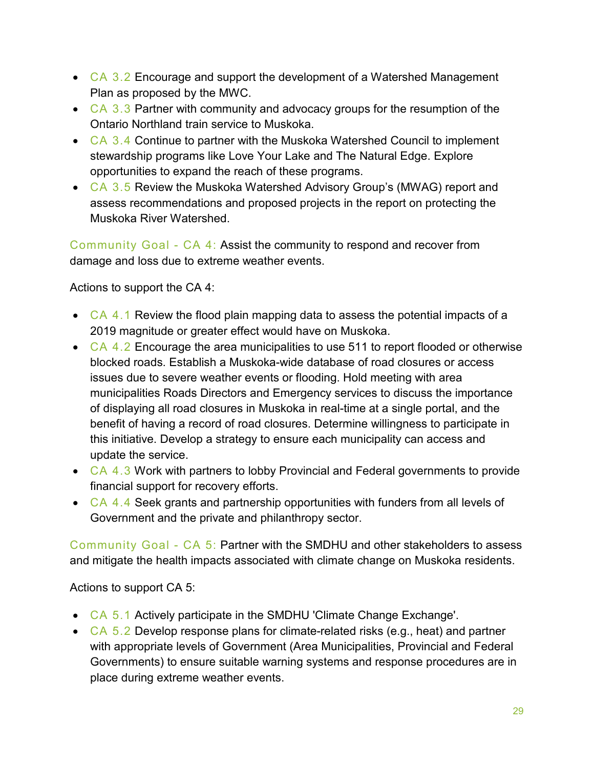- CA 3.2 Encourage and support the development of a Watershed Management Plan as proposed by the MWC.
- $CA$  3.3 Partner with community and advocacy groups for the resumption of the Ontario Northland train service to Muskoka.
- CA 3.4 Continue to partner with the Muskoka Watershed Council to implement stewardship programs like Love Your Lake and The Natural Edge. Explore opportunities to expand the reach of these programs.
- CA 3.5 Review the Muskoka Watershed Advisory Group's (MWAG) report and assess recommendations and proposed projects in the report on protecting the Muskoka River Watershed.

Community Goal - CA 4: Assist the community to respond and recover from damage and loss due to extreme weather events.

Actions to support the CA 4:

- CA 4.1 Review the flood plain mapping data to assess the potential impacts of a 2019 magnitude or greater effect would have on Muskoka.
- $CA$  4.2 Encourage the area municipalities to use 511 to report flooded or otherwise blocked roads. Establish a Muskoka-wide database of road closures or access issues due to severe weather events or flooding. Hold meeting with area municipalities Roads Directors and Emergency services to discuss the importance of displaying all road closures in Muskoka in real-time at a single portal, and the benefit of having a record of road closures. Determine willingness to participate in this initiative. Develop a strategy to ensure each municipality can access and update the service.
- CA 4.3 Work with partners to lobby Provincial and Federal governments to provide financial support for recovery efforts.
- CA 4.4 Seek grants and partnership opportunities with funders from all levels of Government and the private and philanthropy sector.

Community Goal - CA 5: Partner with the SMDHU and other stakeholders to assess and mitigate the health impacts associated with climate change on Muskoka residents.

Actions to support CA 5:

- CA 5.1 Actively participate in the SMDHU 'Climate Change Exchange'.
- $CA$  5.2 Develop response plans for climate-related risks (e.g., heat) and partner with appropriate levels of Government (Area Municipalities, Provincial and Federal Governments) to ensure suitable warning systems and response procedures are in place during extreme weather events.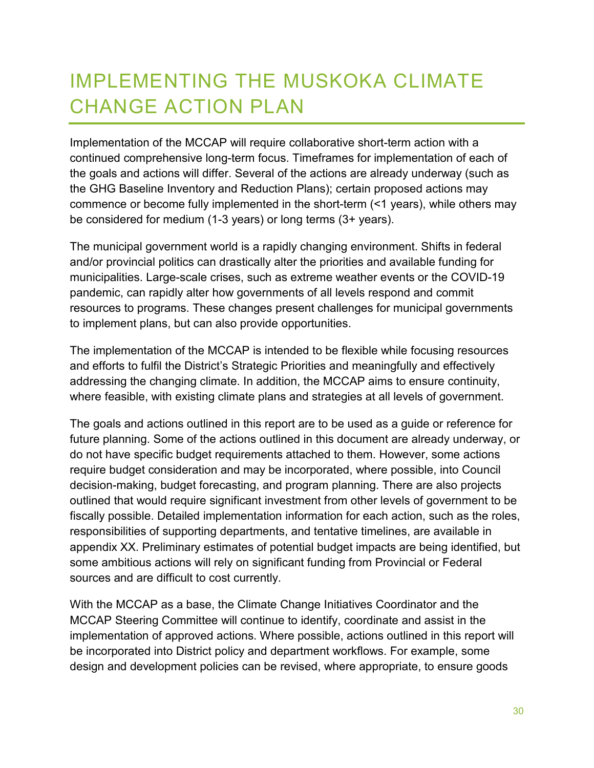# <span id="page-29-0"></span>IMPLEMENTING THE MUSKOKA CLIMATE CHANGE ACTION PLAN

Implementation of the MCCAP will require collaborative short-term action with a continued comprehensive long-term focus. Timeframes for implementation of each of the goals and actions will differ. Several of the actions are already underway (such as the GHG Baseline Inventory and Reduction Plans); certain proposed actions may commence or become fully implemented in the short-term (<1 years), while others may be considered for medium (1-3 years) or long terms (3+ years).

The municipal government world is a rapidly changing environment. Shifts in federal and/or provincial politics can drastically alter the priorities and available funding for municipalities. Large-scale crises, such as extreme weather events or the COVID-19 pandemic, can rapidly alter how governments of all levels respond and commit resources to programs. These changes present challenges for municipal governments to implement plans, but can also provide opportunities.

The implementation of the MCCAP is intended to be flexible while focusing resources and efforts to fulfil the District's Strategic Priorities and meaningfully and effectively addressing the changing climate. In addition, the MCCAP aims to ensure continuity, where feasible, with existing climate plans and strategies at all levels of government.

The goals and actions outlined in this report are to be used as a guide or reference for future planning. Some of the actions outlined in this document are already underway, or do not have specific budget requirements attached to them. However, some actions require budget consideration and may be incorporated, where possible, into Council decision-making, budget forecasting, and program planning. There are also projects outlined that would require significant investment from other levels of government to be fiscally possible. Detailed implementation information for each action, such as the roles, responsibilities of supporting departments, and tentative timelines, are available in appendix XX. Preliminary estimates of potential budget impacts are being identified, but some ambitious actions will rely on significant funding from Provincial or Federal sources and are difficult to cost currently.

With the MCCAP as a base, the Climate Change Initiatives Coordinator and the MCCAP Steering Committee will continue to identify, coordinate and assist in the implementation of approved actions. Where possible, actions outlined in this report will be incorporated into District policy and department workflows. For example, some design and development policies can be revised, where appropriate, to ensure goods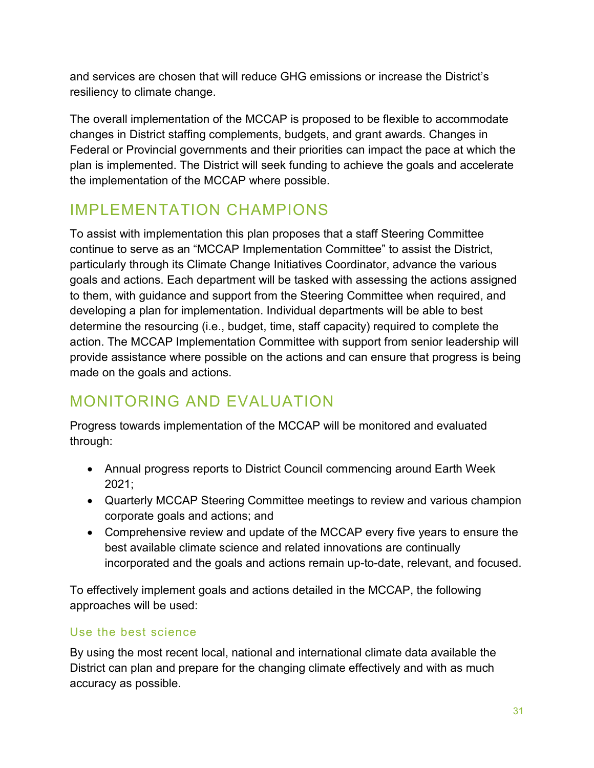and services are chosen that will reduce GHG emissions or increase the District's resiliency to climate change.

The overall implementation of the MCCAP is proposed to be flexible to accommodate changes in District staffing complements, budgets, and grant awards. Changes in Federal or Provincial governments and their priorities can impact the pace at which the plan is implemented. The District will seek funding to achieve the goals and accelerate the implementation of the MCCAP where possible.

### <span id="page-30-0"></span>IMPLEMENTATION CHAMPIONS

To assist with implementation this plan proposes that a staff Steering Committee continue to serve as an "MCCAP Implementation Committee" to assist the District, particularly through its Climate Change Initiatives Coordinator, advance the various goals and actions. Each department will be tasked with assessing the actions assigned to them, with guidance and support from the Steering Committee when required, and developing a plan for implementation. Individual departments will be able to best determine the resourcing (i.e., budget, time, staff capacity) required to complete the action. The MCCAP Implementation Committee with support from senior leadership will provide assistance where possible on the actions and can ensure that progress is being made on the goals and actions.

## <span id="page-30-1"></span>MONITORING AND EVALUATION

Progress towards implementation of the MCCAP will be monitored and evaluated through:

- Annual progress reports to District Council commencing around Earth Week 2021;
- Quarterly MCCAP Steering Committee meetings to review and various champion corporate goals and actions; and
- Comprehensive review and update of the MCCAP every five years to ensure the best available climate science and related innovations are continually incorporated and the goals and actions remain up-to-date, relevant, and focused.

To effectively implement goals and actions detailed in the MCCAP, the following approaches will be used:

### Use the best science

By using the most recent local, national and international climate data available the District can plan and prepare for the changing climate effectively and with as much accuracy as possible.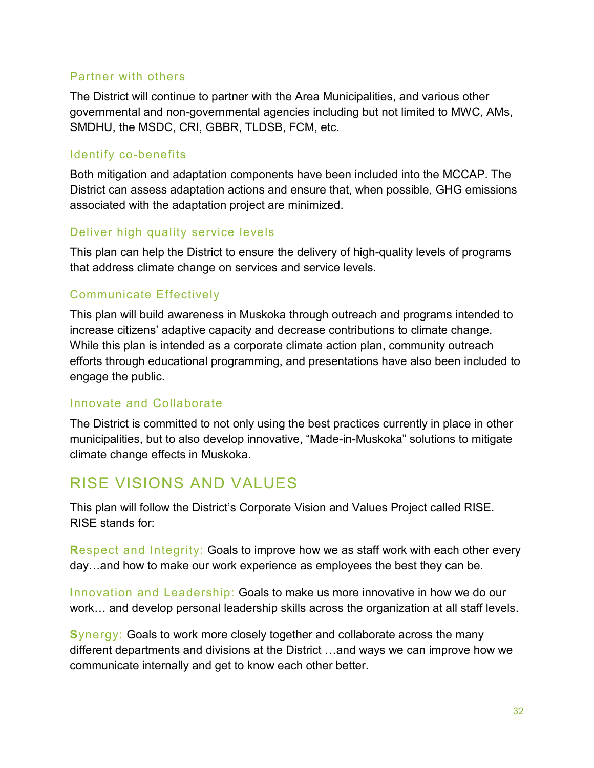#### Partner with others

The District will continue to partner with the Area Municipalities, and various other governmental and non-governmental agencies including but not limited to MWC, AMs, SMDHU, the MSDC, CRI, GBBR, TLDSB, FCM, etc.

#### Identify co-benefits

Both mitigation and adaptation components have been included into the MCCAP. The District can assess adaptation actions and ensure that, when possible, GHG emissions associated with the adaptation project are minimized.

### Deliver high quality service levels

This plan can help the District to ensure the delivery of high-quality levels of programs that address climate change on services and service levels.

### Communicate Effectively

This plan will build awareness in Muskoka through outreach and programs intended to increase citizens' adaptive capacity and decrease contributions to climate change. While this plan is intended as a corporate climate action plan, community outreach efforts through educational programming, and presentations have also been included to engage the public.

### Innovate and Collaborate

The District is committed to not only using the best practices currently in place in other municipalities, but to also develop innovative, "Made-in-Muskoka" solutions to mitigate climate change effects in Muskoka.

### <span id="page-31-0"></span>RISE VISIONS AND VALUES

This plan will follow the District's Corporate Vision and Values Project called RISE. RISE stands for:

**R**espect and Integrity: Goals to improve how we as staff work with each other every day…and how to make our work experience as employees the best they can be.

**I**nnovation and Leadership: Goals to make us more innovative in how we do our work… and develop personal leadership skills across the organization at all staff levels.

**S**ynergy: Goals to work more closely together and collaborate across the many different departments and divisions at the District …and ways we can improve how we communicate internally and get to know each other better.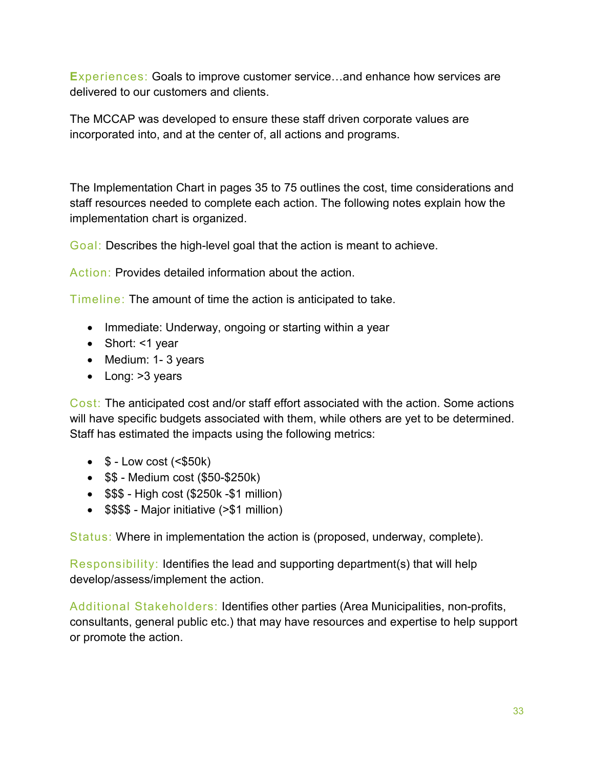**E**xperiences: Goals to improve customer service…and enhance how services are delivered to our customers and clients.

The MCCAP was developed to ensure these staff driven corporate values are incorporated into, and at the center of, all actions and programs.

<span id="page-32-0"></span>The Implementation Chart in pages 35 to 75 outlines the cost, time considerations and staff resources needed to complete each action. The following notes explain how the implementation chart is organized.

Goal: Describes the high-level goal that the action is meant to achieve.

Action: Provides detailed information about the action.

Timeline: The amount of time the action is anticipated to take.

- Immediate: Underway, ongoing or starting within a year
- Short: <1 year
- Medium: 1- 3 years
- Long: > 3 years

Cost: The anticipated cost and/or staff effort associated with the action. Some actions will have specific budgets associated with them, while others are yet to be determined. Staff has estimated the impacts using the following metrics:

- $\bullet$  \$ Low cost ( $\le$ \$50k)
- \$\$ Medium cost (\$50-\$250k)
- \$\$\$ High cost (\$250k -\$1 million)
- \$\$\$\$ Major initiative (>\$1 million)

Status: Where in implementation the action is (proposed, underway, complete).

Responsibility: Identifies the lead and supporting department(s) that will help develop/assess/implement the action.

Additional Stakeholders: Identifies other parties (Area Municipalities, non-profits, consultants, general public etc.) that may have resources and expertise to help support or promote the action.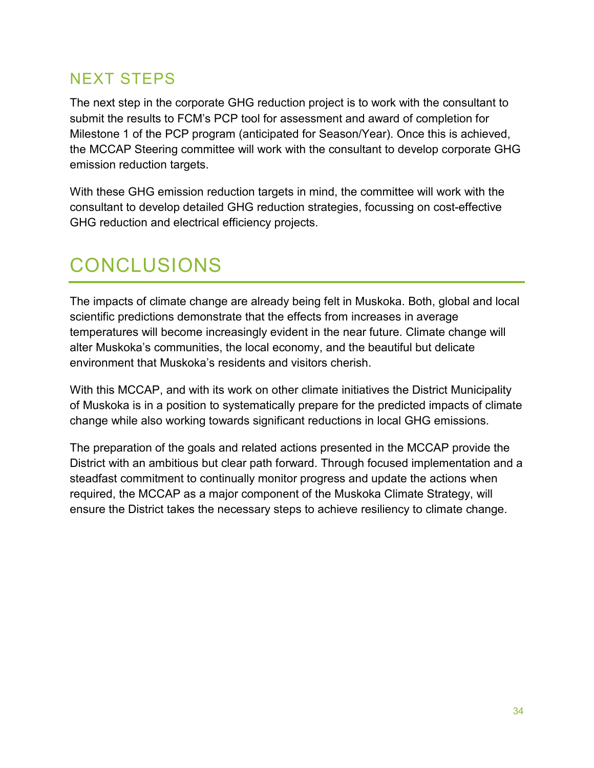### <span id="page-33-0"></span>NEXT STEPS

The next step in the corporate GHG reduction project is to work with the consultant to submit the results to FCM's PCP tool for assessment and award of completion for Milestone 1 of the PCP program (anticipated for Season/Year). Once this is achieved, the MCCAP Steering committee will work with the consultant to develop corporate GHG emission reduction targets.

With these GHG emission reduction targets in mind, the committee will work with the consultant to develop detailed GHG reduction strategies, focussing on cost-effective GHG reduction and electrical efficiency projects.

# <span id="page-33-1"></span>CONCLUSIONS

The impacts of climate change are already being felt in Muskoka. Both, global and local scientific predictions demonstrate that the effects from increases in average temperatures will become increasingly evident in the near future. Climate change will alter Muskoka's communities, the local economy, and the beautiful but delicate environment that Muskoka's residents and visitors cherish.

With this MCCAP, and with its work on other climate initiatives the District Municipality of Muskoka is in a position to systematically prepare for the predicted impacts of climate change while also working towards significant reductions in local GHG emissions.

The preparation of the goals and related actions presented in the MCCAP provide the District with an ambitious but clear path forward. Through focused implementation and a steadfast commitment to continually monitor progress and update the actions when required, the MCCAP as a major component of the Muskoka Climate Strategy, will ensure the District takes the necessary steps to achieve resiliency to climate change.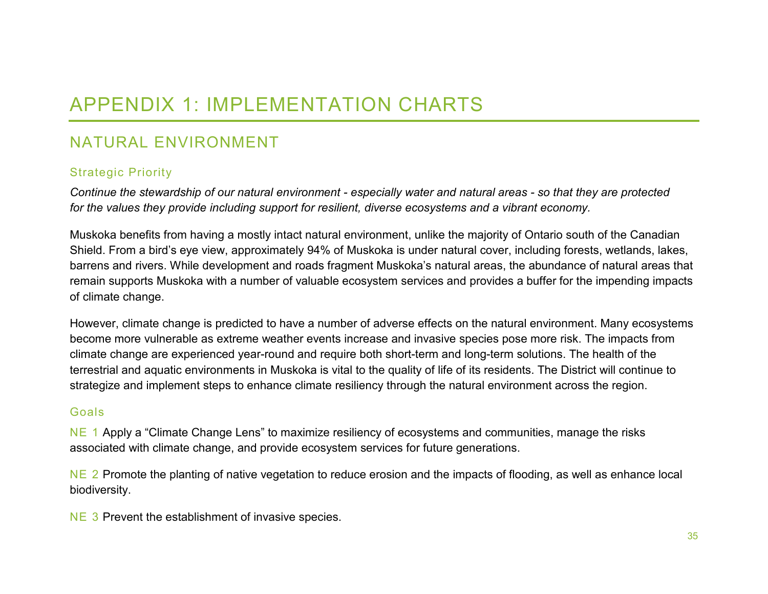# APPENDIX 1: IMPLEMENTATION CHARTS

### NATURAL ENVIRONMENT

### Strategic Priority

*Continue the stewardship of our natural environment - especially water and natural areas - so that they are protected for the values they provide including support for resilient, diverse ecosystems and a vibrant economy.*

<span id="page-34-0"></span>Muskoka benefits from having a mostly intact natural environment, unlike the majority of Ontario south of the Canadian Shield. From a bird's eye view, approximately 94% of Muskoka is under natural cover, including forests, wetlands, lakes, barrens and rivers. While development and roads fragment Muskoka's natural areas, the abundance of natural areas that remain supports Muskoka with a number of valuable ecosystem services and provides a buffer for the impending impacts of climate change.

<span id="page-34-1"></span>However, climate change is predicted to have a number of adverse effects on the natural environment. Many ecosystems become more vulnerable as extreme weather events increase and invasive species pose more risk. The impacts from climate change are experienced year-round and require both short-term and long-term solutions. The health of the terrestrial and aquatic environments in Muskoka is vital to the quality of life of its residents. The District will continue to strategize and implement steps to enhance climate resiliency through the natural environment across the region.

#### Goals

NE 1 Apply a "Climate Change Lens" to maximize resiliency of ecosystems and communities, manage the risks associated with climate change, and provide ecosystem services for future generations.

NE 2 Promote the planting of native vegetation to reduce erosion and the impacts of flooding, as well as enhance local biodiversity.

NE 3 Prevent the establishment of invasive species.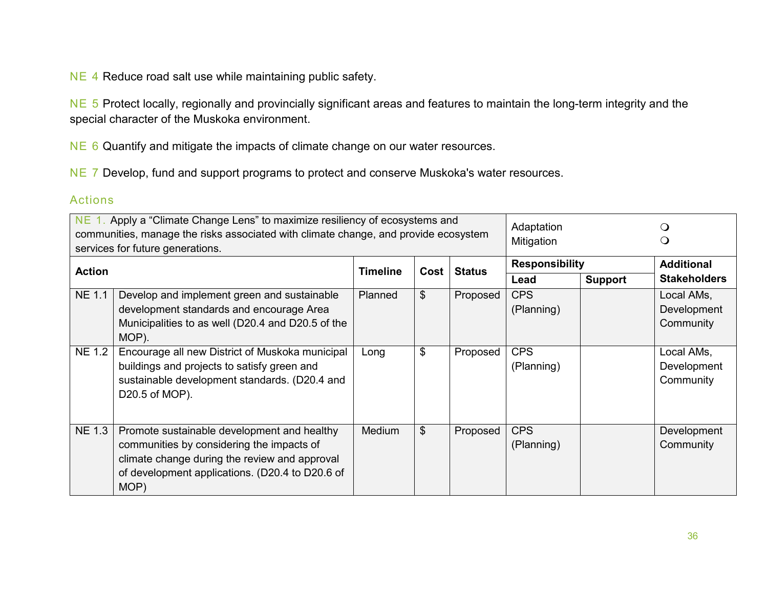NE 4 Reduce road salt use while maintaining public safety.

NE 5 Protect locally, regionally and provincially significant areas and features to maintain the long-term integrity and the special character of the Muskoka environment.

NE 6 Quantify and mitigate the impacts of climate change on our water resources.

NE 7 Develop, fund and support programs to protect and conserve Muskoka's water resources.

#### Actions

| NE 1. Apply a "Climate Change Lens" to maximize resiliency of ecosystems and        |                                                   |                 |                |               | Adaptation            |                |                     |
|-------------------------------------------------------------------------------------|---------------------------------------------------|-----------------|----------------|---------------|-----------------------|----------------|---------------------|
| communities, manage the risks associated with climate change, and provide ecosystem |                                                   |                 |                |               |                       |                | $\cup$              |
| services for future generations.                                                    |                                                   |                 |                |               | Mitigation            |                |                     |
| <b>Action</b>                                                                       |                                                   | <b>Timeline</b> | Cost           | <b>Status</b> | <b>Responsibility</b> |                | <b>Additional</b>   |
|                                                                                     |                                                   |                 |                |               | Lead                  | <b>Support</b> | <b>Stakeholders</b> |
| <b>NE 1.1</b>                                                                       | Develop and implement green and sustainable       | Planned         | $\mathfrak{L}$ | Proposed      | <b>CPS</b>            |                | Local AMs,          |
|                                                                                     | development standards and encourage Area          |                 |                |               | (Planning)            |                | Development         |
|                                                                                     | Municipalities to as well (D20.4 and D20.5 of the |                 |                |               |                       |                | Community           |
|                                                                                     | MOP).                                             |                 |                |               |                       |                |                     |
| <b>NE 1.2</b>                                                                       | Encourage all new District of Muskoka municipal   | Long            | \$             | Proposed      | <b>CPS</b>            |                | Local AMs,          |
|                                                                                     | buildings and projects to satisfy green and       |                 |                |               | (Planning)            |                | Development         |
|                                                                                     | sustainable development standards. (D20.4 and     |                 |                |               |                       |                | Community           |
|                                                                                     | D20.5 of MOP).                                    |                 |                |               |                       |                |                     |
|                                                                                     |                                                   |                 |                |               |                       |                |                     |
|                                                                                     |                                                   |                 |                |               |                       |                |                     |
| <b>NE 1.3</b>                                                                       | Promote sustainable development and healthy       | <b>Medium</b>   | $\mathfrak{L}$ | Proposed      | <b>CPS</b>            |                | Development         |
|                                                                                     | communities by considering the impacts of         |                 |                |               | (Planning)            |                | Community           |
|                                                                                     | climate change during the review and approval     |                 |                |               |                       |                |                     |
|                                                                                     | of development applications. (D20.4 to D20.6 of   |                 |                |               |                       |                |                     |
|                                                                                     | MOP)                                              |                 |                |               |                       |                |                     |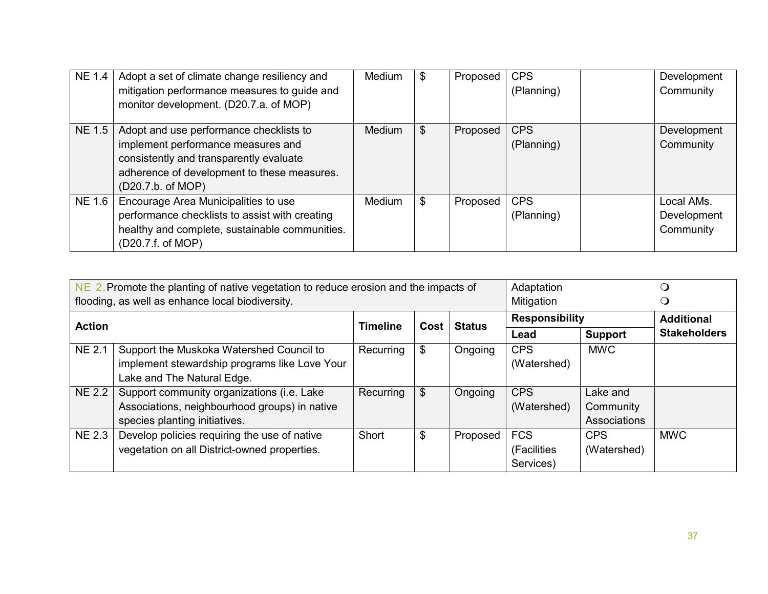| <b>NE 1.4</b> | Adopt a set of climate change resiliency and<br>mitigation performance measures to guide and<br>monitor development. (D20.7.a. of MOP)                                                       | Medium | \$<br>Proposed | <b>CPS</b><br>(Planning) | Development<br>Community               |
|---------------|----------------------------------------------------------------------------------------------------------------------------------------------------------------------------------------------|--------|----------------|--------------------------|----------------------------------------|
| <b>NE 1.5</b> | Adopt and use performance checklists to<br>implement performance measures and<br>consistently and transparently evaluate<br>adherence of development to these measures.<br>(D20.7.b. of MOP) | Medium | \$<br>Proposed | <b>CPS</b><br>(Planning) | Development<br>Community               |
| <b>NE 1.6</b> | Encourage Area Municipalities to use<br>performance checklists to assist with creating<br>healthy and complete, sustainable communities.<br>(D20.7.f. of MOP)                                | Medium | \$<br>Proposed | <b>CPS</b><br>(Planning) | Local AMs.<br>Development<br>Community |

|               | $NE$ 2. Promote the planting of native vegetation to reduce erosion and the impacts of                                       |                 |      |               |                                        | Adaptation                            |                     |
|---------------|------------------------------------------------------------------------------------------------------------------------------|-----------------|------|---------------|----------------------------------------|---------------------------------------|---------------------|
|               | flooding, as well as enhance local biodiversity.                                                                             |                 |      |               | Mitigation                             |                                       |                     |
| <b>Action</b> |                                                                                                                              | <b>Timeline</b> | Cost | <b>Status</b> | <b>Responsibility</b>                  |                                       | <b>Additional</b>   |
|               |                                                                                                                              |                 |      |               | Lead                                   | <b>Support</b>                        | <b>Stakeholders</b> |
| <b>NE 2.1</b> | Support the Muskoka Watershed Council to<br>implement stewardship programs like Love Your<br>Lake and The Natural Edge.      | Recurring       | \$   | Ongoing       | <b>CPS</b><br>(Watershed)              | <b>MWC</b>                            |                     |
| <b>NE 2.2</b> | Support community organizations (i.e. Lake<br>Associations, neighbourhood groups) in native<br>species planting initiatives. | Recurring       | \$   | Ongoing       | <b>CPS</b><br>(Watershed)              | Lake and<br>Community<br>Associations |                     |
| <b>NE 2.3</b> | Develop policies requiring the use of native<br>vegetation on all District-owned properties.                                 | Short           | \$   | Proposed      | <b>FCS</b><br>(Facilities<br>Services) | <b>CPS</b><br>(Watershed)             | <b>MWC</b>          |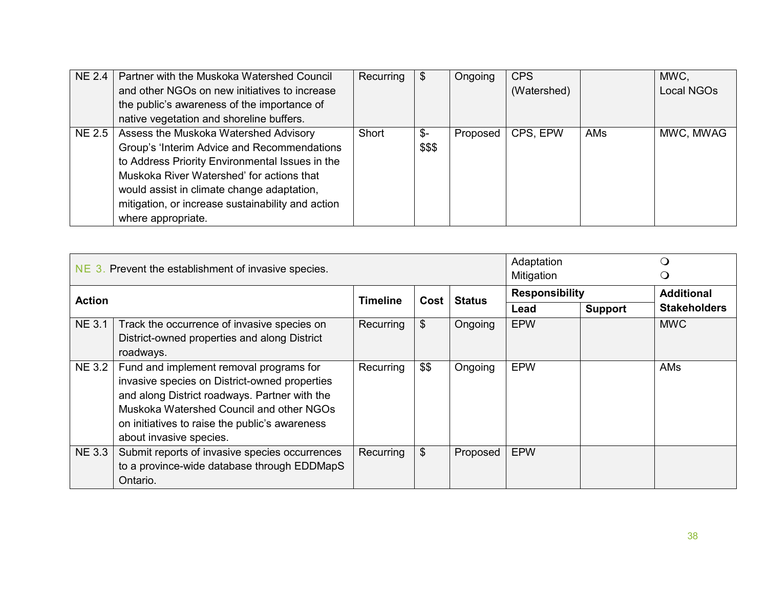| NE 2.4        | Partner with the Muskoka Watershed Council        | Recurring | \$     | Ongoing  | <b>CPS</b>  |     | MWC,       |
|---------------|---------------------------------------------------|-----------|--------|----------|-------------|-----|------------|
|               | and other NGOs on new initiatives to increase     |           |        |          | (Watershed) |     | Local NGOs |
|               | the public's awareness of the importance of       |           |        |          |             |     |            |
|               | native vegetation and shoreline buffers.          |           |        |          |             |     |            |
| <b>NE 2.5</b> | Assess the Muskoka Watershed Advisory             | Short     | \$-    | Proposed | CPS, EPW    | AMs | MWC, MWAG  |
|               | Group's 'Interim Advice and Recommendations       |           | \$\$\$ |          |             |     |            |
|               | to Address Priority Environmental Issues in the   |           |        |          |             |     |            |
|               | Muskoka River Watershed' for actions that         |           |        |          |             |     |            |
|               | would assist in climate change adaptation,        |           |        |          |             |     |            |
|               | mitigation, or increase sustainability and action |           |        |          |             |     |            |
|               | where appropriate.                                |           |        |          |             |     |            |

|               | NE 3. Prevent the establishment of invasive species. |                 | Adaptation<br>Mitigation |               | ( )<br>Ő              |                |                     |
|---------------|------------------------------------------------------|-----------------|--------------------------|---------------|-----------------------|----------------|---------------------|
| <b>Action</b> |                                                      | <b>Timeline</b> | Cost                     | <b>Status</b> | <b>Responsibility</b> |                | <b>Additional</b>   |
|               |                                                      |                 |                          |               | Lead                  | <b>Support</b> | <b>Stakeholders</b> |
| <b>NE 3.1</b> | Track the occurrence of invasive species on          | Recurring       | \$                       | Ongoing       | <b>EPW</b>            |                | <b>MWC</b>          |
|               | District-owned properties and along District         |                 |                          |               |                       |                |                     |
|               | roadways.                                            |                 |                          |               |                       |                |                     |
| <b>NE 3.2</b> | Fund and implement removal programs for              | Recurring       | \$\$                     | Ongoing       | <b>EPW</b>            |                | AMs                 |
|               | invasive species on District-owned properties        |                 |                          |               |                       |                |                     |
|               | and along District roadways. Partner with the        |                 |                          |               |                       |                |                     |
|               | Muskoka Watershed Council and other NGOs             |                 |                          |               |                       |                |                     |
|               | on initiatives to raise the public's awareness       |                 |                          |               |                       |                |                     |
|               | about invasive species.                              |                 |                          |               |                       |                |                     |
| <b>NE 3.3</b> | Submit reports of invasive species occurrences       | Recurring       | \$                       | Proposed      | <b>EPW</b>            |                |                     |
|               | to a province-wide database through EDDMapS          |                 |                          |               |                       |                |                     |
|               | Ontario.                                             |                 |                          |               |                       |                |                     |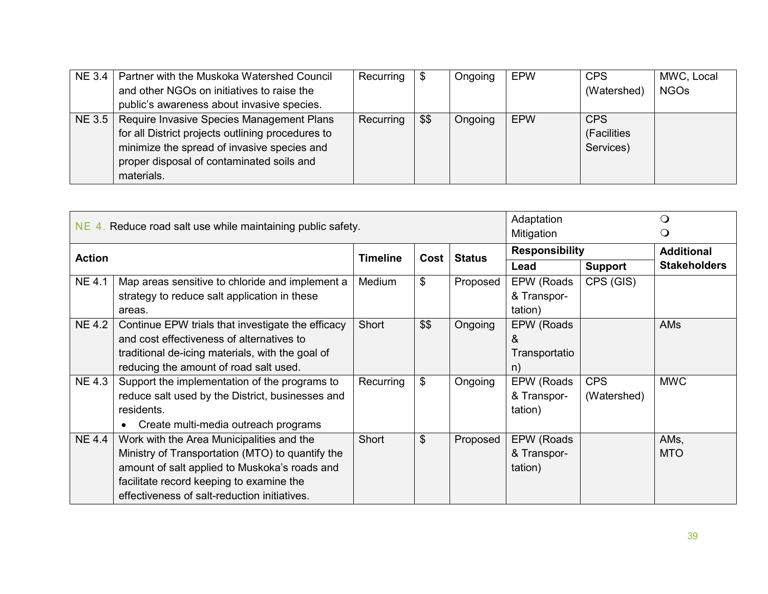| $NE$ 3.4 $\vert$ | Partner with the Muskoka Watershed Council        | Recurring |      | Ongoing | <b>EPW</b> | <b>CPS</b>  | MWC, Local  |
|------------------|---------------------------------------------------|-----------|------|---------|------------|-------------|-------------|
|                  | and other NGOs on initiatives to raise the        |           |      |         |            | (Watershed) | <b>NGOs</b> |
|                  | public's awareness about invasive species.        |           |      |         |            |             |             |
| NE 3.5           | Require Invasive Species Management Plans         | Recurring | \$\$ | Ongoing | <b>EPW</b> | <b>CPS</b>  |             |
|                  | for all District projects outlining procedures to |           |      |         |            | (Facilities |             |
|                  | minimize the spread of invasive species and       |           |      |         |            | Services)   |             |
|                  | proper disposal of contaminated soils and         |           |      |         |            |             |             |
|                  | materials.                                        |           |      |         |            |             |             |

|               | NE 4. Reduce road salt use while maintaining public safety. | Adaptation<br>Mitigation |                           |               |                       |                |                     |
|---------------|-------------------------------------------------------------|--------------------------|---------------------------|---------------|-----------------------|----------------|---------------------|
| <b>Action</b> |                                                             | <b>Timeline</b>          | Cost                      | <b>Status</b> | <b>Responsibility</b> |                | <b>Additional</b>   |
|               |                                                             |                          |                           |               | Lead                  | <b>Support</b> | <b>Stakeholders</b> |
| <b>NE4.1</b>  | Map areas sensitive to chloride and implement a             | Medium                   | \$                        | Proposed      | EPW (Roads            | CPS (GIS)      |                     |
|               | strategy to reduce salt application in these                |                          |                           |               | & Transpor-           |                |                     |
|               | areas.                                                      |                          |                           |               | tation)               |                |                     |
| <b>NE4.2</b>  | Continue EPW trials that investigate the efficacy           | Short                    | \$\$                      | Ongoing       | EPW (Roads            |                | <b>AMs</b>          |
|               | and cost effectiveness of alternatives to                   |                          |                           |               | &                     |                |                     |
|               | traditional de-icing materials, with the goal of            |                          |                           |               | Transportatio         |                |                     |
|               | reducing the amount of road salt used.                      |                          |                           |               | n)                    |                |                     |
| <b>NE 4.3</b> | Support the implementation of the programs to               | Recurring                | \$                        | Ongoing       | EPW (Roads            | <b>CPS</b>     | <b>MWC</b>          |
|               | reduce salt used by the District, businesses and            |                          |                           |               | & Transpor-           | (Watershed)    |                     |
|               | residents.                                                  |                          |                           |               | tation)               |                |                     |
|               | Create multi-media outreach programs                        |                          |                           |               |                       |                |                     |
| <b>NE 4.4</b> | Work with the Area Municipalities and the                   | Short                    | $\boldsymbol{\mathsf{S}}$ | Proposed      | EPW (Roads            |                | AMs,                |
|               | Ministry of Transportation (MTO) to quantify the            |                          |                           |               | & Transpor-           |                | <b>MTO</b>          |
|               | amount of salt applied to Muskoka's roads and               |                          |                           |               | tation)               |                |                     |
|               | facilitate record keeping to examine the                    |                          |                           |               |                       |                |                     |
|               | effectiveness of salt-reduction initiatives.                |                          |                           |               |                       |                |                     |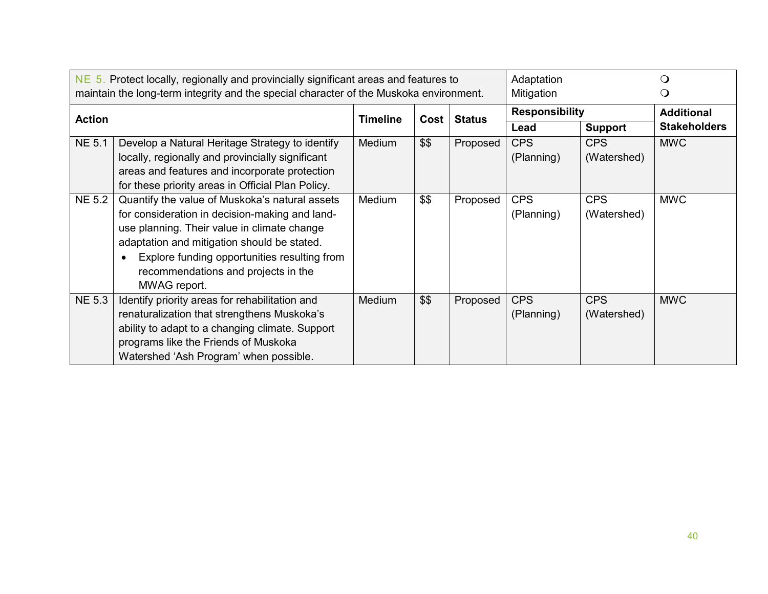|               | $NE$ 5. Protect locally, regionally and provincially significant areas and features to<br>maintain the long-term integrity and the special character of the Muskoka environment.                                                                                                                      | Adaptation<br>Mitigation |      | $\Omega$<br>Ő |                          |                           |                     |
|---------------|-------------------------------------------------------------------------------------------------------------------------------------------------------------------------------------------------------------------------------------------------------------------------------------------------------|--------------------------|------|---------------|--------------------------|---------------------------|---------------------|
| <b>Action</b> |                                                                                                                                                                                                                                                                                                       | <b>Timeline</b>          | Cost | <b>Status</b> | <b>Responsibility</b>    |                           | <b>Additional</b>   |
|               |                                                                                                                                                                                                                                                                                                       |                          |      |               | Lead                     | <b>Support</b>            | <b>Stakeholders</b> |
| <b>NE 5.1</b> | Develop a Natural Heritage Strategy to identify<br>locally, regionally and provincially significant<br>areas and features and incorporate protection<br>for these priority areas in Official Plan Policy.                                                                                             | Medium                   | \$\$ | Proposed      | <b>CPS</b><br>(Planning) | <b>CPS</b><br>(Watershed) | <b>MWC</b>          |
| <b>NE 5.2</b> | Quantify the value of Muskoka's natural assets<br>for consideration in decision-making and land-<br>use planning. Their value in climate change<br>adaptation and mitigation should be stated.<br>Explore funding opportunities resulting from<br>recommendations and projects in the<br>MWAG report. | Medium                   | \$\$ | Proposed      | <b>CPS</b><br>(Planning) | <b>CPS</b><br>(Watershed) | <b>MWC</b>          |
| <b>NE 5.3</b> | Identify priority areas for rehabilitation and<br>renaturalization that strengthens Muskoka's<br>ability to adapt to a changing climate. Support<br>programs like the Friends of Muskoka<br>Watershed 'Ash Program' when possible.                                                                    | <b>Medium</b>            | \$\$ | Proposed      | <b>CPS</b><br>(Planning) | <b>CPS</b><br>(Watershed) | <b>MWC</b>          |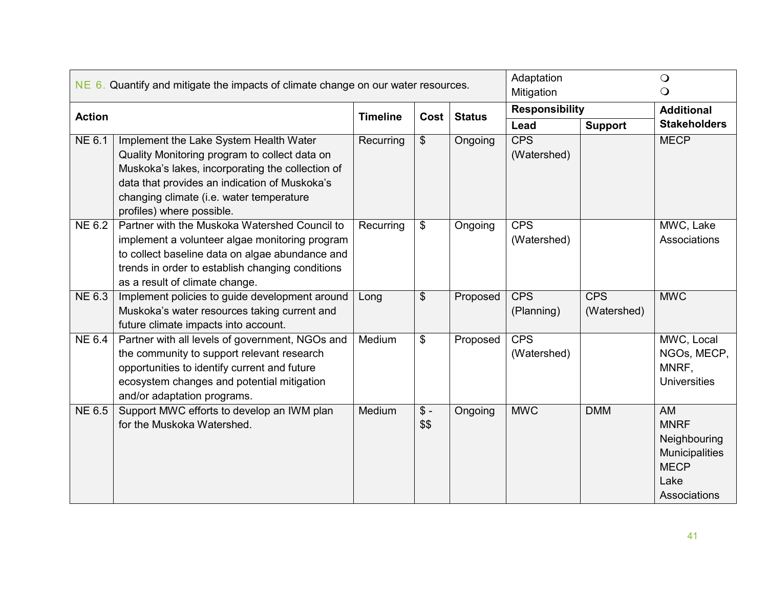|               | $NE$ 6. Quantify and mitigate the impacts of climate change on our water resources.                                                                                                                                                                                   |                 | Adaptation<br>Mitigation        |               | $\bigcirc$<br>$\bigcirc$  |                           |                                                                                                   |
|---------------|-----------------------------------------------------------------------------------------------------------------------------------------------------------------------------------------------------------------------------------------------------------------------|-----------------|---------------------------------|---------------|---------------------------|---------------------------|---------------------------------------------------------------------------------------------------|
| <b>Action</b> |                                                                                                                                                                                                                                                                       | <b>Timeline</b> | Cost                            | <b>Status</b> | <b>Responsibility</b>     |                           | <b>Additional</b>                                                                                 |
|               |                                                                                                                                                                                                                                                                       |                 |                                 |               | Lead                      | <b>Support</b>            | <b>Stakeholders</b>                                                                               |
| NE 6.1        | Implement the Lake System Health Water<br>Quality Monitoring program to collect data on<br>Muskoka's lakes, incorporating the collection of<br>data that provides an indication of Muskoka's<br>changing climate (i.e. water temperature<br>profiles) where possible. | Recurring       | \$                              | Ongoing       | <b>CPS</b><br>(Watershed) |                           | <b>MECP</b>                                                                                       |
| <b>NE 6.2</b> | Partner with the Muskoka Watershed Council to<br>implement a volunteer algae monitoring program<br>to collect baseline data on algae abundance and<br>trends in order to establish changing conditions<br>as a result of climate change.                              | Recurring       | \$                              | Ongoing       | <b>CPS</b><br>(Watershed) |                           | MWC, Lake<br>Associations                                                                         |
| NE 6.3        | Implement policies to guide development around<br>Muskoka's water resources taking current and<br>future climate impacts into account.                                                                                                                                | Long            | $\boldsymbol{\mathsf{S}}$       | Proposed      | <b>CPS</b><br>(Planning)  | <b>CPS</b><br>(Watershed) | <b>MWC</b>                                                                                        |
| <b>NE 6.4</b> | Partner with all levels of government, NGOs and<br>the community to support relevant research<br>opportunities to identify current and future<br>ecosystem changes and potential mitigation<br>and/or adaptation programs.                                            | Medium          | \$                              | Proposed      | <b>CPS</b><br>(Watershed) |                           | MWC, Local<br>NGOs, MECP,<br>MNRF,<br><b>Universities</b>                                         |
| <b>NE 6.5</b> | Support MWC efforts to develop an IWM plan<br>for the Muskoka Watershed.                                                                                                                                                                                              | Medium          | $\sqrt[6]{\frac{1}{2}}$<br>\$\$ | Ongoing       | <b>MWC</b>                | <b>DMM</b>                | <b>AM</b><br><b>MNRF</b><br>Neighbouring<br>Municipalities<br><b>MECP</b><br>Lake<br>Associations |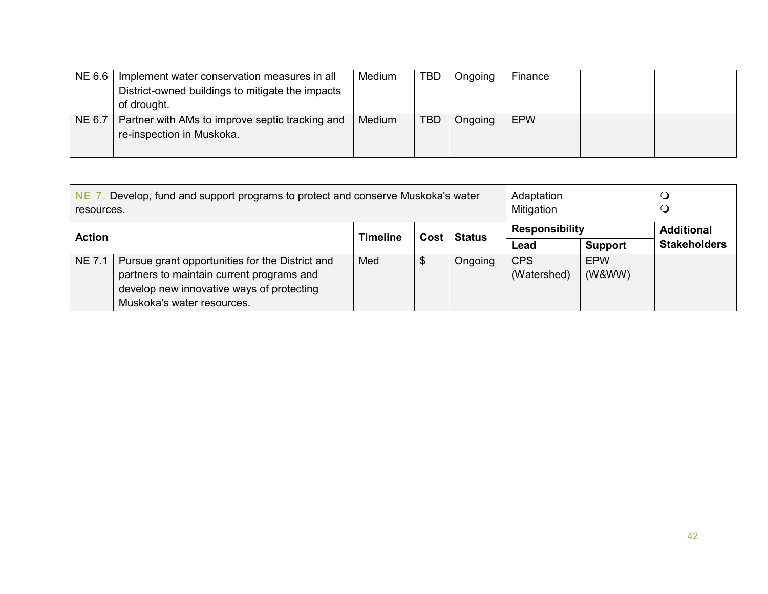| NE 6.6 | Implement water conservation measures in all     | Medium | <b>TBD</b> | Ongoing | Finance    |  |
|--------|--------------------------------------------------|--------|------------|---------|------------|--|
|        | District-owned buildings to mitigate the impacts |        |            |         |            |  |
|        | of drought.                                      |        |            |         |            |  |
| NE 6.7 | Partner with AMs to improve septic tracking and  | Medium | <b>TBD</b> | Ongoing | <b>EPW</b> |  |
|        | re-inspection in Muskoka.                        |        |            |         |            |  |
|        |                                                  |        |            |         |            |  |

| Develop, fund and support programs to protect and conserve Muskoka's water<br><b>NE 7.</b><br>resources. |                                                                         |      |               |                       | Adaptation<br>Mitigation |                   |                     |
|----------------------------------------------------------------------------------------------------------|-------------------------------------------------------------------------|------|---------------|-----------------------|--------------------------|-------------------|---------------------|
| <b>Action</b>                                                                                            | <b>Timeline</b>                                                         | Cost | <b>Status</b> | <b>Responsibility</b> |                          | <b>Additional</b> |                     |
|                                                                                                          |                                                                         |      |               |                       | Lead                     | <b>Support</b>    | <b>Stakeholders</b> |
| <b>NE 7.1</b>                                                                                            | Pursue grant opportunities for the District and                         | Med  | \$            | Ongoing               | <b>CPS</b>               | <b>EPW</b>        |                     |
|                                                                                                          | partners to maintain current programs and                               |      |               |                       | (Watershed)              | (W&WW)            |                     |
|                                                                                                          | develop new innovative ways of protecting<br>Muskoka's water resources. |      |               |                       |                          |                   |                     |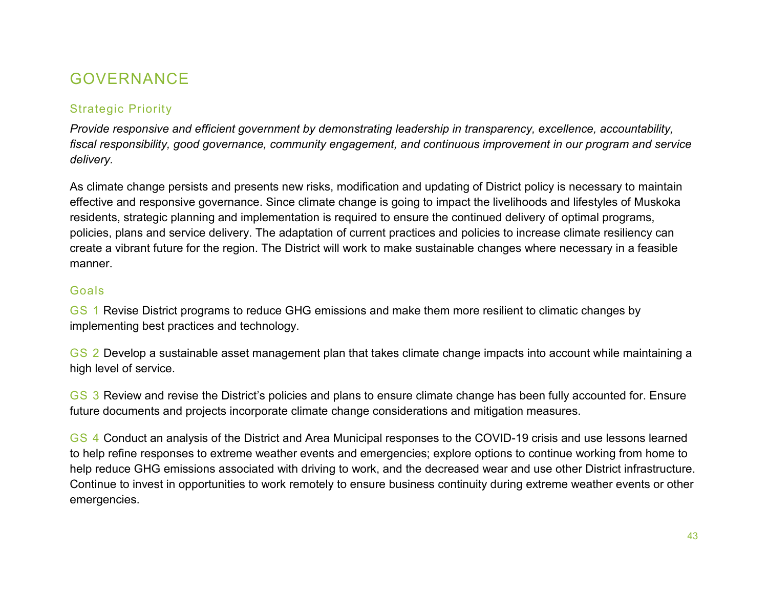# GOVERNANCE

### Strategic Priority

*Provide responsive and efficient government by demonstrating leadership in transparency, excellence, accountability, fiscal responsibility, good governance, community engagement, and continuous improvement in our program and service delivery.* 

As climate change persists and presents new risks, modification and updating of District policy is necessary to maintain effective and responsive governance. Since climate change is going to impact the livelihoods and lifestyles of Muskoka residents, strategic planning and implementation is required to ensure the continued delivery of optimal programs, policies, plans and service delivery. The adaptation of current practices and policies to increase climate resiliency can create a vibrant future for the region. The District will work to make sustainable changes where necessary in a feasible manner.

#### Goals

GS 1 Revise District programs to reduce GHG emissions and make them more resilient to climatic changes by implementing best practices and technology.

GS 2 Develop a sustainable asset management plan that takes climate change impacts into account while maintaining a high level of service.

GS 3 Review and revise the District's policies and plans to ensure climate change has been fully accounted for. Ensure future documents and projects incorporate climate change considerations and mitigation measures.

GS 4 Conduct an analysis of the District and Area Municipal responses to the COVID-19 crisis and use lessons learned to help refine responses to extreme weather events and emergencies; explore options to continue working from home to help reduce GHG emissions associated with driving to work, and the decreased wear and use other District infrastructure. Continue to invest in opportunities to work remotely to ensure business continuity during extreme weather events or other emergencies.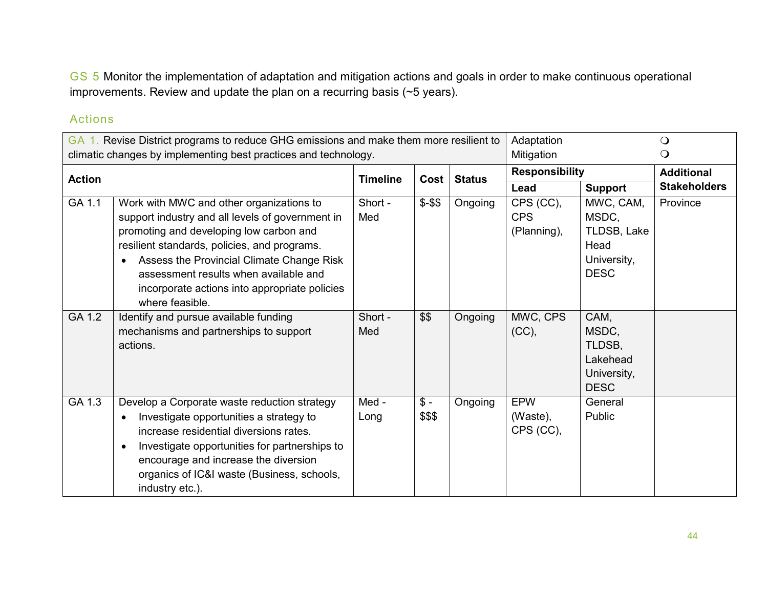GS 5 Monitor the implementation of adaptation and mitigation actions and goals in order to make continuous operational improvements. Review and update the plan on a recurring basis (~5 years).

|               | GA 1. Revise District programs to reduce GHG emissions and make them more resilient to                                                                                                                                                                                                                                                            |                 | Adaptation                |               | $\Omega$                               |                                                                         |                     |
|---------------|---------------------------------------------------------------------------------------------------------------------------------------------------------------------------------------------------------------------------------------------------------------------------------------------------------------------------------------------------|-----------------|---------------------------|---------------|----------------------------------------|-------------------------------------------------------------------------|---------------------|
|               | climatic changes by implementing best practices and technology.                                                                                                                                                                                                                                                                                   |                 |                           |               | Mitigation                             |                                                                         | O                   |
| <b>Action</b> |                                                                                                                                                                                                                                                                                                                                                   | <b>Timeline</b> | Cost                      | <b>Status</b> | <b>Responsibility</b>                  |                                                                         | <b>Additional</b>   |
|               |                                                                                                                                                                                                                                                                                                                                                   |                 |                           |               | Lead                                   | <b>Support</b>                                                          | <b>Stakeholders</b> |
| GA 1.1        | Work with MWC and other organizations to<br>support industry and all levels of government in<br>promoting and developing low carbon and<br>resilient standards, policies, and programs.<br>Assess the Provincial Climate Change Risk<br>assessment results when available and<br>incorporate actions into appropriate policies<br>where feasible. | Short -<br>Med  | $$ - $$                   | Ongoing       | CPS (CC),<br><b>CPS</b><br>(Planning), | MWC, CAM,<br>MSDC,<br>TLDSB, Lake<br>Head<br>University,<br><b>DESC</b> | Province            |
| GA 1.2        | Identify and pursue available funding<br>mechanisms and partnerships to support<br>actions.                                                                                                                                                                                                                                                       | Short -<br>Med  | \$\$                      | Ongoing       | MWC, CPS<br>(CC),                      | CAM,<br>MSDC,<br>TLDSB.<br>Lakehead<br>University,<br><b>DESC</b>       |                     |
| GA 1.3        | Develop a Corporate waste reduction strategy<br>Investigate opportunities a strategy to<br>increase residential diversions rates.<br>Investigate opportunities for partnerships to<br>encourage and increase the diversion<br>organics of IC&I waste (Business, schools,<br>industry etc.).                                                       | Med -<br>Long   | $\frac{2}{3}$ -<br>\$\$\$ | Ongoing       | <b>EPW</b><br>(Waste),<br>CPS (CC),    | General<br>Public                                                       |                     |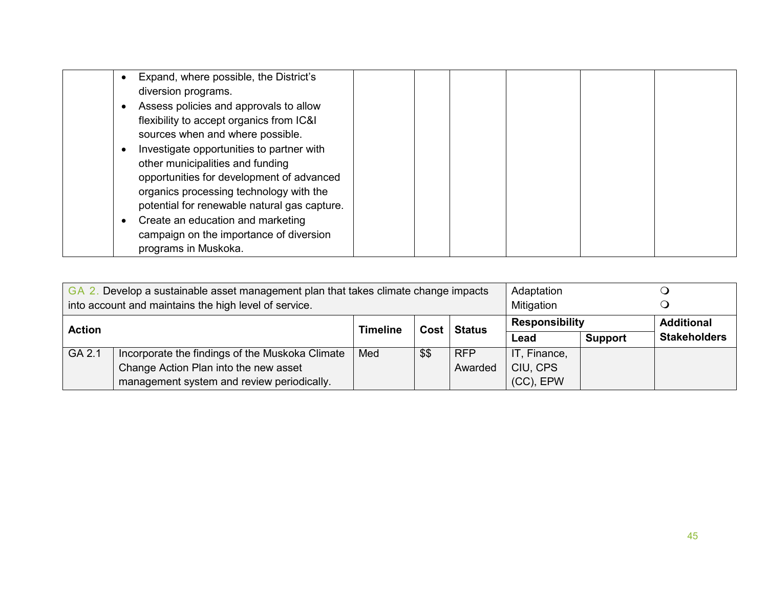| Expand, where possible, the District's<br>diversion programs.                                                                |  |  |
|------------------------------------------------------------------------------------------------------------------------------|--|--|
| Assess policies and approvals to allow<br>flexibility to accept organics from IC&I<br>sources when and where possible.       |  |  |
| Investigate opportunities to partner with<br>other municipalities and funding<br>opportunities for development of advanced   |  |  |
| organics processing technology with the<br>potential for renewable natural gas capture.<br>Create an education and marketing |  |  |
| campaign on the importance of diversion<br>programs in Muskoka.                                                              |  |  |

| Develop a sustainable asset management plan that takes climate change impacts<br>Adaptation<br>GA 2.<br>into account and maintains the high level of service.<br>Mitigation |                                                 |     |      |            |                       |                     |                   |
|-----------------------------------------------------------------------------------------------------------------------------------------------------------------------------|-------------------------------------------------|-----|------|------------|-----------------------|---------------------|-------------------|
| Cost Status<br><b>Action</b><br><b>Timeline</b>                                                                                                                             |                                                 |     |      |            | <b>Responsibility</b> |                     | <b>Additional</b> |
|                                                                                                                                                                             |                                                 |     |      | Lead       | <b>Support</b>        | <b>Stakeholders</b> |                   |
| GA 2.1                                                                                                                                                                      | Incorporate the findings of the Muskoka Climate | Med | \$\$ | <b>RFP</b> | IT, Finance,          |                     |                   |
|                                                                                                                                                                             | Change Action Plan into the new asset           |     |      | Awarded    | CIU, CPS              |                     |                   |
|                                                                                                                                                                             | management system and review periodically.      |     |      |            | $(CC)$ , EPW          |                     |                   |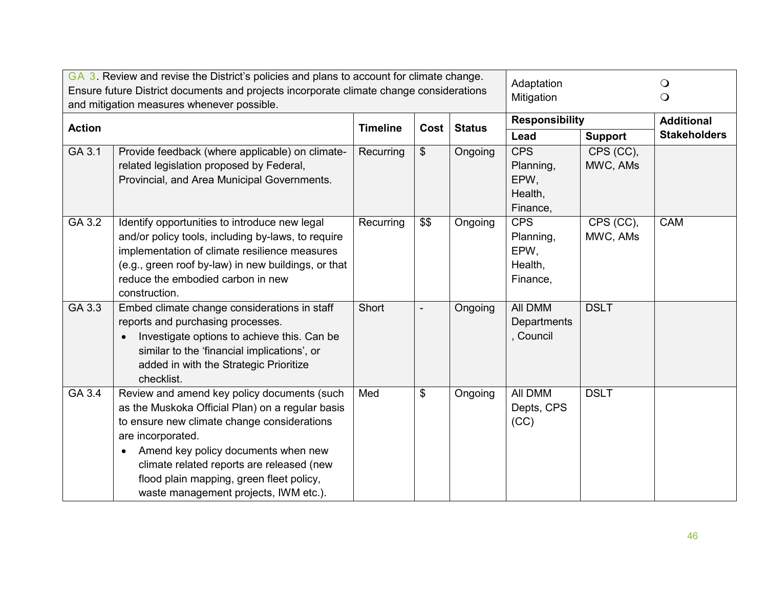|               | GA 3. Review and revise the District's policies and plans to account for climate change.<br>Ensure future District documents and projects incorporate climate change considerations<br>and mitigation measures whenever possible.                                                                                                            |                 |      |               |                                                        | Adaptation<br>Mitigation           |                     |
|---------------|----------------------------------------------------------------------------------------------------------------------------------------------------------------------------------------------------------------------------------------------------------------------------------------------------------------------------------------------|-----------------|------|---------------|--------------------------------------------------------|------------------------------------|---------------------|
| <b>Action</b> |                                                                                                                                                                                                                                                                                                                                              | <b>Timeline</b> | Cost | <b>Status</b> | <b>Responsibility</b>                                  |                                    | <b>Additional</b>   |
|               |                                                                                                                                                                                                                                                                                                                                              |                 |      |               | Lead                                                   | <b>Support</b>                     | <b>Stakeholders</b> |
| GA 3.1        | Provide feedback (where applicable) on climate-<br>related legislation proposed by Federal,<br>Provincial, and Area Municipal Governments.                                                                                                                                                                                                   | Recurring       | \$   | Ongoing       | <b>CPS</b><br>Planning,<br>EPW.<br>Health,<br>Finance, | CPS (CC),<br>MWC, AMs              |                     |
| GA 3.2        | Identify opportunities to introduce new legal<br>and/or policy tools, including by-laws, to require<br>implementation of climate resilience measures<br>(e.g., green roof by-law) in new buildings, or that<br>reduce the embodied carbon in new<br>construction.                                                                            | Recurring       | \$\$ | Ongoing       | <b>CPS</b><br>Planning,<br>EPW,<br>Health,<br>Finance, | $\overline{CPS}$ (CC),<br>MWC, AMs | <b>CAM</b>          |
| GA 3.3        | Embed climate change considerations in staff<br>reports and purchasing processes.<br>Investigate options to achieve this. Can be<br>similar to the 'financial implications', or<br>added in with the Strategic Prioritize<br>checklist.                                                                                                      | Short           |      | Ongoing       | All DMM<br>Departments<br>, Council                    | <b>DSLT</b>                        |                     |
| GA 3.4        | Review and amend key policy documents (such<br>as the Muskoka Official Plan) on a regular basis<br>to ensure new climate change considerations<br>are incorporated.<br>Amend key policy documents when new<br>climate related reports are released (new<br>flood plain mapping, green fleet policy,<br>waste management projects, IWM etc.). | Med             | \$   | Ongoing       | All DMM<br>Depts, CPS<br>(CC)                          | <b>DSLT</b>                        |                     |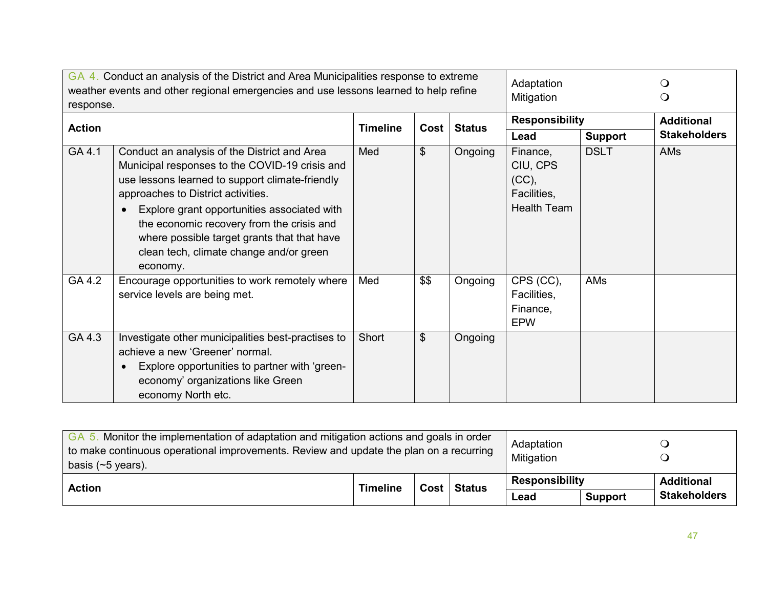| response.     | GA 4. Conduct an analysis of the District and Area Municipalities response to extreme<br>weather events and other regional emergencies and use lessons learned to help refine                                                                                                                                                                                                             | Adaptation<br>Mitigation |               | $\circ$               |                                                                    |                   |                     |
|---------------|-------------------------------------------------------------------------------------------------------------------------------------------------------------------------------------------------------------------------------------------------------------------------------------------------------------------------------------------------------------------------------------------|--------------------------|---------------|-----------------------|--------------------------------------------------------------------|-------------------|---------------------|
| <b>Action</b> |                                                                                                                                                                                                                                                                                                                                                                                           | <b>Timeline</b><br>Cost  | <b>Status</b> | <b>Responsibility</b> |                                                                    | <b>Additional</b> |                     |
|               |                                                                                                                                                                                                                                                                                                                                                                                           |                          |               |                       | Lead                                                               | <b>Support</b>    | <b>Stakeholders</b> |
| GA 4.1        | Conduct an analysis of the District and Area<br>Municipal responses to the COVID-19 crisis and<br>use lessons learned to support climate-friendly<br>approaches to District activities.<br>Explore grant opportunities associated with<br>the economic recovery from the crisis and<br>where possible target grants that that have<br>clean tech, climate change and/or green<br>economy. | Med                      | \$            | Ongoing               | Finance,<br>CIU, CPS<br>(CC),<br>Facilities,<br><b>Health Team</b> | <b>DSLT</b>       | <b>AMs</b>          |
| GA 4.2        | Encourage opportunities to work remotely where<br>service levels are being met.                                                                                                                                                                                                                                                                                                           | Med                      | \$\$          | Ongoing               | CPS (CC),<br>Facilities,<br>Finance,<br><b>EPW</b>                 | AMs               |                     |
| GA 4.3        | Investigate other municipalities best-practises to<br>achieve a new 'Greener' normal.<br>Explore opportunities to partner with 'green-<br>economy' organizations like Green<br>economy North etc.                                                                                                                                                                                         | Short                    | \$            | Ongoing               |                                                                    |                   |                     |

| GA 5. Monitor the implementation of adaptation and mitigation actions and goals in order<br>to make continuous operational improvements. Review and update the plan on a recurring<br>basis ( $\sim$ 5 years). |  |  |  |                               | Adaptation<br>Mitigation |                                          |
|----------------------------------------------------------------------------------------------------------------------------------------------------------------------------------------------------------------|--|--|--|-------------------------------|--------------------------|------------------------------------------|
| Cost Status<br><b>Timeline</b><br><b>Action</b>                                                                                                                                                                |  |  |  | <b>Responsibility</b><br>Lead | <b>Support</b>           | <b>Additional</b><br><b>Stakeholders</b> |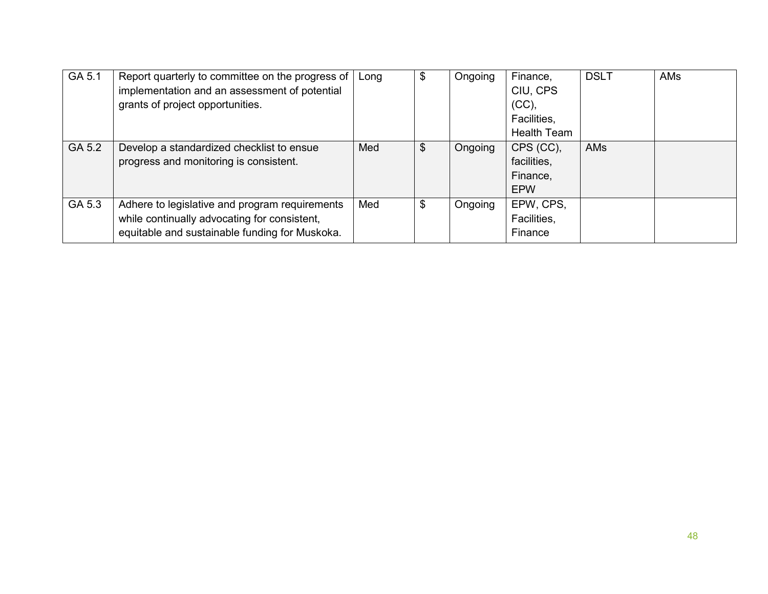| GA 5.1 | Report quarterly to committee on the progress of<br>implementation and an assessment of potential<br>grants of project opportunities.            | Long | \$<br>Ongoing | Finance,<br>CIU, CPS<br>(CC),<br>Facilities,<br><b>Health Team</b> | <b>DSLT</b> | AMs |
|--------|--------------------------------------------------------------------------------------------------------------------------------------------------|------|---------------|--------------------------------------------------------------------|-------------|-----|
| GA 5.2 | Develop a standardized checklist to ensue<br>progress and monitoring is consistent.                                                              | Med  | \$<br>Ongoing | CPS (CC),<br>facilities,<br>Finance,<br><b>EPW</b>                 | AMs         |     |
| GA 5.3 | Adhere to legislative and program requirements<br>while continually advocating for consistent,<br>equitable and sustainable funding for Muskoka. | Med  | \$<br>Ongoing | EPW, CPS,<br>Facilities,<br>Finance                                |             |     |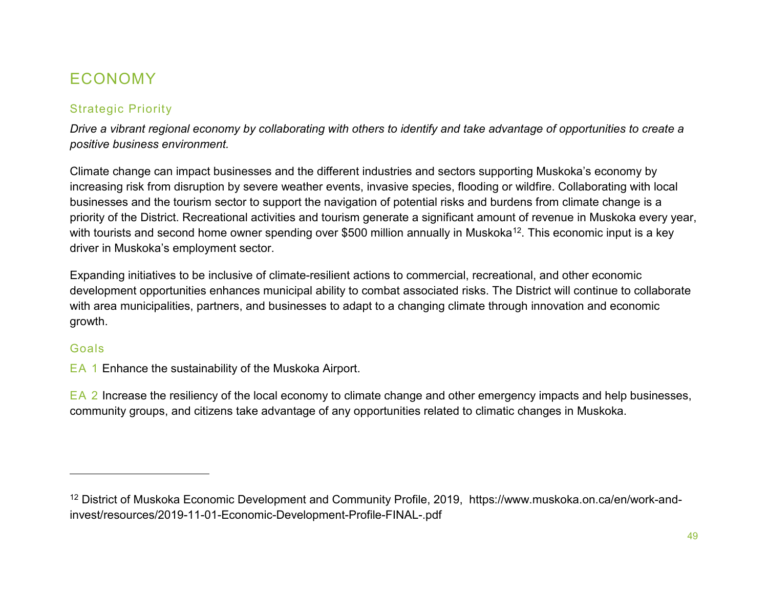# <span id="page-48-0"></span>ECONOMY

## Strategic Priority

*Drive a vibrant regional economy by collaborating with others to identify and take advantage of opportunities to create a positive business environment.*

Climate change can impact businesses and the different industries and sectors supporting Muskoka's economy by increasing risk from disruption by severe weather events, invasive species, flooding or wildfire. Collaborating with local businesses and the tourism sector to support the navigation of potential risks and burdens from climate change is a priority of the District. Recreational activities and tourism generate a significant amount of revenue in Muskoka every year, with tourists and second home owner spending over \$500 million annually in Muskoka<sup>12</sup>. This economic input is a key driver in Muskoka's employment sector.

Expanding initiatives to be inclusive of climate-resilient actions to commercial, recreational, and other economic development opportunities enhances municipal ability to combat associated risks. The District will continue to collaborate with area municipalities, partners, and businesses to adapt to a changing climate through innovation and economic growth.

#### Goals

 $\overline{a}$ 

EA 1 Enhance the sustainability of the Muskoka Airport.

EA 2 Increase the resiliency of the local economy to climate change and other emergency impacts and help businesses, community groups, and citizens take advantage of any opportunities related to climatic changes in Muskoka.

<sup>12</sup> District of Muskoka Economic Development and Community Profile, 2019, https://www.muskoka.on.ca/en/work-andinvest/resources/2019-11-01-Economic-Development-Profile-FINAL-.pdf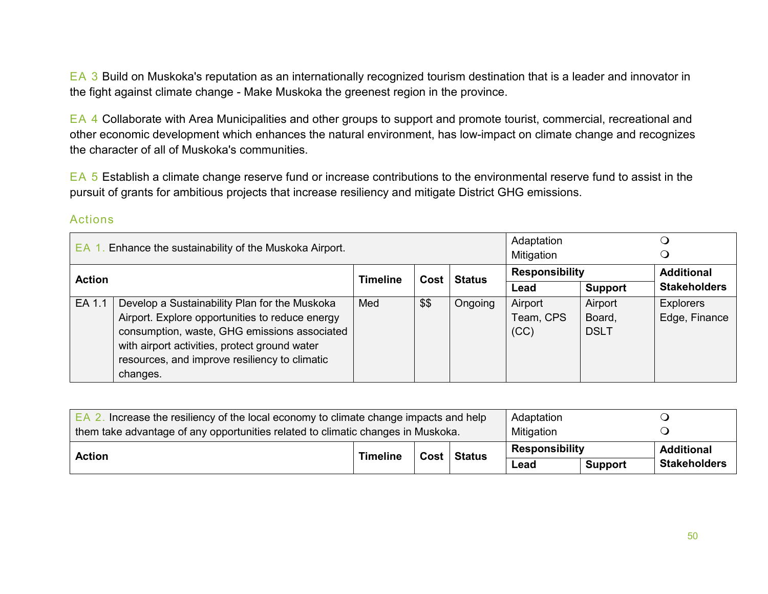EA 3 Build on Muskoka's reputation as an internationally recognized tourism destination that is a leader and innovator in the fight against climate change - Make Muskoka the greenest region in the province.

EA 4 Collaborate with Area Municipalities and other groups to support and promote tourist, commercial, recreational and other economic development which enhances the natural environment, has low-impact on climate change and recognizes the character of all of Muskoka's communities.

EA 5 Establish a climate change reserve fund or increase contributions to the environmental reserve fund to assist in the pursuit of grants for ambitious projects that increase resiliency and mitigate District GHG emissions.

| Enhance the sustainability of the Muskoka Airport.<br>EA. |                                                 |          |      |               | Adaptation<br>Mitigation |                       |                     |
|-----------------------------------------------------------|-------------------------------------------------|----------|------|---------------|--------------------------|-----------------------|---------------------|
| <b>Action</b>                                             |                                                 | Timeline | Cost | <b>Status</b> |                          | <b>Responsibility</b> |                     |
|                                                           |                                                 |          |      |               | Lead                     | <b>Support</b>        | <b>Stakeholders</b> |
| EA 1.1                                                    | Develop a Sustainability Plan for the Muskoka   | Med      | \$\$ | Ongoing       | Airport                  | Airport               | <b>Explorers</b>    |
|                                                           | Airport. Explore opportunities to reduce energy |          |      |               | Team, CPS                | Board,                | Edge, Finance       |
|                                                           | consumption, waste, GHG emissions associated    |          |      |               | (CC)                     | <b>DSLT</b>           |                     |
|                                                           | with airport activities, protect ground water   |          |      |               |                          |                       |                     |
|                                                           | resources, and improve resiliency to climatic   |          |      |               |                          |                       |                     |
|                                                           | changes.                                        |          |      |               |                          |                       |                     |

| Increase the resiliency of the local economy to climate change impacts and help<br>EA 2. | Adaptation |                |                     |                       |  |                   |
|------------------------------------------------------------------------------------------|------------|----------------|---------------------|-----------------------|--|-------------------|
| them take advantage of any opportunities related to climatic changes in Muskoka.         | Mitigation |                |                     |                       |  |                   |
| <b>Action</b>                                                                            | Timeline   |                | Cost   Status       | <b>Responsibility</b> |  | <b>Additional</b> |
|                                                                                          | Lead       | <b>Support</b> | <b>Stakeholders</b> |                       |  |                   |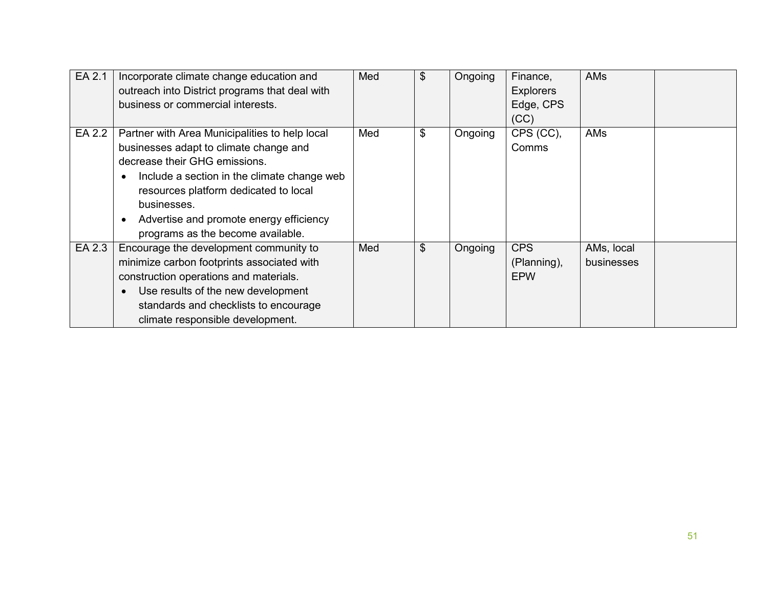| EA 2.1 | Incorporate climate change education and<br>outreach into District programs that deal with<br>business or commercial interests.                                                                                                                                                                                  | Med | \$            | Ongoing | Finance,<br><b>Explorers</b><br>Edge, CPS<br>(CC) | AMs                      |  |
|--------|------------------------------------------------------------------------------------------------------------------------------------------------------------------------------------------------------------------------------------------------------------------------------------------------------------------|-----|---------------|---------|---------------------------------------------------|--------------------------|--|
| EA 2.2 | Partner with Area Municipalities to help local<br>businesses adapt to climate change and<br>decrease their GHG emissions.<br>Include a section in the climate change web<br>resources platform dedicated to local<br>businesses.<br>Advertise and promote energy efficiency<br>programs as the become available. | Med | \$            | Ongoing | CPS (CC),<br>Comms                                | AMs                      |  |
| EA 2.3 | Encourage the development community to<br>minimize carbon footprints associated with<br>construction operations and materials.<br>Use results of the new development<br>standards and checklists to encourage<br>climate responsible development.                                                                | Med | $\frac{1}{2}$ | Ongoing | <b>CPS</b><br>(Planning),<br><b>EPW</b>           | AMs, local<br>businesses |  |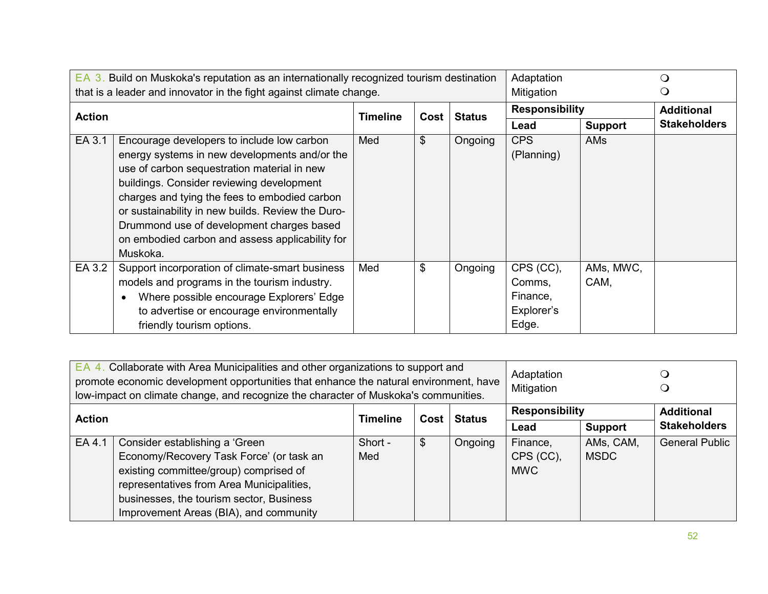|               | EA 3. Build on Muskoka's reputation as an internationally recognized tourism destination<br>that is a leader and innovator in the fight against climate change.                                                                                                                                                                                                                                           | Adaptation<br>Mitigation |      | (၂            |                                                        |                   |                     |
|---------------|-----------------------------------------------------------------------------------------------------------------------------------------------------------------------------------------------------------------------------------------------------------------------------------------------------------------------------------------------------------------------------------------------------------|--------------------------|------|---------------|--------------------------------------------------------|-------------------|---------------------|
| <b>Action</b> |                                                                                                                                                                                                                                                                                                                                                                                                           | <b>Timeline</b>          | Cost |               | <b>Responsibility</b>                                  |                   | <b>Additional</b>   |
|               |                                                                                                                                                                                                                                                                                                                                                                                                           |                          |      | <b>Status</b> | Lead                                                   | <b>Support</b>    | <b>Stakeholders</b> |
| EA 3.1        | Encourage developers to include low carbon<br>energy systems in new developments and/or the<br>use of carbon sequestration material in new<br>buildings. Consider reviewing development<br>charges and tying the fees to embodied carbon<br>or sustainability in new builds. Review the Duro-<br>Drummond use of development charges based<br>on embodied carbon and assess applicability for<br>Muskoka. | Med                      | \$   | Ongoing       | <b>CPS</b><br>(Planning)                               | AMs               |                     |
| EA 3.2        | Support incorporation of climate-smart business<br>models and programs in the tourism industry.<br>Where possible encourage Explorers' Edge<br>$\bullet$<br>to advertise or encourage environmentally<br>friendly tourism options.                                                                                                                                                                        | Med                      | \$   | Ongoing       | CPS (CC),<br>Comms,<br>Finance,<br>Explorer's<br>Edge. | AMs, MWC,<br>CAM, |                     |

| Collaborate with Area Municipalities and other organizations to support and<br>EA 4.<br>promote economic development opportunities that enhance the natural environment, have<br>low-impact on climate change, and recognize the character of Muskoka's communities. |                                                                                                                                                                                                                                                         |                         |    |               |                                     | Adaptation<br>Mitigation |                       |  |
|----------------------------------------------------------------------------------------------------------------------------------------------------------------------------------------------------------------------------------------------------------------------|---------------------------------------------------------------------------------------------------------------------------------------------------------------------------------------------------------------------------------------------------------|-------------------------|----|---------------|-------------------------------------|--------------------------|-----------------------|--|
| <b>Action</b>                                                                                                                                                                                                                                                        |                                                                                                                                                                                                                                                         |                         |    | <b>Status</b> | <b>Responsibility</b>               |                          | <b>Additional</b>     |  |
|                                                                                                                                                                                                                                                                      |                                                                                                                                                                                                                                                         | <b>Timeline</b><br>Cost |    |               | Lead                                | Support                  | <b>Stakeholders</b>   |  |
| EA 4.1                                                                                                                                                                                                                                                               | Consider establishing a 'Green<br>Economy/Recovery Task Force' (or task an<br>existing committee/group) comprised of<br>representatives from Area Municipalities,<br>businesses, the tourism sector, Business<br>Improvement Areas (BIA), and community | Short -<br>Med          | \$ | Ongoing       | Finance,<br>CPS (CC),<br><b>MWC</b> | AMs, CAM,<br><b>MSDC</b> | <b>General Public</b> |  |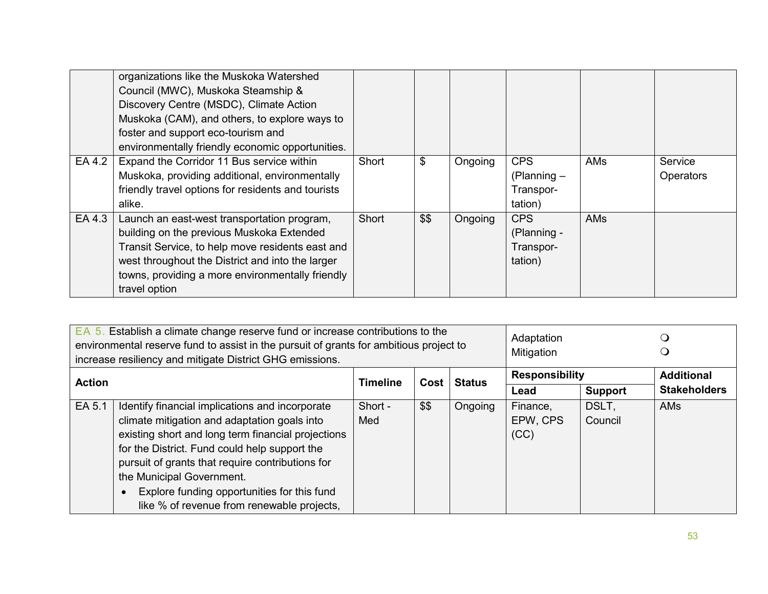|        | organizations like the Muskoka Watershed<br>Council (MWC), Muskoka Steamship &<br>Discovery Centre (MSDC), Climate Action<br>Muskoka (CAM), and others, to explore ways to<br>foster and support eco-tourism and<br>environmentally friendly economic opportunities.  |       |      |         |                                                     |            |                             |
|--------|-----------------------------------------------------------------------------------------------------------------------------------------------------------------------------------------------------------------------------------------------------------------------|-------|------|---------|-----------------------------------------------------|------------|-----------------------------|
| EA 4.2 | Expand the Corridor 11 Bus service within<br>Muskoka, providing additional, environmentally<br>friendly travel options for residents and tourists<br>alike.                                                                                                           | Short | \$   | Ongoing | <b>CPS</b><br>$(Planning -$<br>Transpor-<br>tation) | <b>AMs</b> | Service<br><b>Operators</b> |
| EA 4.3 | Launch an east-west transportation program,<br>building on the previous Muskoka Extended<br>Transit Service, to help move residents east and<br>west throughout the District and into the larger<br>towns, providing a more environmentally friendly<br>travel option | Short | \$\$ | Ongoing | <b>CPS</b><br>(Planning -<br>Transpor-<br>tation)   | <b>AMs</b> |                             |

| EA 5. Establish a climate change reserve fund or increase contributions to the<br>Adaptation<br>environmental reserve fund to assist in the pursuit of grants for ambitious project to<br>Mitigation<br>increase resiliency and mitigate District GHG emissions. |                                                                                                                                                                                                                                                                                                                                                                                      |                                          |      |         |                              |                     |                   |
|------------------------------------------------------------------------------------------------------------------------------------------------------------------------------------------------------------------------------------------------------------------|--------------------------------------------------------------------------------------------------------------------------------------------------------------------------------------------------------------------------------------------------------------------------------------------------------------------------------------------------------------------------------------|------------------------------------------|------|---------|------------------------------|---------------------|-------------------|
| <b>Action</b>                                                                                                                                                                                                                                                    |                                                                                                                                                                                                                                                                                                                                                                                      |                                          |      |         | <b>Responsibility</b>        |                     | <b>Additional</b> |
|                                                                                                                                                                                                                                                                  |                                                                                                                                                                                                                                                                                                                                                                                      | <b>Timeline</b><br><b>Status</b><br>Cost |      | Lead    | <b>Support</b>               | <b>Stakeholders</b> |                   |
| EA 5.1                                                                                                                                                                                                                                                           | Identify financial implications and incorporate<br>climate mitigation and adaptation goals into<br>existing short and long term financial projections<br>for the District. Fund could help support the<br>pursuit of grants that require contributions for<br>the Municipal Government.<br>Explore funding opportunities for this fund<br>like % of revenue from renewable projects, | Short -<br>Med                           | \$\$ | Ongoing | Finance,<br>EPW, CPS<br>(CC) | DSLT.<br>Council    | <b>AMs</b>        |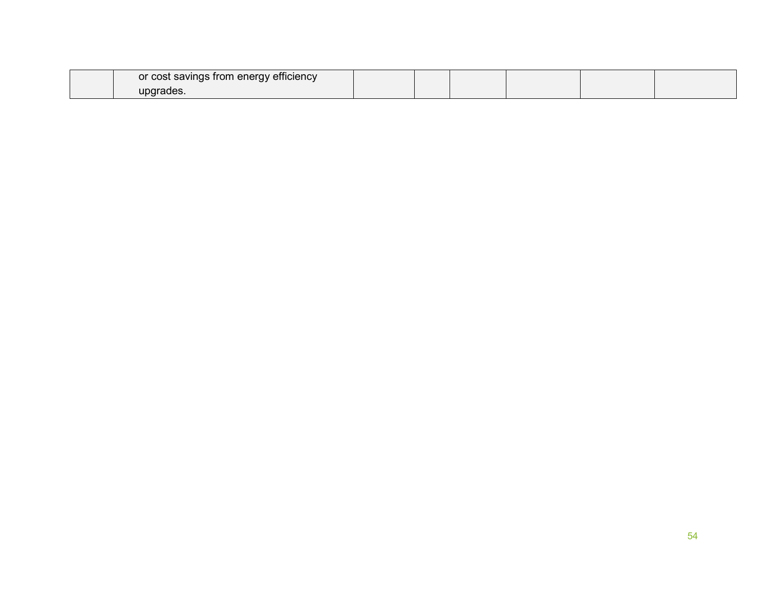| or cost savings from energy efficiency |  |  |  |
|----------------------------------------|--|--|--|
| upgrades.                              |  |  |  |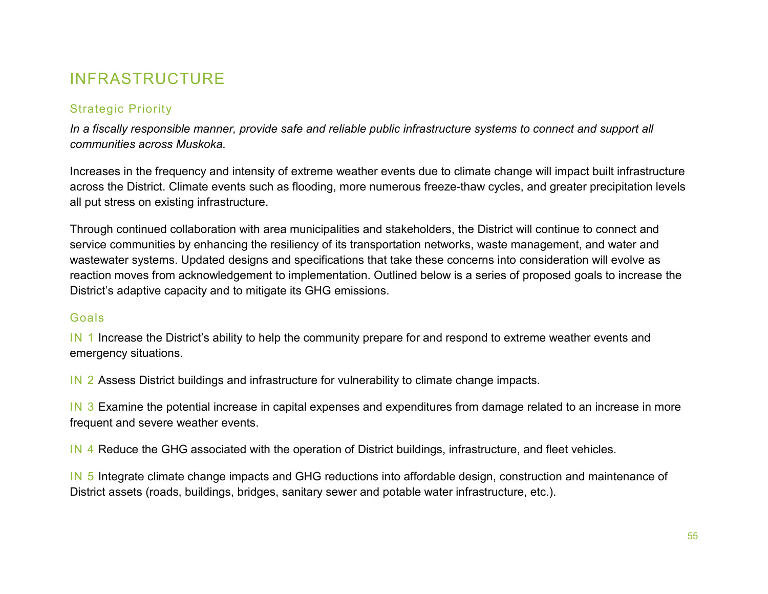# INFRASTRUCTURE

## Strategic Priority

*In a fiscally responsible manner, provide safe and reliable public infrastructure systems to connect and support all communities across Muskoka.*

Increases in the frequency and intensity of extreme weather events due to climate change will impact built infrastructure across the District. Climate events such as flooding, more numerous freeze-thaw cycles, and greater precipitation levels all put stress on existing infrastructure.

Through continued collaboration with area municipalities and stakeholders, the District will continue to connect and service communities by enhancing the resiliency of its transportation networks, waste management, and water and wastewater systems. Updated designs and specifications that take these concerns into consideration will evolve as reaction moves from acknowledgement to implementation. Outlined below is a series of proposed goals to increase the District's adaptive capacity and to mitigate its GHG emissions.

#### Goals

IN 1 Increase the District's ability to help the community prepare for and respond to extreme weather events and emergency situations.

IN 2 Assess District buildings and infrastructure for vulnerability to climate change impacts.

IN 3 Examine the potential increase in capital expenses and expenditures from damage related to an increase in more frequent and severe weather events.

IN 4 Reduce the GHG associated with the operation of District buildings, infrastructure, and fleet vehicles.

IN 5 Integrate climate change impacts and GHG reductions into affordable design, construction and maintenance of District assets (roads, buildings, bridges, sanitary sewer and potable water infrastructure, etc.).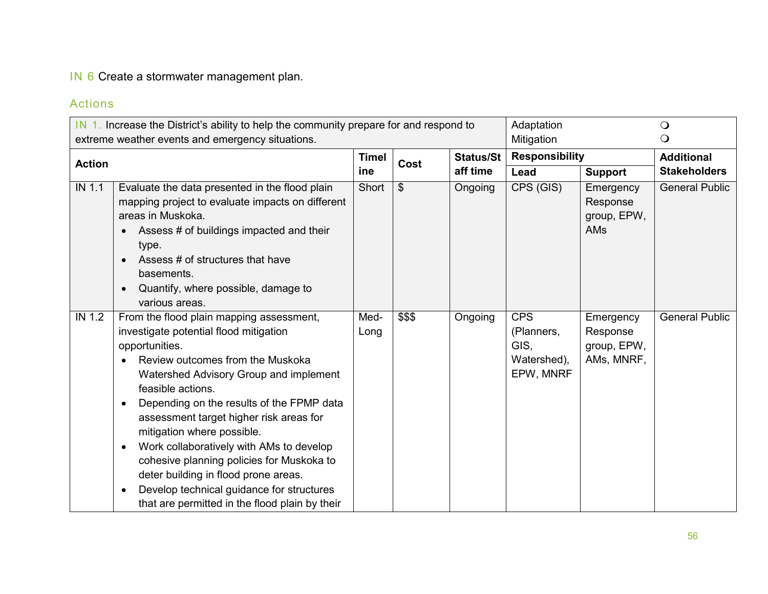## IN 6 Create a stormwater management plan.

| IN 1. Increase the District's ability to help the community prepare for and respond to<br>extreme weather events and emergency situations. |                                                                                                                                                                                                                                                                                                                                                                                                                                                                                                                                                                                                      |              | Adaptation<br>Mitigation |                       | $\bigcirc$<br>$\Omega$                                       |                                                    |                       |
|--------------------------------------------------------------------------------------------------------------------------------------------|------------------------------------------------------------------------------------------------------------------------------------------------------------------------------------------------------------------------------------------------------------------------------------------------------------------------------------------------------------------------------------------------------------------------------------------------------------------------------------------------------------------------------------------------------------------------------------------------------|--------------|--------------------------|-----------------------|--------------------------------------------------------------|----------------------------------------------------|-----------------------|
|                                                                                                                                            |                                                                                                                                                                                                                                                                                                                                                                                                                                                                                                                                                                                                      |              | <b>Timel</b>             |                       | <b>Responsibility</b>                                        |                                                    | <b>Additional</b>     |
| <b>Action</b>                                                                                                                              |                                                                                                                                                                                                                                                                                                                                                                                                                                                                                                                                                                                                      | ine          | Cost                     | Status/St<br>aff time | Lead                                                         | <b>Support</b>                                     | <b>Stakeholders</b>   |
| IN 1.1                                                                                                                                     | Evaluate the data presented in the flood plain<br>mapping project to evaluate impacts on different<br>areas in Muskoka.<br>Assess # of buildings impacted and their<br>$\bullet$<br>type.<br>Assess # of structures that have<br>basements.<br>Quantify, where possible, damage to<br>various areas.                                                                                                                                                                                                                                                                                                 | Short        | $\$\$                    | Ongoing               | CPS (GIS)                                                    | Emergency<br>Response<br>group, EPW,<br>AMs        | <b>General Public</b> |
| IN 1.2                                                                                                                                     | From the flood plain mapping assessment,<br>investigate potential flood mitigation<br>opportunities.<br>Review outcomes from the Muskoka<br>Watershed Advisory Group and implement<br>feasible actions.<br>Depending on the results of the FPMP data<br>$\bullet$<br>assessment target higher risk areas for<br>mitigation where possible.<br>Work collaboratively with AMs to develop<br>$\bullet$<br>cohesive planning policies for Muskoka to<br>deter building in flood prone areas.<br>Develop technical guidance for structures<br>$\bullet$<br>that are permitted in the flood plain by their | Med-<br>Long | \$\$\$                   | Ongoing               | <b>CPS</b><br>(Planners,<br>GIS,<br>Watershed),<br>EPW, MNRF | Emergency<br>Response<br>group, EPW,<br>AMs, MNRF, | <b>General Public</b> |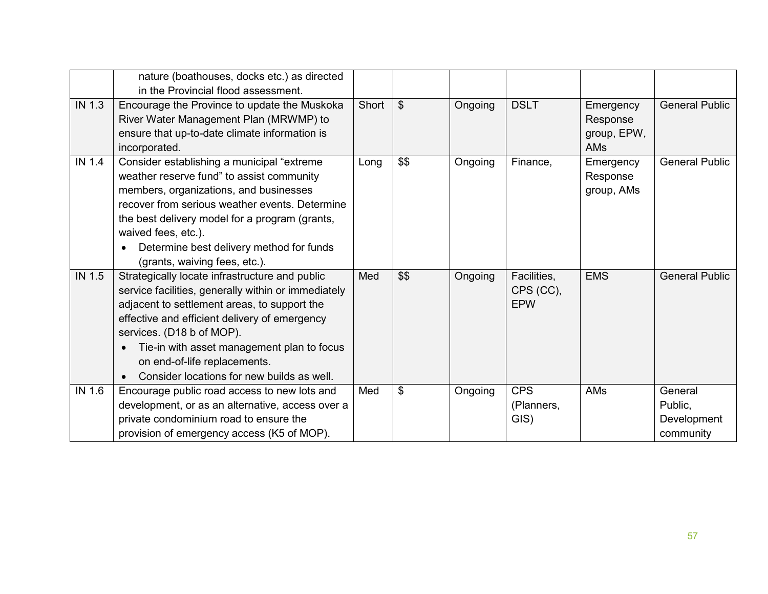|        | nature (boathouses, docks etc.) as directed<br>in the Provincial flood assessment.                                                                                                                                                                                                                                                                                           |       |      |         |                                        |                                                    |                                                |
|--------|------------------------------------------------------------------------------------------------------------------------------------------------------------------------------------------------------------------------------------------------------------------------------------------------------------------------------------------------------------------------------|-------|------|---------|----------------------------------------|----------------------------------------------------|------------------------------------------------|
| IN 1.3 | Encourage the Province to update the Muskoka<br>River Water Management Plan (MRWMP) to<br>ensure that up-to-date climate information is<br>incorporated.                                                                                                                                                                                                                     | Short | \$   | Ongoing | <b>DSLT</b>                            | Emergency<br>Response<br>group, EPW,<br><b>AMs</b> | <b>General Public</b>                          |
| IN 1.4 | Consider establishing a municipal "extreme<br>weather reserve fund" to assist community<br>members, organizations, and businesses<br>recover from serious weather events. Determine<br>the best delivery model for a program (grants,<br>waived fees, etc.).<br>Determine best delivery method for funds<br>(grants, waiving fees, etc.).                                    | Long  | \$\$ | Ongoing | Finance,                               | Emergency<br>Response<br>group, AMs                | <b>General Public</b>                          |
| IN 1.5 | Strategically locate infrastructure and public<br>service facilities, generally within or immediately<br>adjacent to settlement areas, to support the<br>effective and efficient delivery of emergency<br>services. (D18 b of MOP).<br>Tie-in with asset management plan to focus<br>$\bullet$<br>on end-of-life replacements.<br>Consider locations for new builds as well. | Med   | \$\$ | Ongoing | Facilities,<br>CPS (CC),<br><b>EPW</b> | <b>EMS</b>                                         | <b>General Public</b>                          |
| IN 1.6 | Encourage public road access to new lots and<br>development, or as an alternative, access over a<br>private condominium road to ensure the<br>provision of emergency access (K5 of MOP).                                                                                                                                                                                     | Med   | \$   | Ongoing | <b>CPS</b><br>(Planners,<br>GIS)       | AMs                                                | General<br>Public,<br>Development<br>community |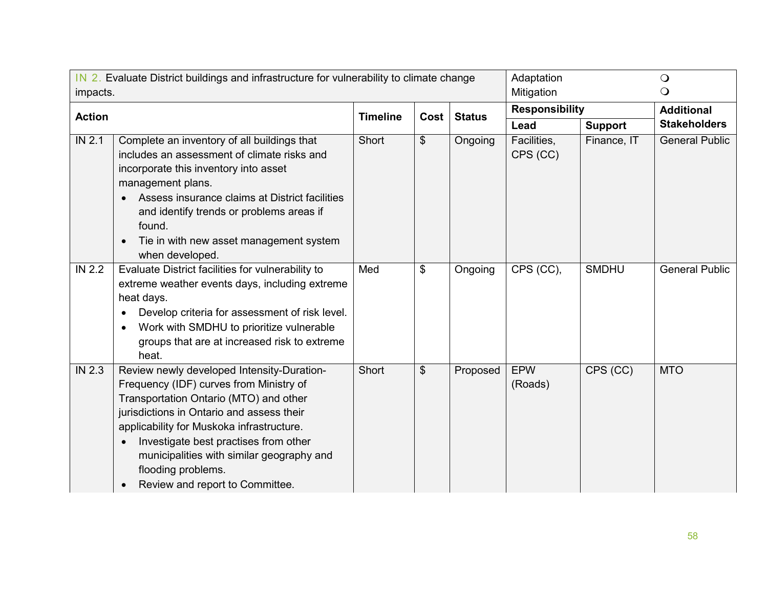| IN 2. Evaluate District buildings and infrastructure for vulnerability to climate change<br>impacts. |                                                                                                                                                                                                                                                                                                                                                                                       |                 |                       | Adaptation<br>Mitigation |                         | $\bigcirc$<br>$\circ$ |                       |
|------------------------------------------------------------------------------------------------------|---------------------------------------------------------------------------------------------------------------------------------------------------------------------------------------------------------------------------------------------------------------------------------------------------------------------------------------------------------------------------------------|-----------------|-----------------------|--------------------------|-------------------------|-----------------------|-----------------------|
| <b>Action</b>                                                                                        |                                                                                                                                                                                                                                                                                                                                                                                       | <b>Timeline</b> | Cost                  | <b>Status</b>            | <b>Responsibility</b>   |                       | <b>Additional</b>     |
|                                                                                                      |                                                                                                                                                                                                                                                                                                                                                                                       |                 |                       |                          | Lead                    | <b>Support</b>        | <b>Stakeholders</b>   |
| <b>IN 2.1</b>                                                                                        | Complete an inventory of all buildings that<br>includes an assessment of climate risks and<br>incorporate this inventory into asset<br>management plans.<br>Assess insurance claims at District facilities<br>and identify trends or problems areas if<br>found.<br>Tie in with new asset management system<br>when developed.                                                        | Short           | $\boldsymbol{\theta}$ | Ongoing                  | Facilities,<br>CPS (CC) | Finance, IT           | <b>General Public</b> |
| <b>IN 2.2</b>                                                                                        | Evaluate District facilities for vulnerability to<br>extreme weather events days, including extreme<br>heat days.<br>Develop criteria for assessment of risk level.<br>Work with SMDHU to prioritize vulnerable<br>$\bullet$<br>groups that are at increased risk to extreme<br>heat.                                                                                                 | Med             | \$                    | Ongoing                  | CPS (CC),               | <b>SMDHU</b>          | <b>General Public</b> |
| <b>IN 2.3</b>                                                                                        | Review newly developed Intensity-Duration-<br>Frequency (IDF) curves from Ministry of<br>Transportation Ontario (MTO) and other<br>jurisdictions in Ontario and assess their<br>applicability for Muskoka infrastructure.<br>Investigate best practises from other<br>$\bullet$<br>municipalities with similar geography and<br>flooding problems.<br>Review and report to Committee. | Short           | \$                    | Proposed                 | <b>EPW</b><br>(Roads)   | CPS (CC)              | <b>MTO</b>            |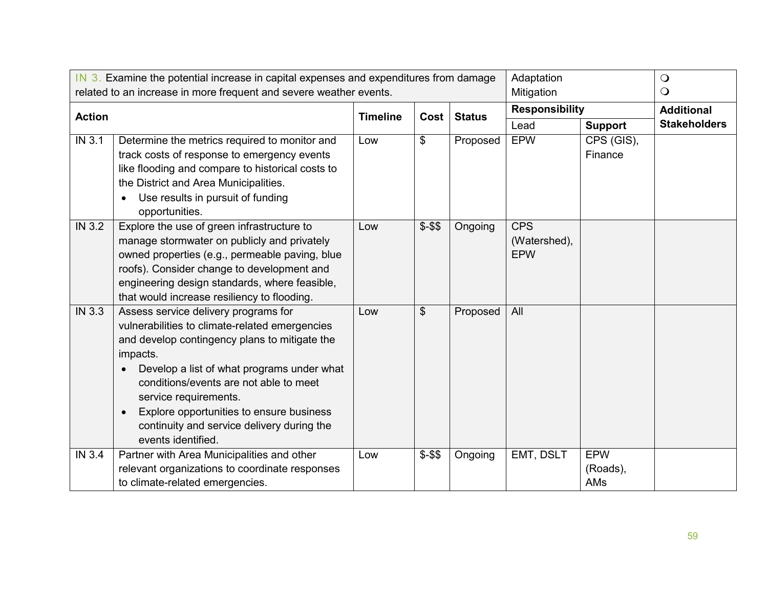|               | IN 3. Examine the potential increase in capital expenses and expenditures from damage<br>related to an increase in more frequent and severe weather events.                                                                                                                                                                                                                                                    |                 |         |               | Adaptation<br>Mitigation                 |                                    | $\bigcirc$<br>$\circ$ |
|---------------|----------------------------------------------------------------------------------------------------------------------------------------------------------------------------------------------------------------------------------------------------------------------------------------------------------------------------------------------------------------------------------------------------------------|-----------------|---------|---------------|------------------------------------------|------------------------------------|-----------------------|
|               |                                                                                                                                                                                                                                                                                                                                                                                                                |                 |         |               | <b>Responsibility</b>                    |                                    | <b>Additional</b>     |
| <b>Action</b> |                                                                                                                                                                                                                                                                                                                                                                                                                | <b>Timeline</b> | Cost    | <b>Status</b> | Lead                                     | <b>Support</b>                     | <b>Stakeholders</b>   |
| IN 3.1        | Determine the metrics required to monitor and<br>track costs of response to emergency events<br>like flooding and compare to historical costs to<br>the District and Area Municipalities.<br>Use results in pursuit of funding<br>$\bullet$<br>opportunities.                                                                                                                                                  | Low             | \$      | Proposed      | <b>EPW</b>                               | $\overline{CPS}$ (GIS),<br>Finance |                       |
| <b>IN 3.2</b> | Explore the use of green infrastructure to<br>manage stormwater on publicly and privately<br>owned properties (e.g., permeable paving, blue<br>roofs). Consider change to development and<br>engineering design standards, where feasible,<br>that would increase resiliency to flooding.                                                                                                                      | Low             | $$ - $$ | Ongoing       | <b>CPS</b><br>(Watershed),<br><b>EPW</b> |                                    |                       |
| IN 3.3        | Assess service delivery programs for<br>vulnerabilities to climate-related emergencies<br>and develop contingency plans to mitigate the<br>impacts.<br>Develop a list of what programs under what<br>$\bullet$<br>conditions/events are not able to meet<br>service requirements.<br>Explore opportunities to ensure business<br>$\bullet$<br>continuity and service delivery during the<br>events identified. | Low             | \$      | Proposed      | All                                      |                                    |                       |
| <b>IN 3.4</b> | Partner with Area Municipalities and other<br>relevant organizations to coordinate responses<br>to climate-related emergencies.                                                                                                                                                                                                                                                                                | Low             | $$ - $$ | Ongoing       | EMT, DSLT                                | <b>EPW</b><br>(Roads),<br>AMs      |                       |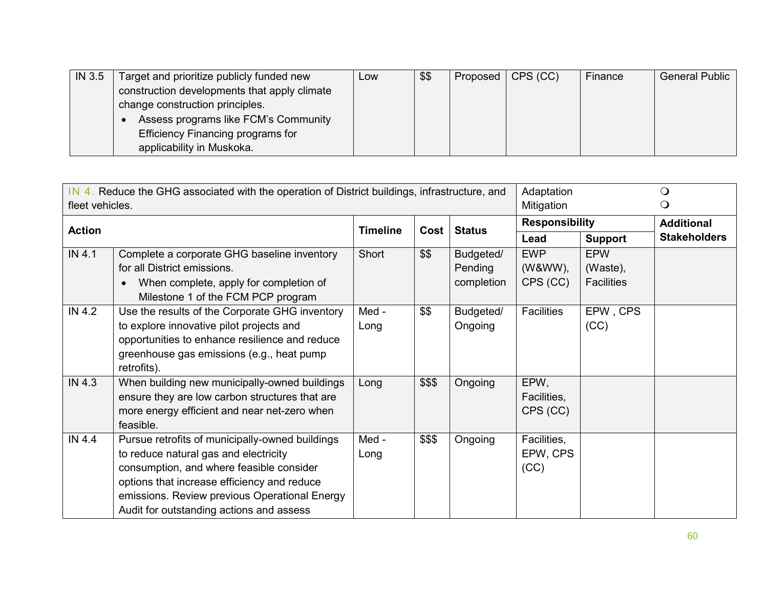| <b>IN 3.5</b> | Target and prioritize publicly funded new    | LOW | \$\$ | Proposed   CPS (CC) | Finance | <b>General Public</b> |
|---------------|----------------------------------------------|-----|------|---------------------|---------|-----------------------|
|               | construction developments that apply climate |     |      |                     |         |                       |
|               | change construction principles.              |     |      |                     |         |                       |
|               | Assess programs like FCM's Community         |     |      |                     |         |                       |
|               | <b>Efficiency Financing programs for</b>     |     |      |                     |         |                       |
|               | applicability in Muskoka.                    |     |      |                     |         |                       |

| IN 4. Reduce the GHG associated with the operation of District buildings, infrastructure, and<br>fleet vehicles. |                                                 |                 |        |               |                       | Adaptation<br>Mitigation |                     |
|------------------------------------------------------------------------------------------------------------------|-------------------------------------------------|-----------------|--------|---------------|-----------------------|--------------------------|---------------------|
| <b>Action</b>                                                                                                    |                                                 | <b>Timeline</b> | Cost   | <b>Status</b> | <b>Responsibility</b> |                          | <b>Additional</b>   |
|                                                                                                                  |                                                 |                 |        |               | Lead                  | <b>Support</b>           | <b>Stakeholders</b> |
| IN 4.1                                                                                                           | Complete a corporate GHG baseline inventory     | Short           | \$\$   | Budgeted/     | <b>EWP</b>            | <b>EPW</b>               |                     |
|                                                                                                                  | for all District emissions.                     |                 |        | Pending       | (W&WW),               | (Waste),                 |                     |
|                                                                                                                  | When complete, apply for completion of          |                 |        | completion    | CPS (CC)              | <b>Facilities</b>        |                     |
|                                                                                                                  | Milestone 1 of the FCM PCP program              |                 |        |               |                       |                          |                     |
| IN 4.2                                                                                                           | Use the results of the Corporate GHG inventory  | Med -           | \$\$   | Budgeted/     | <b>Facilities</b>     | EPW, CPS                 |                     |
|                                                                                                                  | to explore innovative pilot projects and        | Long            |        | Ongoing       |                       | (CC)                     |                     |
|                                                                                                                  | opportunities to enhance resilience and reduce  |                 |        |               |                       |                          |                     |
|                                                                                                                  | greenhouse gas emissions (e.g., heat pump       |                 |        |               |                       |                          |                     |
|                                                                                                                  | retrofits).                                     |                 |        |               |                       |                          |                     |
| IN 4.3                                                                                                           | When building new municipally-owned buildings   | Long            | \$\$\$ | Ongoing       | EPW,                  |                          |                     |
|                                                                                                                  | ensure they are low carbon structures that are  |                 |        |               | Facilities,           |                          |                     |
|                                                                                                                  | more energy efficient and near net-zero when    |                 |        |               | CPS (CC)              |                          |                     |
|                                                                                                                  | feasible.                                       |                 |        |               |                       |                          |                     |
| IN 4.4                                                                                                           | Pursue retrofits of municipally-owned buildings | Med -           | \$\$\$ | Ongoing       | Facilities,           |                          |                     |
|                                                                                                                  | to reduce natural gas and electricity           | Long            |        |               | EPW, CPS              |                          |                     |
|                                                                                                                  | consumption, and where feasible consider        |                 |        |               | (CC)                  |                          |                     |
|                                                                                                                  | options that increase efficiency and reduce     |                 |        |               |                       |                          |                     |
|                                                                                                                  | emissions. Review previous Operational Energy   |                 |        |               |                       |                          |                     |
|                                                                                                                  | Audit for outstanding actions and assess        |                 |        |               |                       |                          |                     |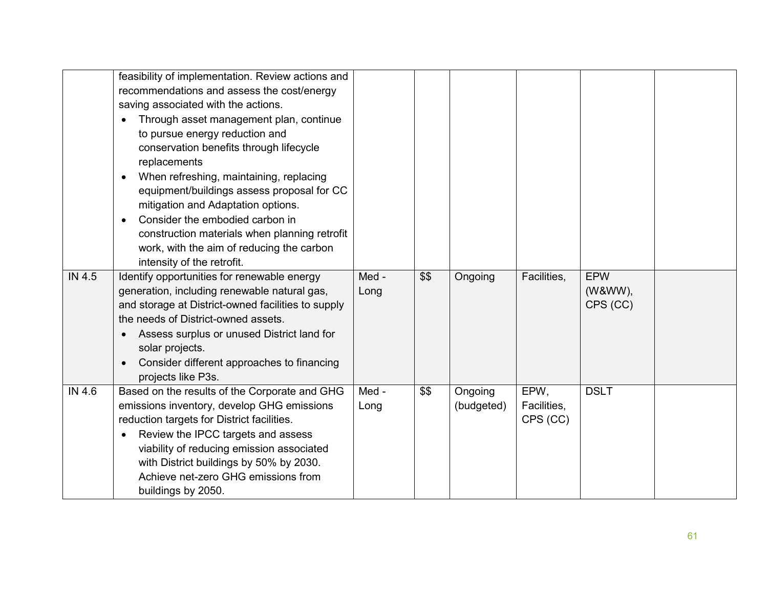|        | feasibility of implementation. Review actions and  |       |      |            |             |             |  |
|--------|----------------------------------------------------|-------|------|------------|-------------|-------------|--|
|        | recommendations and assess the cost/energy         |       |      |            |             |             |  |
|        | saving associated with the actions.                |       |      |            |             |             |  |
|        | Through asset management plan, continue            |       |      |            |             |             |  |
|        | to pursue energy reduction and                     |       |      |            |             |             |  |
|        | conservation benefits through lifecycle            |       |      |            |             |             |  |
|        | replacements                                       |       |      |            |             |             |  |
|        | When refreshing, maintaining, replacing            |       |      |            |             |             |  |
|        | equipment/buildings assess proposal for CC         |       |      |            |             |             |  |
|        | mitigation and Adaptation options.                 |       |      |            |             |             |  |
|        | Consider the embodied carbon in                    |       |      |            |             |             |  |
|        | construction materials when planning retrofit      |       |      |            |             |             |  |
|        | work, with the aim of reducing the carbon          |       |      |            |             |             |  |
|        | intensity of the retrofit.                         |       |      |            |             |             |  |
| IN 4.5 | Identify opportunities for renewable energy        | Med - | \$\$ | Ongoing    | Facilities, | <b>EPW</b>  |  |
|        | generation, including renewable natural gas,       | Long  |      |            |             | (W&WW),     |  |
|        | and storage at District-owned facilities to supply |       |      |            |             | CPS (CC)    |  |
|        | the needs of District-owned assets.                |       |      |            |             |             |  |
|        | Assess surplus or unused District land for         |       |      |            |             |             |  |
|        | solar projects.                                    |       |      |            |             |             |  |
|        | Consider different approaches to financing         |       |      |            |             |             |  |
|        | projects like P3s.                                 |       |      |            |             |             |  |
| IN 4.6 | Based on the results of the Corporate and GHG      | Med - | \$\$ | Ongoing    | EPW,        | <b>DSLT</b> |  |
|        | emissions inventory, develop GHG emissions         | Long  |      | (budgeted) | Facilities, |             |  |
|        | reduction targets for District facilities.         |       |      |            | CPS (CC)    |             |  |
|        | Review the IPCC targets and assess                 |       |      |            |             |             |  |
|        | viability of reducing emission associated          |       |      |            |             |             |  |
|        | with District buildings by 50% by 2030.            |       |      |            |             |             |  |
|        | Achieve net-zero GHG emissions from                |       |      |            |             |             |  |
|        | buildings by 2050.                                 |       |      |            |             |             |  |
|        |                                                    |       |      |            |             |             |  |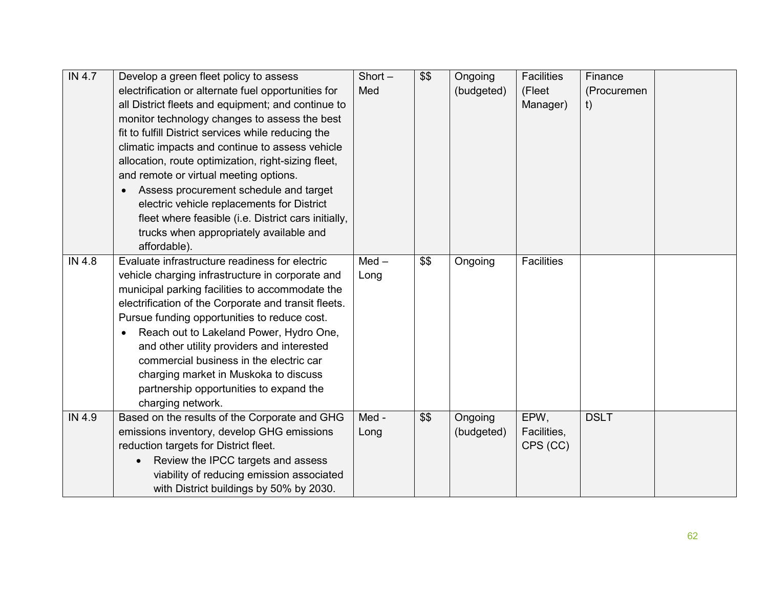| IN 4.7 | Develop a green fleet policy to assess               | $Short -$ | \$\$ | Ongoing    | <b>Facilities</b> | Finance     |  |
|--------|------------------------------------------------------|-----------|------|------------|-------------------|-------------|--|
|        | electrification or alternate fuel opportunities for  | Med       |      | (budgeted) | (Fleet            | (Procuremen |  |
|        | all District fleets and equipment; and continue to   |           |      |            | Manager)          | t)          |  |
|        | monitor technology changes to assess the best        |           |      |            |                   |             |  |
|        | fit to fulfill District services while reducing the  |           |      |            |                   |             |  |
|        | climatic impacts and continue to assess vehicle      |           |      |            |                   |             |  |
|        | allocation, route optimization, right-sizing fleet,  |           |      |            |                   |             |  |
|        | and remote or virtual meeting options.               |           |      |            |                   |             |  |
|        | Assess procurement schedule and target               |           |      |            |                   |             |  |
|        | electric vehicle replacements for District           |           |      |            |                   |             |  |
|        | fleet where feasible (i.e. District cars initially,  |           |      |            |                   |             |  |
|        | trucks when appropriately available and              |           |      |            |                   |             |  |
|        | affordable).                                         |           |      |            |                   |             |  |
| IN 4.8 | Evaluate infrastructure readiness for electric       | $Med -$   | \$\$ | Ongoing    | <b>Facilities</b> |             |  |
|        | vehicle charging infrastructure in corporate and     | Long      |      |            |                   |             |  |
|        | municipal parking facilities to accommodate the      |           |      |            |                   |             |  |
|        | electrification of the Corporate and transit fleets. |           |      |            |                   |             |  |
|        | Pursue funding opportunities to reduce cost.         |           |      |            |                   |             |  |
|        | Reach out to Lakeland Power, Hydro One,<br>$\bullet$ |           |      |            |                   |             |  |
|        | and other utility providers and interested           |           |      |            |                   |             |  |
|        | commercial business in the electric car              |           |      |            |                   |             |  |
|        | charging market in Muskoka to discuss                |           |      |            |                   |             |  |
|        | partnership opportunities to expand the              |           |      |            |                   |             |  |
|        | charging network.                                    |           |      |            |                   |             |  |
| IN 4.9 | Based on the results of the Corporate and GHG        | Med -     | \$\$ | Ongoing    | EPW,              | <b>DSLT</b> |  |
|        | emissions inventory, develop GHG emissions           | Long      |      | (budgeted) | Facilities,       |             |  |
|        | reduction targets for District fleet.                |           |      |            | CPS (CC)          |             |  |
|        | Review the IPCC targets and assess                   |           |      |            |                   |             |  |
|        | viability of reducing emission associated            |           |      |            |                   |             |  |
|        | with District buildings by 50% by 2030.              |           |      |            |                   |             |  |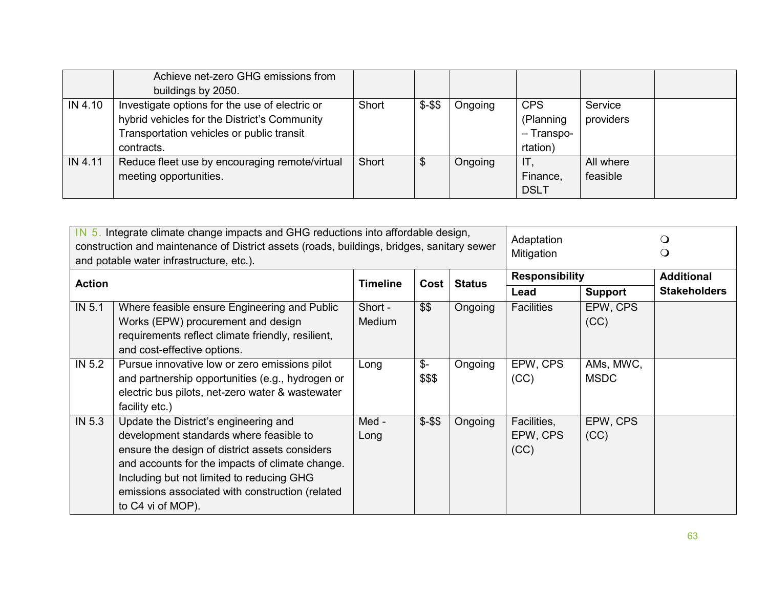|         | Achieve net-zero GHG emissions from            |       |         |         |             |           |  |
|---------|------------------------------------------------|-------|---------|---------|-------------|-----------|--|
|         | buildings by 2050.                             |       |         |         |             |           |  |
| IN 4.10 | Investigate options for the use of electric or | Short | $$ - $$ | Ongoing | <b>CPS</b>  | Service   |  |
|         | hybrid vehicles for the District's Community   |       |         |         | (Planning   | providers |  |
|         | Transportation vehicles or public transit      |       |         |         | - Transpo-  |           |  |
|         | contracts.                                     |       |         |         | rtation)    |           |  |
| IN 4.11 | Reduce fleet use by encouraging remote/virtual | Short | \$      | Ongoing | IT          | All where |  |
|         | meeting opportunities.                         |       |         |         | Finance,    | feasible  |  |
|         |                                                |       |         |         | <b>DSLT</b> |           |  |

| IN 5. Integrate climate change impacts and GHG reductions into affordable design,<br>construction and maintenance of District assets (roads, buildings, bridges, sanitary sewer<br>and potable water infrastructure, etc.). |                                                                                                                                                                                                                                                                                                            |                         |                           |                       | Adaptation<br>Mitigation        |                          | Ő<br>Ő              |
|-----------------------------------------------------------------------------------------------------------------------------------------------------------------------------------------------------------------------------|------------------------------------------------------------------------------------------------------------------------------------------------------------------------------------------------------------------------------------------------------------------------------------------------------------|-------------------------|---------------------------|-----------------------|---------------------------------|--------------------------|---------------------|
| <b>Action</b>                                                                                                                                                                                                               |                                                                                                                                                                                                                                                                                                            | <b>Timeline</b><br>Cost | <b>Status</b>             | <b>Responsibility</b> |                                 | <b>Additional</b>        |                     |
|                                                                                                                                                                                                                             |                                                                                                                                                                                                                                                                                                            |                         |                           |                       | Lead                            | <b>Support</b>           | <b>Stakeholders</b> |
| IN 5.1                                                                                                                                                                                                                      | Where feasible ensure Engineering and Public<br>Works (EPW) procurement and design<br>requirements reflect climate friendly, resilient,<br>and cost-effective options.                                                                                                                                     | Short -<br>Medium       | \$\$                      | Ongoing               | <b>Facilities</b>               | EPW, CPS<br>(CC)         |                     |
| IN 5.2                                                                                                                                                                                                                      | Pursue innovative low or zero emissions pilot<br>and partnership opportunities (e.g., hydrogen or<br>electric bus pilots, net-zero water & wastewater<br>facility etc.)                                                                                                                                    | Long                    | $\mathcal{S}$ -<br>\$\$\$ | Ongoing               | EPW, CPS<br>(CC)                | AMs, MWC,<br><b>MSDC</b> |                     |
| IN 5.3                                                                                                                                                                                                                      | Update the District's engineering and<br>development standards where feasible to<br>ensure the design of district assets considers<br>and accounts for the impacts of climate change.<br>Including but not limited to reducing GHG<br>emissions associated with construction (related<br>to C4 vi of MOP). | Med -<br>Long           | $$ - $$                   | Ongoing               | Facilities,<br>EPW, CPS<br>(CC) | EPW, CPS<br>(CC)         |                     |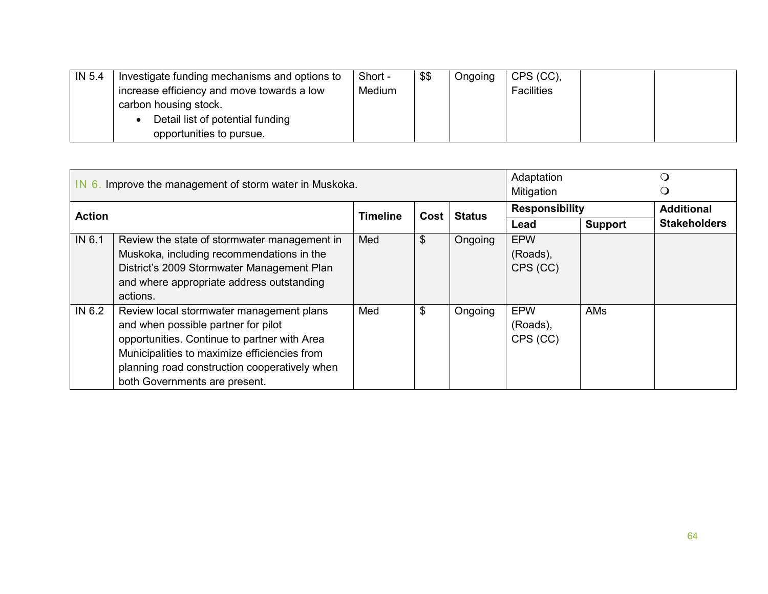| IN 5.4 | Investigate funding mechanisms and options to | Short - | \$\$ | Ongoing | CPS (CC),         |  |
|--------|-----------------------------------------------|---------|------|---------|-------------------|--|
|        | increase efficiency and move towards a low    | Medium  |      |         | <b>Facilities</b> |  |
|        | carbon housing stock.                         |         |      |         |                   |  |
|        | Detail list of potential funding              |         |      |         |                   |  |
|        | opportunities to pursue.                      |         |      |         |                   |  |

|               | IN 6. Improve the management of storm water in Muskoka.                                                                                                                                                                                                           | Adaptation<br>Mitigation |      | ( )<br>Ő      |                                    |                |                     |
|---------------|-------------------------------------------------------------------------------------------------------------------------------------------------------------------------------------------------------------------------------------------------------------------|--------------------------|------|---------------|------------------------------------|----------------|---------------------|
| <b>Action</b> |                                                                                                                                                                                                                                                                   | <b>Timeline</b>          | Cost | <b>Status</b> | <b>Responsibility</b>              |                | <b>Additional</b>   |
|               |                                                                                                                                                                                                                                                                   |                          |      |               | Lead                               | <b>Support</b> | <b>Stakeholders</b> |
| IN 6.1        | Review the state of stormwater management in<br>Muskoka, including recommendations in the<br>District's 2009 Stormwater Management Plan<br>and where appropriate address outstanding<br>actions.                                                                  | Med                      | \$   | Ongoing       | <b>EPW</b><br>(Roads),<br>CPS (CC) |                |                     |
| IN 6.2        | Review local stormwater management plans<br>and when possible partner for pilot<br>opportunities. Continue to partner with Area<br>Municipalities to maximize efficiencies from<br>planning road construction cooperatively when<br>both Governments are present. | Med                      | \$   | Ongoing       | <b>EPW</b><br>(Roads),<br>CPS (CC) | <b>AMs</b>     |                     |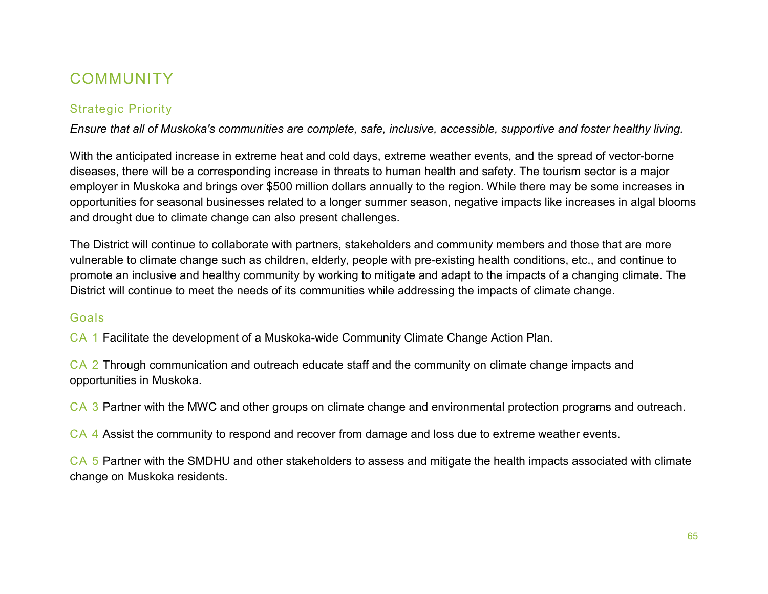## **COMMUNITY**

### Strategic Priority

*Ensure that all of Muskoka's communities are complete, safe, inclusive, accessible, supportive and foster healthy living.*

With the anticipated increase in extreme heat and cold days, extreme weather events, and the spread of vector-borne diseases, there will be a corresponding increase in threats to human health and safety. The tourism sector is a major employer in Muskoka and brings over \$500 million dollars annually to the region. While there may be some increases in opportunities for seasonal businesses related to a longer summer season, negative impacts like increases in algal blooms and drought due to climate change can also present challenges.

The District will continue to collaborate with partners, stakeholders and community members and those that are more vulnerable to climate change such as children, elderly, people with pre-existing health conditions, etc., and continue to promote an inclusive and healthy community by working to mitigate and adapt to the impacts of a changing climate. The District will continue to meet the needs of its communities while addressing the impacts of climate change.

#### Goals

CA 1 Facilitate the development of a Muskoka-wide Community Climate Change Action Plan.

CA 2 Through communication and outreach educate staff and the community on climate change impacts and opportunities in Muskoka.

CA 3 Partner with the MWC and other groups on climate change and environmental protection programs and outreach.

CA 4 Assist the community to respond and recover from damage and loss due to extreme weather events.

CA 5 Partner with the SMDHU and other stakeholders to assess and mitigate the health impacts associated with climate change on Muskoka residents.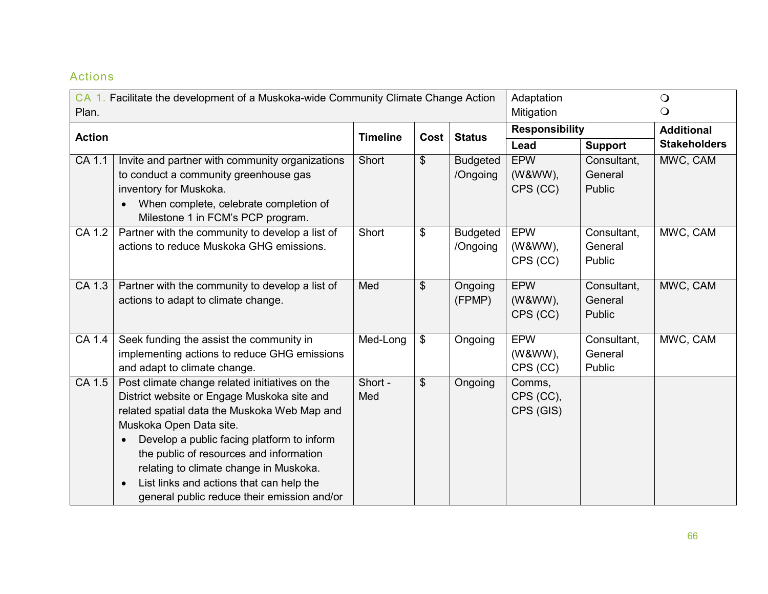|               | CA 1. Facilitate the development of a Muskoka-wide Community Climate Change Action                                                                                                                                                                                                                                                                                                                     |                 |                           |                             | Adaptation                        |                                  | $\bigcirc$          |  |
|---------------|--------------------------------------------------------------------------------------------------------------------------------------------------------------------------------------------------------------------------------------------------------------------------------------------------------------------------------------------------------------------------------------------------------|-----------------|---------------------------|-----------------------------|-----------------------------------|----------------------------------|---------------------|--|
| Plan.         |                                                                                                                                                                                                                                                                                                                                                                                                        |                 |                           |                             | Mitigation                        |                                  | $\bigcirc$          |  |
| <b>Action</b> |                                                                                                                                                                                                                                                                                                                                                                                                        | <b>Timeline</b> | Cost                      | <b>Status</b>               | <b>Responsibility</b>             |                                  | <b>Additional</b>   |  |
|               |                                                                                                                                                                                                                                                                                                                                                                                                        |                 |                           |                             | Lead                              | <b>Support</b>                   | <b>Stakeholders</b> |  |
| $CA$ 1.1      | Invite and partner with community organizations<br>to conduct a community greenhouse gas<br>inventory for Muskoka.<br>When complete, celebrate completion of<br>Milestone 1 in FCM's PCP program.                                                                                                                                                                                                      | Short           | $\boldsymbol{\theta}$     | <b>Budgeted</b><br>/Ongoing | <b>EPW</b><br>(W&WW),<br>CPS (CC) | Consultant,<br>General<br>Public | MWC, CAM            |  |
| CA 1.2        | Partner with the community to develop a list of<br>actions to reduce Muskoka GHG emissions.                                                                                                                                                                                                                                                                                                            | Short           | \$                        | <b>Budgeted</b><br>/Ongoing | <b>EPW</b><br>(W&WW),<br>CPS (CC) | Consultant,<br>General<br>Public | MWC, CAM            |  |
| CA 1.3        | Partner with the community to develop a list of<br>actions to adapt to climate change.                                                                                                                                                                                                                                                                                                                 | Med             | $\boldsymbol{\mathsf{S}}$ | Ongoing<br>(FPMP)           | <b>EPW</b><br>(W&WW),<br>CPS (CC) | Consultant,<br>General<br>Public | MWC, CAM            |  |
| CA 1.4        | Seek funding the assist the community in<br>implementing actions to reduce GHG emissions<br>and adapt to climate change.                                                                                                                                                                                                                                                                               | Med-Long        | $\boldsymbol{\mathsf{S}}$ | Ongoing                     | <b>EPW</b><br>(W&WW),<br>CPS (CC) | Consultant,<br>General<br>Public | MWC, CAM            |  |
| CA 1.5        | Post climate change related initiatives on the<br>District website or Engage Muskoka site and<br>related spatial data the Muskoka Web Map and<br>Muskoka Open Data site.<br>Develop a public facing platform to inform<br>the public of resources and information<br>relating to climate change in Muskoka.<br>List links and actions that can help the<br>general public reduce their emission and/or | Short -<br>Med  | \$                        | Ongoing                     | Comms,<br>CPS (CC),<br>CPS (GIS)  |                                  |                     |  |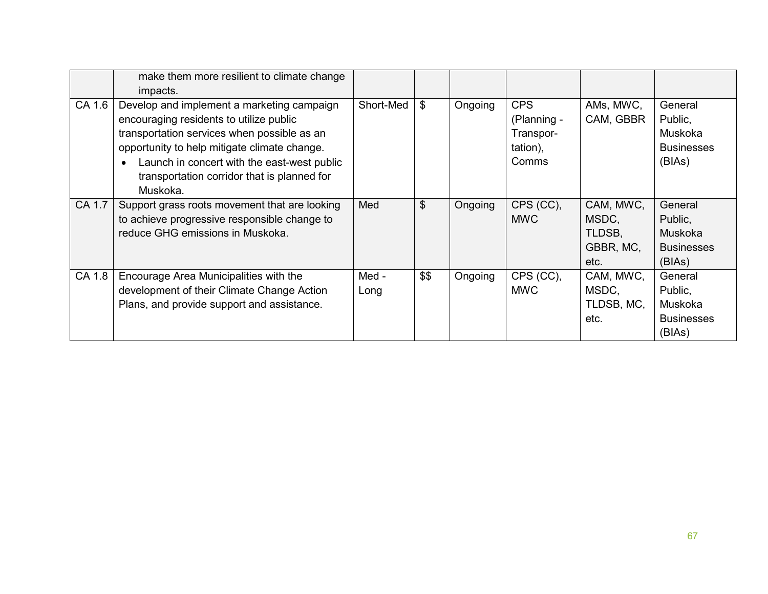|        | make them more resilient to climate change<br>impacts.                                                                                                                                                                                                                                         |               |               |         |                                                                    |                                                   |                                                              |
|--------|------------------------------------------------------------------------------------------------------------------------------------------------------------------------------------------------------------------------------------------------------------------------------------------------|---------------|---------------|---------|--------------------------------------------------------------------|---------------------------------------------------|--------------------------------------------------------------|
| CA 1.6 | Develop and implement a marketing campaign<br>encouraging residents to utilize public<br>transportation services when possible as an<br>opportunity to help mitigate climate change.<br>Launch in concert with the east-west public<br>transportation corridor that is planned for<br>Muskoka. | Short-Med     | \$            | Ongoing | <b>CPS</b><br>(Planning -<br>Transpor-<br>tation),<br><b>Comms</b> | AMs, MWC,<br>CAM, GBBR                            | General<br>Public,<br>Muskoka<br><b>Businesses</b><br>(BIAs) |
| CA 1.7 | Support grass roots movement that are looking<br>to achieve progressive responsible change to<br>reduce GHG emissions in Muskoka.                                                                                                                                                              | Med           | $\frac{1}{2}$ | Ongoing | CPS (CC),<br><b>MWC</b>                                            | CAM, MWC,<br>MSDC,<br>TLDSB,<br>GBBR, MC,<br>etc. | General<br>Public,<br>Muskoka<br><b>Businesses</b><br>(BIAs) |
| CA 1.8 | Encourage Area Municipalities with the<br>development of their Climate Change Action<br>Plans, and provide support and assistance.                                                                                                                                                             | Med -<br>Long | \$\$          | Ongoing | CPS (CC),<br><b>MWC</b>                                            | CAM, MWC,<br>MSDC,<br>TLDSB, MC,<br>etc.          | General<br>Public,<br>Muskoka<br><b>Businesses</b><br>(BIAs) |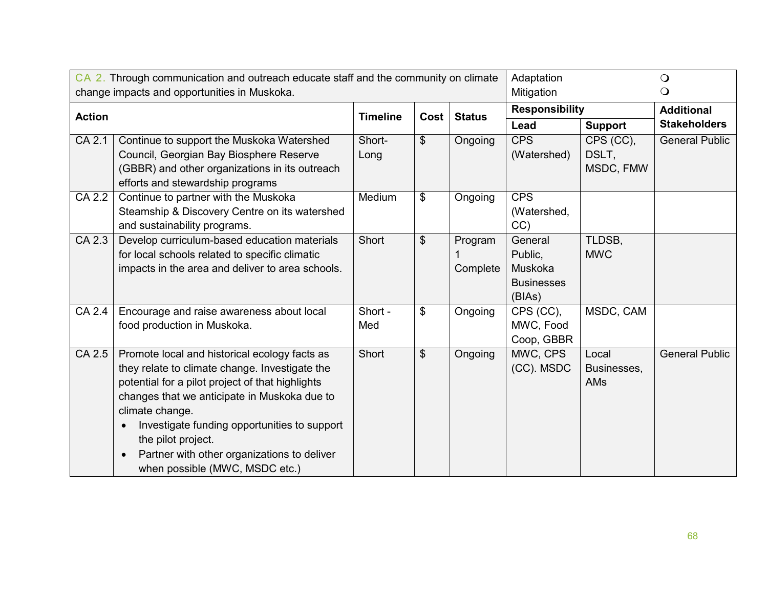|               | CA 2. Through communication and outreach educate staff and the community on climate<br>change impacts and opportunities in Muskoka.                                                                                                                                                                                                                                                        |                 |                           |                     | Adaptation<br>Mitigation                                     |                                 | $\bigcirc$<br>$\bigcirc$ |
|---------------|--------------------------------------------------------------------------------------------------------------------------------------------------------------------------------------------------------------------------------------------------------------------------------------------------------------------------------------------------------------------------------------------|-----------------|---------------------------|---------------------|--------------------------------------------------------------|---------------------------------|--------------------------|
| <b>Action</b> |                                                                                                                                                                                                                                                                                                                                                                                            | <b>Timeline</b> | Cost                      | <b>Status</b>       | <b>Responsibility</b>                                        |                                 | <b>Additional</b>        |
|               |                                                                                                                                                                                                                                                                                                                                                                                            |                 |                           |                     | Lead                                                         | <b>Support</b>                  | <b>Stakeholders</b>      |
| CA 2.1        | Continue to support the Muskoka Watershed<br>Council, Georgian Bay Biosphere Reserve<br>(GBBR) and other organizations in its outreach<br>efforts and stewardship programs                                                                                                                                                                                                                 | Short-<br>Long  | $\boldsymbol{\mathsf{S}}$ | Ongoing             | <b>CPS</b><br>(Watershed)                                    | CPS (CC),<br>DSLT,<br>MSDC, FMW | <b>General Public</b>    |
| CA 2.2        | Continue to partner with the Muskoka<br>Steamship & Discovery Centre on its watershed<br>and sustainability programs.                                                                                                                                                                                                                                                                      | Medium          | \$                        | Ongoing             | <b>CPS</b><br>(Watershed,<br>CC                              |                                 |                          |
| CA 2.3        | Develop curriculum-based education materials<br>for local schools related to specific climatic<br>impacts in the area and deliver to area schools.                                                                                                                                                                                                                                         | Short           | $\mathfrak{S}$            | Program<br>Complete | General<br>Public,<br>Muskoka<br><b>Businesses</b><br>(BIAs) | TLDSB,<br><b>MWC</b>            |                          |
| CA 2.4        | Encourage and raise awareness about local<br>food production in Muskoka.                                                                                                                                                                                                                                                                                                                   | Short -<br>Med  | \$                        | Ongoing             | CPS (CC),<br>MWC, Food<br>Coop, GBBR                         | MSDC, CAM                       |                          |
| CA 2.5        | Promote local and historical ecology facts as<br>they relate to climate change. Investigate the<br>potential for a pilot project of that highlights<br>changes that we anticipate in Muskoka due to<br>climate change.<br>Investigate funding opportunities to support<br>$\bullet$<br>the pilot project.<br>Partner with other organizations to deliver<br>when possible (MWC, MSDC etc.) | Short           | $\boldsymbol{\mathsf{S}}$ | Ongoing             | MWC, CPS<br>(CC). MSDC                                       | Local<br>Businesses,<br>AMs     | <b>General Public</b>    |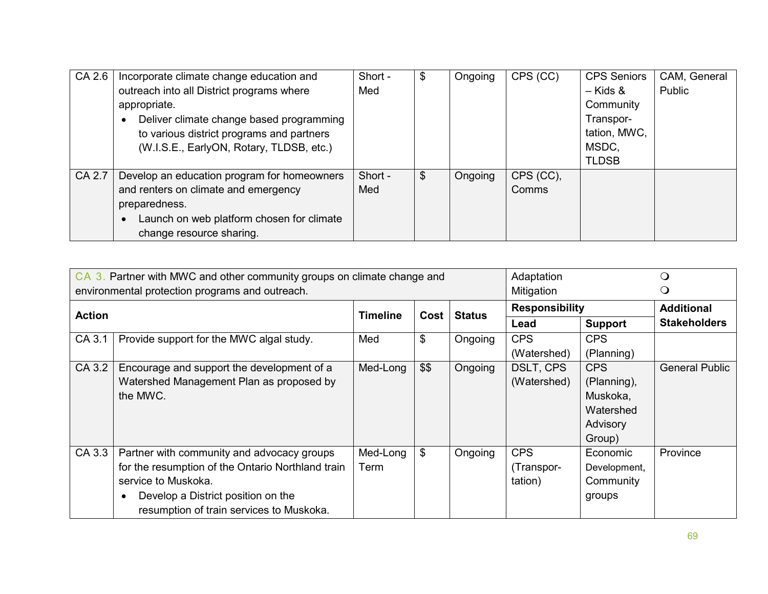| CA 2.6 | Incorporate climate change education and               | Short - | Ψ  | Ongoing | CPS (CC)  | <b>CPS Seniors</b> | CAM, General |
|--------|--------------------------------------------------------|---------|----|---------|-----------|--------------------|--------------|
|        | outreach into all District programs where              | Med     |    |         |           | – Kids &           | Public       |
|        | appropriate.                                           |         |    |         |           | Community          |              |
|        | Deliver climate change based programming               |         |    |         |           | Transpor-          |              |
|        | to various district programs and partners              |         |    |         |           | tation, MWC,       |              |
|        | (W.I.S.E., EarlyON, Rotary, TLDSB, etc.)               |         |    |         |           | MSDC,              |              |
|        |                                                        |         |    |         |           | <b>TLDSB</b>       |              |
| CA 2.7 | Develop an education program for homeowners            | Short - | \$ | Ongoing | CPS (CC), |                    |              |
|        | and renters on climate and emergency                   | Med     |    |         | Comms     |                    |              |
|        | preparedness.                                          |         |    |         |           |                    |              |
|        | Launch on web platform chosen for climate<br>$\bullet$ |         |    |         |           |                    |              |
|        | change resource sharing.                               |         |    |         |           |                    |              |

|               | CA 3. Partner with MWC and other community groups on climate change and<br>environmental protection programs and outreach.                                                                               | Adaptation<br>Mitigation |               |               |                                     |                                                                   |                       |
|---------------|----------------------------------------------------------------------------------------------------------------------------------------------------------------------------------------------------------|--------------------------|---------------|---------------|-------------------------------------|-------------------------------------------------------------------|-----------------------|
| <b>Action</b> |                                                                                                                                                                                                          |                          | Cost          | <b>Status</b> | <b>Responsibility</b>               |                                                                   | <b>Additional</b>     |
|               |                                                                                                                                                                                                          |                          |               |               | Lead                                | <b>Support</b>                                                    | <b>Stakeholders</b>   |
| CA 3.1        | Provide support for the MWC algal study.                                                                                                                                                                 | Med                      | \$            | Ongoing       | <b>CPS</b><br>(Watershed)           | <b>CPS</b><br>(Planning)                                          |                       |
| CA 3.2        | Encourage and support the development of a<br>Watershed Management Plan as proposed by<br>the MWC.                                                                                                       | Med-Long                 | \$\$          | Ongoing       | DSLT, CPS<br>(Watershed)            | CPS<br>(Planning),<br>Muskoka,<br>Watershed<br>Advisory<br>Group) | <b>General Public</b> |
| CA 3.3        | Partner with community and advocacy groups<br>for the resumption of the Ontario Northland train<br>service to Muskoka.<br>Develop a District position on the<br>resumption of train services to Muskoka. | Med-Long<br>Term         | $\frac{1}{2}$ | Ongoing       | <b>CPS</b><br>(Transpor-<br>tation) | Economic<br>Development,<br>Community<br>groups                   | Province              |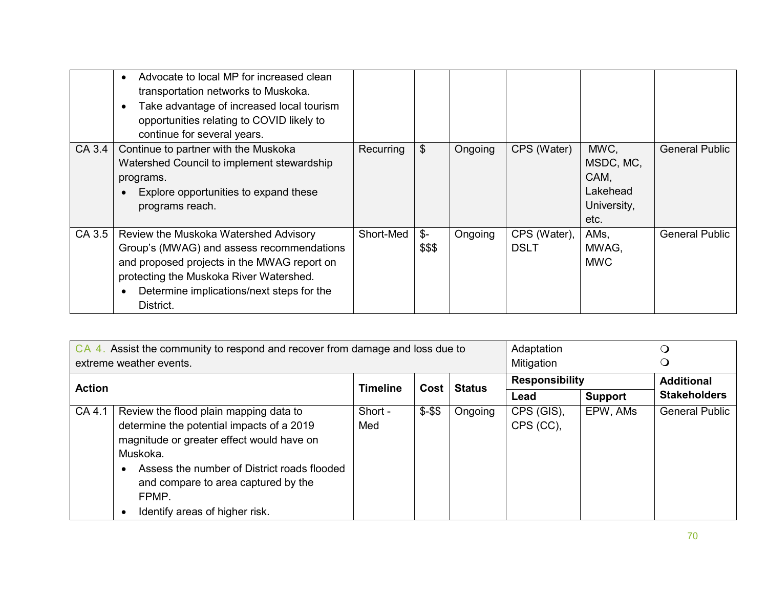|        | Advocate to local MP for increased clean<br>transportation networks to Muskoka.<br>Take advantage of increased local tourism<br>opportunities relating to COVID likely to<br>continue for several years.                               |           |                           |         |                             |                                                              |                       |
|--------|----------------------------------------------------------------------------------------------------------------------------------------------------------------------------------------------------------------------------------------|-----------|---------------------------|---------|-----------------------------|--------------------------------------------------------------|-----------------------|
| CA 3.4 | Continue to partner with the Muskoka<br>Watershed Council to implement stewardship<br>programs.<br>Explore opportunities to expand these<br>programs reach.                                                                            | Recurring | $\$\$                     | Ongoing | CPS (Water)                 | MWC,<br>MSDC, MC,<br>CAM,<br>Lakehead<br>University,<br>etc. | <b>General Public</b> |
| CA 3.5 | Review the Muskoka Watershed Advisory<br>Group's (MWAG) and assess recommendations<br>and proposed projects in the MWAG report on<br>protecting the Muskoka River Watershed.<br>Determine implications/next steps for the<br>District. | Short-Med | $\mathcal{S}$ -<br>\$\$\$ | Ongoing | CPS (Water),<br><b>DSLT</b> | AMs,<br>MWAG,<br><b>MWC</b>                                  | <b>General Public</b> |

|               | CA 4. Assist the community to respond and recover from damage and loss due to                                                                                                                                                                                                 |                 | Adaptation |               | Ő                       |                |                       |
|---------------|-------------------------------------------------------------------------------------------------------------------------------------------------------------------------------------------------------------------------------------------------------------------------------|-----------------|------------|---------------|-------------------------|----------------|-----------------------|
|               | extreme weather events.                                                                                                                                                                                                                                                       |                 |            |               | Mitigation              |                |                       |
| <b>Action</b> |                                                                                                                                                                                                                                                                               | <b>Timeline</b> | Cost       | <b>Status</b> | <b>Responsibility</b>   |                | <b>Additional</b>     |
|               |                                                                                                                                                                                                                                                                               |                 |            |               | Lead                    | <b>Support</b> | <b>Stakeholders</b>   |
| CA 4.1        | Review the flood plain mapping data to<br>determine the potential impacts of a 2019<br>magnitude or greater effect would have on<br>Muskoka.<br>Assess the number of District roads flooded<br>and compare to area captured by the<br>FPMP.<br>Identify areas of higher risk. | Short -<br>Med  | $$ - $$    | Ongoing       | CPS (GIS),<br>CPS (CC), | EPW, AMs       | <b>General Public</b> |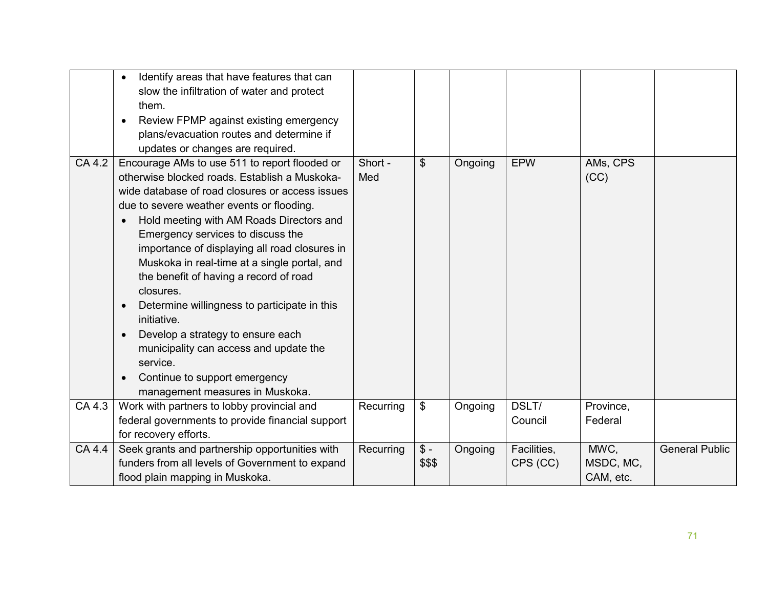|        | Identify areas that have features that can<br>$\bullet$<br>slow the infiltration of water and protect<br>them.<br>Review FPMP against existing emergency<br>$\bullet$<br>plans/evacuation routes and determine if<br>updates or changes are required.                                                                                                                                                                                                                                                                                                                                                                                                                                                                     |                |                           |         |                         |                                |                       |
|--------|---------------------------------------------------------------------------------------------------------------------------------------------------------------------------------------------------------------------------------------------------------------------------------------------------------------------------------------------------------------------------------------------------------------------------------------------------------------------------------------------------------------------------------------------------------------------------------------------------------------------------------------------------------------------------------------------------------------------------|----------------|---------------------------|---------|-------------------------|--------------------------------|-----------------------|
| CA 4.2 | Encourage AMs to use 511 to report flooded or<br>otherwise blocked roads. Establish a Muskoka-<br>wide database of road closures or access issues<br>due to severe weather events or flooding.<br>Hold meeting with AM Roads Directors and<br>$\bullet$<br>Emergency services to discuss the<br>importance of displaying all road closures in<br>Muskoka in real-time at a single portal, and<br>the benefit of having a record of road<br>closures.<br>Determine willingness to participate in this<br>$\bullet$<br>initiative.<br>Develop a strategy to ensure each<br>$\bullet$<br>municipality can access and update the<br>service.<br>Continue to support emergency<br>$\bullet$<br>management measures in Muskoka. | Short -<br>Med | $\mathfrak{S}$            | Ongoing | <b>EPW</b>              | AMs, CPS<br>(CC)               |                       |
| CA 4.3 | Work with partners to lobby provincial and<br>federal governments to provide financial support<br>for recovery efforts.                                                                                                                                                                                                                                                                                                                                                                                                                                                                                                                                                                                                   | Recurring      | $\boldsymbol{\mathsf{s}}$ | Ongoing | DSLT/<br>Council        | Province,<br>Federal           |                       |
| CA 4.4 | Seek grants and partnership opportunities with<br>funders from all levels of Government to expand<br>flood plain mapping in Muskoka.                                                                                                                                                                                                                                                                                                                                                                                                                                                                                                                                                                                      | Recurring      | $$ -$<br>\$\$\$           | Ongoing | Facilities,<br>CPS (CC) | MWC,<br>MSDC, MC,<br>CAM, etc. | <b>General Public</b> |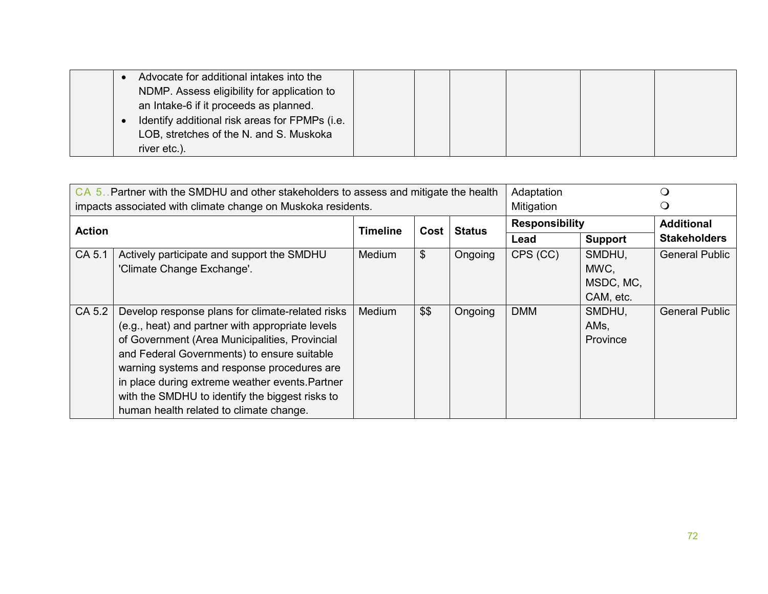|  | Advocate for additional intakes into the       |  |  |  |
|--|------------------------------------------------|--|--|--|
|  | NDMP. Assess eligibility for application to    |  |  |  |
|  | an Intake-6 if it proceeds as planned.         |  |  |  |
|  | Identify additional risk areas for FPMPs (i.e. |  |  |  |
|  | LOB, stretches of the N. and S. Muskoka        |  |  |  |
|  | river etc.).                                   |  |  |  |

|               | CA 5. Partner with the SMDHU and other stakeholders to assess and mitigate the health<br>impacts associated with climate change on Muskoka residents.                                                                                                                                                                                                                                                 | Adaptation<br>Mitigation |      |               |                       |                                          |                       |
|---------------|-------------------------------------------------------------------------------------------------------------------------------------------------------------------------------------------------------------------------------------------------------------------------------------------------------------------------------------------------------------------------------------------------------|--------------------------|------|---------------|-----------------------|------------------------------------------|-----------------------|
| <b>Action</b> |                                                                                                                                                                                                                                                                                                                                                                                                       | <b>Timeline</b>          | Cost | <b>Status</b> | <b>Responsibility</b> |                                          | <b>Additional</b>     |
|               |                                                                                                                                                                                                                                                                                                                                                                                                       |                          |      |               | Lead                  | <b>Support</b>                           | <b>Stakeholders</b>   |
| CA 5.1        | Actively participate and support the SMDHU<br>'Climate Change Exchange'.                                                                                                                                                                                                                                                                                                                              | <b>Medium</b>            | \$   | Ongoing       | CPS (CC)              | SMDHU,<br>MWC,<br>MSDC, MC,<br>CAM, etc. | <b>General Public</b> |
| CA 5.2        | Develop response plans for climate-related risks<br>(e.g., heat) and partner with appropriate levels<br>of Government (Area Municipalities, Provincial<br>and Federal Governments) to ensure suitable<br>warning systems and response procedures are<br>in place during extreme weather events. Partner<br>with the SMDHU to identify the biggest risks to<br>human health related to climate change. | Medium                   | \$\$ | Ongoing       | <b>DMM</b>            | SMDHU,<br>AMs,<br><b>Province</b>        | <b>General Public</b> |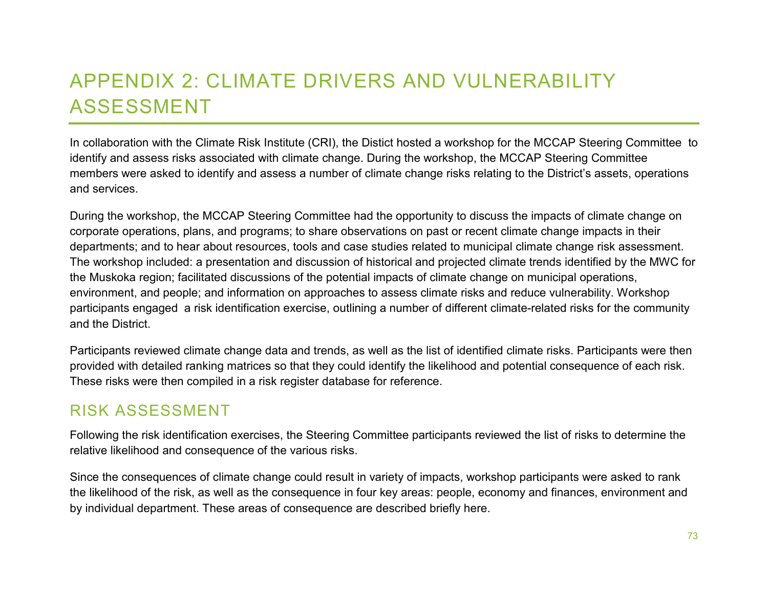## APPENDIX 2: CLIMATE DRIVERS AND VULNERABILITY ASSESSMENT

In collaboration with the Climate Risk Institute (CRI), the Distict hosted a workshop for the MCCAP Steering Committee to identify and assess risks associated with climate change. During the workshop, the MCCAP Steering Committee members were asked to identify and assess a number of climate change risks relating to the District's assets, operations and services.

During the workshop, the MCCAP Steering Committee had the opportunity to discuss the impacts of climate change on corporate operations, plans, and programs; to share observations on past or recent climate change impacts in their departments; and to hear about resources, tools and case studies related to municipal climate change risk assessment. The workshop included: a presentation and discussion of historical and projected climate trends identified by the MWC for the Muskoka region; facilitated discussions of the potential impacts of climate change on municipal operations, environment, and people; and information on approaches to assess climate risks and reduce vulnerability. Workshop participants engaged a risk identification exercise, outlining a number of different climate-related risks for the community and the District.

Participants reviewed climate change data and trends, as well as the list of identified climate risks. Participants were then provided with detailed ranking matrices so that they could identify the likelihood and potential consequence of each risk. These risks were then compiled in a risk register database for reference.

## RISK ASSESSMENT

Following the risk identification exercises, the Steering Committee participants reviewed the list of risks to determine the relative likelihood and consequence of the various risks.

Since the consequences of climate change could result in variety of impacts, workshop participants were asked to rank the likelihood of the risk, as well as the consequence in four key areas: people, economy and finances, environment and by individual department. These areas of consequence are described briefly here.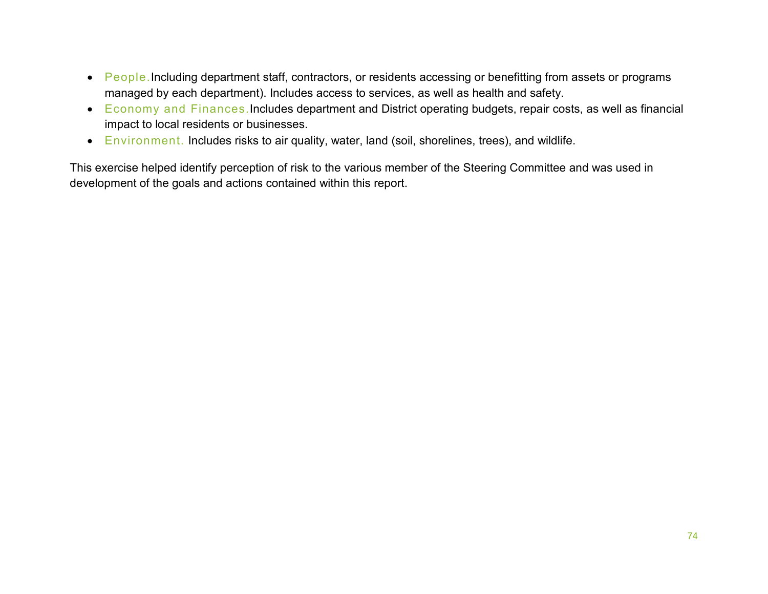- People. Including department staff, contractors, or residents accessing or benefitting from assets or programs managed by each department). Includes access to services, as well as health and safety.
- Economy and Finances.Includes department and District operating budgets, repair costs, as well as financial impact to local residents or businesses.
- Environment. Includes risks to air quality, water, land (soil, shorelines, trees), and wildlife.

This exercise helped identify perception of risk to the various member of the Steering Committee and was used in development of the goals and actions contained within this report.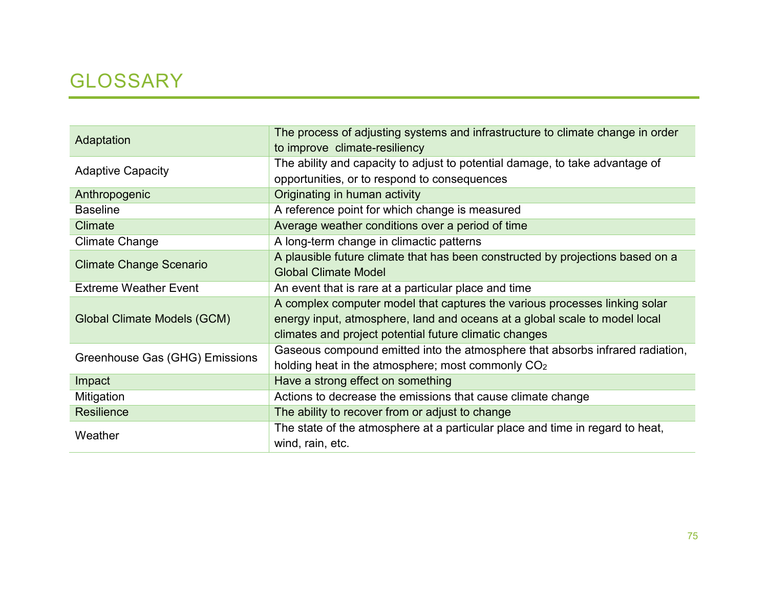## GLOSSARY

| Adaptation                     | The process of adjusting systems and infrastructure to climate change in order<br>to improve climate-resiliency                                                                                                    |
|--------------------------------|--------------------------------------------------------------------------------------------------------------------------------------------------------------------------------------------------------------------|
| <b>Adaptive Capacity</b>       | The ability and capacity to adjust to potential damage, to take advantage of<br>opportunities, or to respond to consequences                                                                                       |
| Anthropogenic                  | Originating in human activity                                                                                                                                                                                      |
| <b>Baseline</b>                | A reference point for which change is measured                                                                                                                                                                     |
| Climate                        | Average weather conditions over a period of time                                                                                                                                                                   |
| <b>Climate Change</b>          | A long-term change in climactic patterns                                                                                                                                                                           |
| <b>Climate Change Scenario</b> | A plausible future climate that has been constructed by projections based on a<br><b>Global Climate Model</b>                                                                                                      |
| <b>Extreme Weather Event</b>   | An event that is rare at a particular place and time                                                                                                                                                               |
| Global Climate Models (GCM)    | A complex computer model that captures the various processes linking solar<br>energy input, atmosphere, land and oceans at a global scale to model local<br>climates and project potential future climatic changes |
| Greenhouse Gas (GHG) Emissions | Gaseous compound emitted into the atmosphere that absorbs infrared radiation,<br>holding heat in the atmosphere; most commonly CO <sub>2</sub>                                                                     |
| Impact                         | Have a strong effect on something                                                                                                                                                                                  |
| Mitigation                     | Actions to decrease the emissions that cause climate change                                                                                                                                                        |
| <b>Resilience</b>              | The ability to recover from or adjust to change                                                                                                                                                                    |
| Weather                        | The state of the atmosphere at a particular place and time in regard to heat,<br>wind, rain, etc.                                                                                                                  |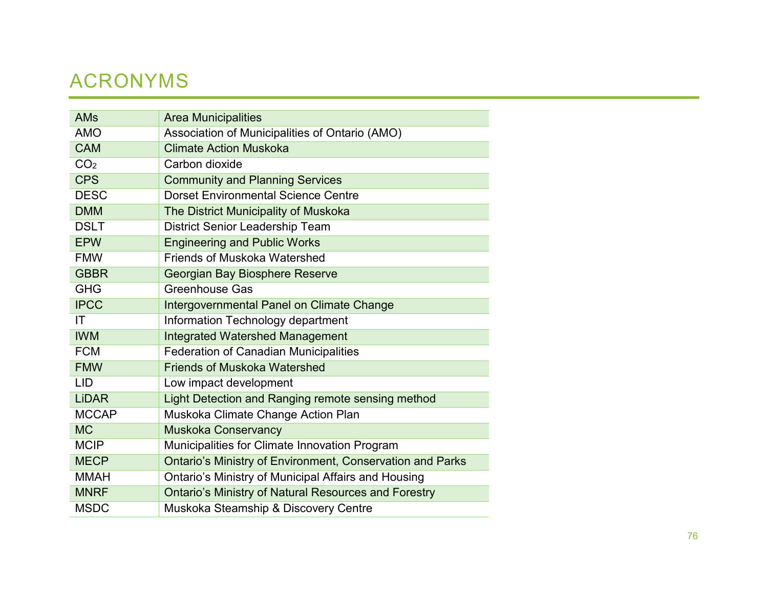## ACRONYMS

| <b>AMs</b>      | <b>Area Municipalities</b>                                       |
|-----------------|------------------------------------------------------------------|
| <b>AMO</b>      | Association of Municipalities of Ontario (AMO)                   |
| <b>CAM</b>      | <b>Climate Action Muskoka</b>                                    |
| CO <sub>2</sub> | Carbon dioxide                                                   |
| <b>CPS</b>      | <b>Community and Planning Services</b>                           |
| <b>DESC</b>     | <b>Dorset Environmental Science Centre</b>                       |
| <b>DMM</b>      | The District Municipality of Muskoka                             |
| <b>DSLT</b>     | <b>District Senior Leadership Team</b>                           |
| <b>EPW</b>      | <b>Engineering and Public Works</b>                              |
| <b>FMW</b>      | <b>Friends of Muskoka Watershed</b>                              |
| <b>GBBR</b>     | Georgian Bay Biosphere Reserve                                   |
| <b>GHG</b>      | <b>Greenhouse Gas</b>                                            |
| <b>IPCC</b>     | Intergovernmental Panel on Climate Change                        |
| IT              | Information Technology department                                |
| <b>IWM</b>      | <b>Integrated Watershed Management</b>                           |
| <b>FCM</b>      | <b>Federation of Canadian Municipalities</b>                     |
| <b>FMW</b>      | <b>Friends of Muskoka Watershed</b>                              |
| <b>LID</b>      | Low impact development                                           |
| <b>LiDAR</b>    | Light Detection and Ranging remote sensing method                |
| <b>MCCAP</b>    | Muskoka Climate Change Action Plan                               |
| <b>MC</b>       | <b>Muskoka Conservancy</b>                                       |
| <b>MCIP</b>     | Municipalities for Climate Innovation Program                    |
| <b>MECP</b>     | <b>Ontario's Ministry of Environment, Conservation and Parks</b> |
| <b>MMAH</b>     | Ontario's Ministry of Municipal Affairs and Housing              |
| <b>MNRF</b>     | <b>Ontario's Ministry of Natural Resources and Forestry</b>      |
| <b>MSDC</b>     | Muskoka Steamship & Discovery Centre                             |